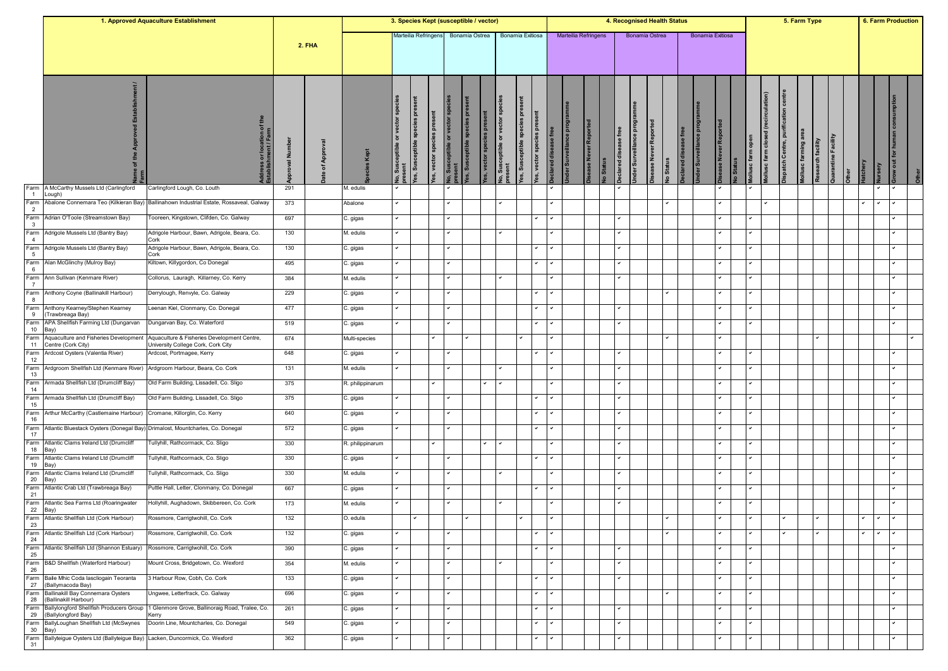|                         |                                                                                | 1. Approved Aquaculture Establishment                                             |                 |               |                  | 3. Species Kept (susceptible / vector) |                                   |                        |                                         |                             |                        |                                                     |                       |                                            |                       |                    |                      |                      |                         | 4. Recognised Health Status |              |                     |                  |                         |                              |                                        |                                             | 5. Farm Type                              |                     |              | 6. Farm Production |                                  |  |
|-------------------------|--------------------------------------------------------------------------------|-----------------------------------------------------------------------------------|-----------------|---------------|------------------|----------------------------------------|-----------------------------------|------------------------|-----------------------------------------|-----------------------------|------------------------|-----------------------------------------------------|-----------------------|--------------------------------------------|-----------------------|--------------------|----------------------|----------------------|-------------------------|-----------------------------|--------------|---------------------|------------------|-------------------------|------------------------------|----------------------------------------|---------------------------------------------|-------------------------------------------|---------------------|--------------|--------------------|----------------------------------|--|
|                         |                                                                                |                                                                                   |                 | <b>2. FHA</b> |                  |                                        | Marteilia Refringens              |                        |                                         |                             |                        | Bonamia Ostrea Bonamia Exitiosa                     |                       |                                            |                       |                    | Marteilia Refringens |                      |                         | Bonamia Ostrea              |              |                     | Bonamia Exitiosa |                         |                              |                                        |                                             |                                           |                     |              |                    |                                  |  |
|                         |                                                                                | dress or location of the<br>ablishment / Farm                                     | ∫<br>Z<br>roval | App<br>৳      |                  | ŏ                                      | ceptible species pres<br>res, Sus | es, vector species pre | lo, Susceptible or vector sp<br>rresent | es, Susceptible species pre | es, vector species pre | eptible or vector sp<br><b>Jo, Susco</b><br>present | es, Susceptible speci | <b>E</b><br>es, vector species<br>쁭<br>red | der Surveillance prog | ase Never Reported | o Status             | eclared disease free | Inder Surveillance prog | sease Never Reported        | lo Status    | eclared disease fro |                  | <b>ISE Never Report</b> | lollusc farm open<br>lo Stat | (recirculation)<br>lollusc farm closed | <b>Dispatch Centre, purification centre</b> | lollusc farming area<br>Research facility | Quarantine Facility | latchery     | ξP                 | $\overline{a}$<br>$\overline{5}$ |  |
| Farm<br>$\overline{1}$  | A McCarthy Mussels Ltd (Carlingford<br>.ough)                                  | Carlingford Lough, Co. Louth                                                      | 291             |               | M. edulis        |                                        |                                   |                        |                                         |                             |                        |                                                     |                       |                                            |                       |                    |                      |                      |                         |                             |              |                     |                  |                         |                              |                                        |                                             |                                           |                     |              |                    |                                  |  |
| Farm<br>$\overline{2}$  | Abalone Connemara Teo (Kilkieran Bay)                                          | Ballinahown Industrial Estate, Rossaveal, Galway                                  | 373             |               | Abalone          |                                        |                                   |                        | $\checkmark$                            |                             |                        | $\checkmark$                                        |                       |                                            |                       |                    |                      |                      |                         |                             | ◡            |                     |                  |                         |                              |                                        |                                             |                                           |                     |              |                    |                                  |  |
| Farm<br>$\mathbf{3}$    | Adrian O'Toole (Streamstown Bay)                                               | Tooreen, Kingstown, Clifden, Co. Galway                                           | 697             |               | C. gigas         |                                        |                                   |                        |                                         |                             |                        |                                                     |                       |                                            |                       |                    |                      |                      |                         |                             |              |                     |                  |                         |                              |                                        |                                             |                                           |                     |              |                    |                                  |  |
| Farm<br>$\overline{4}$  | Adrigole Mussels Ltd (Bantry Bay)                                              | Adrigole Harbour, Bawn, Adrigole, Beara, Co.<br>Cork                              | 130             |               | M. edulis        |                                        |                                   |                        |                                         |                             |                        |                                                     |                       |                                            |                       |                    |                      | ◡                    |                         |                             |              |                     |                  |                         | ✓                            |                                        |                                             |                                           |                     |              |                    |                                  |  |
| Farm<br>$5\phantom{.0}$ | Adrigole Mussels Ltd (Bantry Bay)                                              | Adrigole Harbour, Bawn, Adrigole, Beara, Co.<br>Cork                              | 130             |               | C. gigas         |                                        |                                   |                        |                                         |                             |                        |                                                     | $\checkmark$          |                                            |                       |                    |                      |                      |                         |                             |              |                     |                  |                         | ✓                            |                                        |                                             |                                           |                     |              |                    |                                  |  |
| Farm<br>6               | Alan McGlinchy (Mulroy Bay)                                                    | Kiltown, Killygordon, Co Donegal                                                  | 495             |               | C. gigas         |                                        |                                   |                        |                                         |                             |                        |                                                     |                       |                                            |                       |                    |                      |                      |                         |                             |              |                     |                  |                         |                              |                                        |                                             |                                           |                     |              |                    |                                  |  |
| Farm<br>$\overline{7}$  | Ann Sullivan (Kenmare River)                                                   | Collorus, Lauragh, Killarney, Co. Kerry                                           | 384             |               | M. edulis        |                                        |                                   |                        |                                         |                             |                        |                                                     |                       |                                            |                       |                    |                      |                      |                         |                             |              |                     |                  |                         |                              |                                        |                                             |                                           |                     |              |                    |                                  |  |
| Farm<br>8               | Anthony Coyne (Ballinakill Harbour)                                            | Derrylough, Renvyle, Co. Galway                                                   | 229             |               | C. gigas         |                                        |                                   |                        | $\checkmark$                            |                             |                        |                                                     |                       |                                            |                       |                    |                      |                      |                         |                             | ✓            |                     |                  |                         | ◡                            |                                        |                                             |                                           |                     |              |                    |                                  |  |
| 9                       | Farm Anthony Kearney/Stephen Kearney<br>(Trawbreaga Bay)                       | Leenan Kiel, Clonmany, Co. Donegal                                                | 477             |               | C. gigas         |                                        |                                   |                        | $\checkmark$                            |                             |                        |                                                     | $\checkmark$          |                                            |                       |                    |                      | v                    |                         |                             |              |                     |                  |                         | ✓                            |                                        |                                             |                                           |                     |              |                    |                                  |  |
| 10                      | Farm APA Shellfish Farming Ltd (Dungarvan<br>Bay)                              | Dungarvan Bay, Co. Waterford                                                      | 519             |               | C. gigas         |                                        |                                   |                        | $\overline{\phantom{0}}$                |                             |                        |                                                     |                       |                                            |                       |                    |                      | $\checkmark$         |                         |                             |              |                     |                  |                         | ◡                            |                                        |                                             |                                           |                     |              |                    |                                  |  |
| Farm<br>11              | Aquaculture and Fisheries Development<br>Centre (Cork City)                    | Aquaculture & Fisheries Development Centre,<br>University College Cork, Cork City | 674             |               | Multi-species    |                                        |                                   | ✓                      |                                         |                             |                        |                                                     | $\checkmark$          |                                            |                       |                    |                      |                      |                         |                             | ◡            |                     |                  |                         |                              |                                        |                                             |                                           | ✓                   |              |                    |                                  |  |
| Farm<br>12              | Ardcost Oysters (Valentia River)                                               | Ardcost, Portmagee, Kerry                                                         | 648             |               | C. gigas         |                                        |                                   |                        |                                         |                             |                        |                                                     |                       |                                            |                       |                    |                      |                      |                         |                             |              |                     |                  |                         |                              |                                        |                                             |                                           |                     |              |                    |                                  |  |
| Farm<br>13              | Ardgroom Shellfish Ltd (Kenmare River)                                         | Ardgroom Harbour, Beara, Co. Cork                                                 | 131             |               | M. edulis        |                                        |                                   |                        | $\checkmark$                            |                             |                        |                                                     |                       |                                            |                       |                    |                      | ✓                    |                         |                             |              |                     |                  |                         | ◡                            |                                        |                                             |                                           |                     |              |                    |                                  |  |
| Farm                    | Armada Shellfish Ltd (Drumcliff Bay)                                           | Old Farm Building, Lissadell, Co. Sligo                                           | 375             |               | R. philippinarum |                                        |                                   |                        |                                         |                             |                        | $\checkmark$                                        |                       |                                            |                       |                    |                      |                      |                         |                             |              |                     |                  |                         |                              |                                        |                                             |                                           |                     |              |                    |                                  |  |
| 14<br>Farm              | Armada Shellfish Ltd (Drumcliff Bay)                                           | Old Farm Building, Lissadell, Co. Sligo                                           | 375             |               | C. gigas         |                                        |                                   |                        |                                         |                             |                        |                                                     |                       |                                            |                       |                    |                      |                      |                         |                             |              |                     |                  |                         |                              |                                        |                                             |                                           |                     |              |                    |                                  |  |
| 15<br>Farm              | Arthur McCarthy (Castlemaine Harbour)                                          | Cromane, Killorglin, Co. Kerry                                                    | 640             |               | C. gigas         |                                        |                                   |                        |                                         |                             |                        |                                                     |                       |                                            |                       |                    |                      |                      |                         |                             |              |                     |                  |                         |                              |                                        |                                             |                                           |                     |              |                    |                                  |  |
| 16<br>Farm              | Atlantic Bluestack Oysters (Donegal Bay) Drimalost, Mountcharles, Co. Donegal  |                                                                                   | 572             |               | C. gigas         |                                        |                                   |                        | $\checkmark$                            |                             |                        |                                                     |                       |                                            |                       |                    |                      | v                    |                         |                             |              |                     |                  |                         | ◡                            |                                        |                                             |                                           |                     |              |                    |                                  |  |
| 17<br>Farm              | Atlantic Clams Ireland Ltd (Drumcliff                                          | Fullyhill, Rathcormack, Co. Sligo                                                 | 330             |               | R. philippinarum |                                        |                                   |                        |                                         |                             | $\checkmark$           | $\checkmark$                                        |                       |                                            |                       |                    |                      | ✓                    |                         |                             |              |                     |                  |                         | ✓                            |                                        |                                             |                                           |                     |              |                    |                                  |  |
| 18<br>Farm              | Bay)<br>Atlantic Clams Ireland Ltd (Drumcliff                                  | Fullyhill, Rathcormack, Co. Sligo                                                 | 330             |               | C. gigas         |                                        |                                   |                        | $\overline{\phantom{0}}$                |                             |                        |                                                     | $\checkmark$          |                                            |                       |                    |                      | $\checkmark$         |                         |                             |              |                     |                  |                         | ◡                            |                                        |                                             |                                           |                     |              |                    |                                  |  |
| 19<br>Farm              | Bay)<br>Atlantic Clams Ireland Ltd (Drumcliff                                  | Tullyhill, Rathcormack, Co. Sligo                                                 | 330             |               | M. edulis        |                                        |                                   |                        | $\checkmark$                            |                             |                        |                                                     |                       |                                            |                       |                    |                      | $\checkmark$         |                         |                             |              |                     |                  |                         | ◡                            |                                        |                                             |                                           |                     |              |                    |                                  |  |
| 20<br>Farm              | Bay)<br>Atlantic Crab Ltd (Trawbreaga Bay)                                     | Puttle Hall, Letter, Clonmany, Co. Donegal                                        | 667             |               | C. gigas         |                                        |                                   |                        |                                         |                             |                        |                                                     |                       |                                            |                       |                    |                      |                      |                         |                             |              |                     |                  |                         |                              |                                        |                                             |                                           |                     |              |                    |                                  |  |
| 21<br>Farm              | Atlantic Sea Farms Ltd (Roaringwater                                           | Hollyhill, Aughadown, Skibbereen, Co. Cork                                        | 173             |               | M. edulis        |                                        |                                   |                        |                                         |                             |                        |                                                     |                       |                                            |                       |                    |                      | v                    |                         |                             |              |                     |                  |                         | ✓                            |                                        |                                             |                                           |                     |              |                    |                                  |  |
| 22                      | Bay)<br>Farm Atlantic Shellfish Ltd (Cork Harbour)                             | Rossmore, Carrigtwohill, Co. Cork                                                 | 132             |               | O. edulis        |                                        |                                   |                        |                                         |                             |                        |                                                     | $\checkmark$          |                                            |                       |                    |                      |                      |                         |                             | ✓            |                     |                  |                         | ◡                            |                                        |                                             |                                           | $\checkmark$        | $\checkmark$ | $\checkmark$       |                                  |  |
| 23                      | Farm Atlantic Shellfish Ltd (Cork Harbour)                                     | Rossmore, Carrigtwohill, Co. Cork                                                 | 132             |               | C. gigas         |                                        |                                   |                        |                                         |                             |                        |                                                     |                       |                                            |                       |                    |                      |                      |                         |                             |              |                     |                  |                         |                              |                                        |                                             |                                           |                     |              |                    |                                  |  |
| 24                      | Farm Atlantic Shellfish Ltd (Shannon Estuary)                                  | Rossmore, Carrigtwohill, Co. Cork                                                 | 390             |               | C. gigas         |                                        |                                   |                        | $\checkmark$                            |                             |                        |                                                     |                       |                                            |                       |                    |                      | ◡                    |                         |                             |              |                     |                  |                         | ◡                            |                                        |                                             |                                           |                     |              |                    |                                  |  |
| 25                      | Farm B&D Shellfish (Waterford Harbour)                                         | Mount Cross, Bridgetown, Co. Wexford                                              | 354             |               | M. edulis        |                                        |                                   |                        | $\checkmark$                            |                             |                        |                                                     |                       |                                            |                       |                    |                      | $\checkmark$         |                         |                             |              |                     |                  |                         | $\checkmark$                 |                                        |                                             |                                           |                     |              |                    |                                  |  |
| 26                      | Farm Baile Mhic Coda lascliogain Teoranta                                      | 3 Harbour Row, Cobh, Co. Cork                                                     | 133             |               | C. gigas         |                                        |                                   |                        | $\checkmark$                            |                             |                        |                                                     |                       | $\checkmark$                               |                       |                    |                      | ✓                    |                         |                             |              |                     |                  |                         | ✓                            |                                        |                                             |                                           |                     |              |                    |                                  |  |
| 27                      | (Ballymacoda Bay)<br>Farm Ballinakill Bay Connemara Oysters                    | Ungwee, Letterfrack, Co. Galway                                                   | 696             |               | C. gigas         |                                        |                                   |                        | $\checkmark$                            |                             |                        |                                                     | l v                   |                                            |                       |                    |                      |                      |                         |                             | $\checkmark$ |                     |                  |                         | ◡                            |                                        |                                             |                                           |                     |              |                    |                                  |  |
| 28                      | (Ballinakill Harbour)<br>Farm Ballylongford Shellfish Producers Group          | 1 Glenmore Grove, Ballinoraig Road, Tralee, Co.                                   | 261             |               | C. gigas         | $\checkmark$                           |                                   |                        | $\checkmark$                            |                             |                        |                                                     |                       | $\checkmark$                               |                       |                    |                      | $\checkmark$         |                         |                             |              |                     |                  |                         | ✓                            |                                        |                                             |                                           |                     |              |                    |                                  |  |
| 29                      | (Ballylongford Bay)<br>Farm BallyLoughan Shellfish Ltd (McSwynes               | Kerry<br>Doorin Line, Mountcharles, Co. Donegal                                   | 549             |               | C. gigas         |                                        |                                   |                        | $\checkmark$                            |                             |                        |                                                     | $\checkmark$          |                                            |                       |                    |                      | $\checkmark$         |                         |                             |              |                     |                  |                         | ◡                            |                                        |                                             |                                           |                     |              |                    |                                  |  |
| 30 Bay)                 | Farm Ballyteigue Oysters Ltd (Ballyteigue Bay) Lacken, Duncormick, Co. Wexford |                                                                                   | 362             |               |                  |                                        |                                   |                        |                                         |                             |                        |                                                     |                       |                                            |                       |                    |                      |                      |                         |                             |              |                     |                  |                         | ✓                            |                                        |                                             |                                           |                     |              |                    |                                  |  |
| 31                      |                                                                                |                                                                                   |                 |               | C. gigas         |                                        |                                   |                        |                                         |                             |                        |                                                     |                       |                                            |                       |                    |                      |                      |                         |                             |              |                     |                  |                         |                              |                                        |                                             |                                           |                     |              |                    |                                  |  |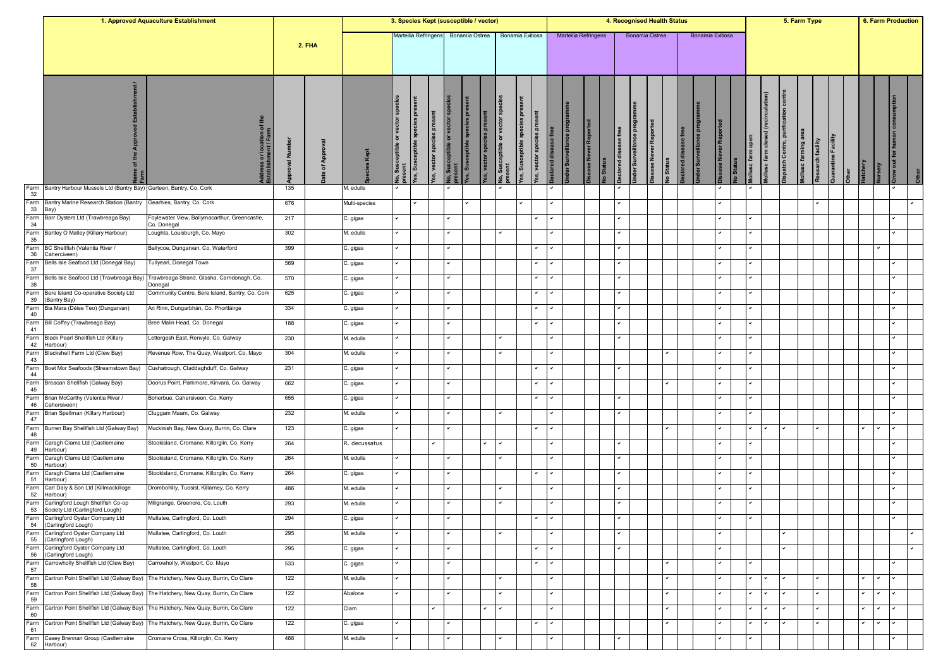|                                                                                                                                                                                                                                                                                                                                                                                                                                                                                                                                                                                                                                                                                                                                                                                                                                                                                                                                                                                                                                                                                                                                                                                                                                                                                                                                                                                                                                                                                                                                                                                                                                                                                                                                                                                               |                                                 | 1. Approved Aquaculture Establishment                        |            |               |               |                |                                      |                                |                                        | 3. Species Kept (susceptible / vector) |                                   |                        |                                          |   |                             |                    |          |                      |                         | 4. Recognised Health Status     |                    |                  |               |         |                                                           |                                     |   | 5. Farm Type                             |                     |              |              | 6. Farm Production |  |
|-----------------------------------------------------------------------------------------------------------------------------------------------------------------------------------------------------------------------------------------------------------------------------------------------------------------------------------------------------------------------------------------------------------------------------------------------------------------------------------------------------------------------------------------------------------------------------------------------------------------------------------------------------------------------------------------------------------------------------------------------------------------------------------------------------------------------------------------------------------------------------------------------------------------------------------------------------------------------------------------------------------------------------------------------------------------------------------------------------------------------------------------------------------------------------------------------------------------------------------------------------------------------------------------------------------------------------------------------------------------------------------------------------------------------------------------------------------------------------------------------------------------------------------------------------------------------------------------------------------------------------------------------------------------------------------------------------------------------------------------------------------------------------------------------|-------------------------------------------------|--------------------------------------------------------------|------------|---------------|---------------|----------------|--------------------------------------|--------------------------------|----------------------------------------|----------------------------------------|-----------------------------------|------------------------|------------------------------------------|---|-----------------------------|--------------------|----------|----------------------|-------------------------|---------------------------------|--------------------|------------------|---------------|---------|-----------------------------------------------------------|-------------------------------------|---|------------------------------------------|---------------------|--------------|--------------|--------------------|--|
| Farm<br>Bantry Harbour Mussels Ltd (Bantry Bay) Gurteen, Bantry, Co. Cork<br>32<br>Farm<br>Bantry Marine Research Station (Bantry<br>33<br>Bay)<br>Farm<br>Barr Oysters Ltd (Trawbreaga Bay)<br>34<br>Farm<br>Bartley O Malley (Killary Harbour)<br>35<br>Farm<br>BC Shellfish (Valentia River /<br>36<br>Caherciveen)<br>Farm<br>Bells Isle Seafood Ltd (Donegal Bay)<br>37<br>Farm<br>Bells Isle Seafood Ltd (Trawbreaga Bay)<br>38<br>Farm<br>Bere Island Co-operative Society Ltd<br>39<br>(Bantry Bay)<br>Farm<br>Bia Mara (Déise Teo) (Dungarvan)<br>40<br>Farm<br>Bill Coffey (Trawbreaga Bay)<br>41<br>Farm<br>Black Pearl Shellfish Ltd (Killary<br>42<br>Harbour)<br>Farm<br>Blackshell Farm Ltd (Clew Bay)<br>43<br>Farm<br>Boet Mor Seafoods (Streamstown Bay)<br>44<br>Farm<br>Breacan Shellfish (Galway Bay)<br>45<br>Farm<br>Brian McCarthy (Valentia River /<br>46<br>Cahersiveen)<br>Farm<br>Brian Spellman (Killary Harbour)<br>47<br>Farm<br>Burren Bay Shellfish Ltd (Galway Bay)<br>48<br>Farm<br>Caragh Clams Ltd (Castlemaine<br>49<br>Harbour)<br>Farm<br>Caragh Clams Ltd (Castlemaine<br>50<br>Harbour)<br>Farm<br>Caragh Clams Ltd (Castlemaine<br>51<br>Harbour)<br>Farm<br>Carl Daly & Son Ltd (Killmackilloge<br>52<br>Harbour)<br>Farm<br>Carlingford Lough Shellfish Co-op<br>53<br>Society Ltd (Carlingford Lough)<br>Farm Carlingford Oyster Company Ltd<br>54 (Carlingford Lough)<br>Farm Carlingford Oyster Company Ltd<br>55<br>(Carlingford Lough)<br>Farm Carlingford Oyster Company Ltd<br>56<br>(Carlingford Lough)<br>Farm Carrowholly Shellfish Ltd (Clew Bay)<br>57<br>Farm<br>Cartron Point Shellfish Ltd (Galway Bay)<br>58<br>Farm<br>Cartron Point Shellfish Ltd (Galway Bay)<br>59<br>Farm<br>Cartron Point Shellfish Ltd (Galway Bay)<br>60 |                                                 |                                                              |            | <b>2. FHA</b> |               |                | Marteilia Refringens                 |                                |                                        | Bonamia Ostrea                         |                                   | Bonamia Exitiosa       |                                          |   | <b>Marteilia Refringens</b> |                    |          |                      |                         | Bonamia Ostrea                  |                    | Bonamia Exitiosa |               |         |                                                           |                                     |   |                                          |                     |              |              |                    |  |
|                                                                                                                                                                                                                                                                                                                                                                                                                                                                                                                                                                                                                                                                                                                                                                                                                                                                                                                                                                                                                                                                                                                                                                                                                                                                                                                                                                                                                                                                                                                                                                                                                                                                                                                                                                                               |                                                 | dress or location of th<br>tablishment / Farm                | Ē<br>roval | App<br>৳      |               | $\overline{5}$ | species pres<br>ceptible<br>fes, Sus | <b>P</b><br>es, vector species | lo, Susceptible or vector sp<br>resent | fes, Susceptible species pre           | es, vector species pre<br>or vect | sceptible s<br>eptible | ă<br>စိ<br>vector spec<br>es, Sus<br>es, | 壱 | proj<br>der Surveillance    | ase Never Reported | o Status | eclared disease free | Inder Surveillance prog | ase Never Reported<br>lo Status | eclared disease fr |                  | se Never Repo | lo Stat | (recirculation)<br>ollusc farm closed<br>ollusc farm open | ispatch Centre, purification centre |   | lollusc farming are<br>Research facility | Quarantine Facility | atchery      | ξP           | $\overline{a}$     |  |
|                                                                                                                                                                                                                                                                                                                                                                                                                                                                                                                                                                                                                                                                                                                                                                                                                                                                                                                                                                                                                                                                                                                                                                                                                                                                                                                                                                                                                                                                                                                                                                                                                                                                                                                                                                                               |                                                 |                                                              | 135        |               | M. edulis     |                |                                      |                                |                                        |                                        |                                   |                        |                                          |   |                             |                    |          |                      |                         |                                 |                    |                  |               |         |                                                           |                                     |   |                                          |                     |              |              |                    |  |
|                                                                                                                                                                                                                                                                                                                                                                                                                                                                                                                                                                                                                                                                                                                                                                                                                                                                                                                                                                                                                                                                                                                                                                                                                                                                                                                                                                                                                                                                                                                                                                                                                                                                                                                                                                                               |                                                 | Gearhies, Bantry, Co. Cork                                   | 676        |               | Multi-species |                | ◡                                    |                                |                                        |                                        |                                   |                        |                                          |   |                             |                    |          | ◡                    |                         |                                 |                    |                  |               |         |                                                           |                                     |   | ◡                                        |                     |              |              |                    |  |
|                                                                                                                                                                                                                                                                                                                                                                                                                                                                                                                                                                                                                                                                                                                                                                                                                                                                                                                                                                                                                                                                                                                                                                                                                                                                                                                                                                                                                                                                                                                                                                                                                                                                                                                                                                                               |                                                 | Foylewater View, Ballymacarthur, Greencastle,<br>Co. Donegal | 217        |               | C. gigas      |                |                                      |                                |                                        |                                        |                                   |                        |                                          |   |                             |                    |          |                      |                         |                                 |                    |                  |               |         |                                                           |                                     |   |                                          |                     |              |              |                    |  |
|                                                                                                                                                                                                                                                                                                                                                                                                                                                                                                                                                                                                                                                                                                                                                                                                                                                                                                                                                                                                                                                                                                                                                                                                                                                                                                                                                                                                                                                                                                                                                                                                                                                                                                                                                                                               |                                                 | Loughta, Louisburgh, Co. Mayo                                | 302        |               | M. edulis     |                |                                      |                                |                                        |                                        |                                   |                        |                                          |   |                             |                    |          | ◡                    |                         |                                 |                    |                  |               |         | ◡                                                         |                                     |   |                                          |                     |              |              |                    |  |
|                                                                                                                                                                                                                                                                                                                                                                                                                                                                                                                                                                                                                                                                                                                                                                                                                                                                                                                                                                                                                                                                                                                                                                                                                                                                                                                                                                                                                                                                                                                                                                                                                                                                                                                                                                                               |                                                 | Ballycoe, Dungarvan, Co. Waterford                           | 399        |               | C. gigas      |                |                                      |                                |                                        |                                        |                                   |                        | $\checkmark$                             |   |                             |                    |          |                      |                         |                                 |                    |                  |               |         | ✓                                                         |                                     |   |                                          |                     |              |              |                    |  |
|                                                                                                                                                                                                                                                                                                                                                                                                                                                                                                                                                                                                                                                                                                                                                                                                                                                                                                                                                                                                                                                                                                                                                                                                                                                                                                                                                                                                                                                                                                                                                                                                                                                                                                                                                                                               |                                                 | Fullyearl, Donegal Town                                      | 569        |               | C. gigas      |                |                                      |                                |                                        |                                        |                                   |                        |                                          |   |                             |                    |          |                      |                         |                                 |                    |                  |               |         |                                                           |                                     |   |                                          |                     |              |              |                    |  |
|                                                                                                                                                                                                                                                                                                                                                                                                                                                                                                                                                                                                                                                                                                                                                                                                                                                                                                                                                                                                                                                                                                                                                                                                                                                                                                                                                                                                                                                                                                                                                                                                                                                                                                                                                                                               |                                                 | Trawbreaga Strand, Glasha, Carndonagh, Co.<br>Donegal        | 570        |               | C. gigas      |                |                                      |                                |                                        |                                        |                                   |                        |                                          |   |                             |                    |          |                      |                         |                                 |                    |                  |               |         |                                                           |                                     |   |                                          |                     |              |              |                    |  |
|                                                                                                                                                                                                                                                                                                                                                                                                                                                                                                                                                                                                                                                                                                                                                                                                                                                                                                                                                                                                                                                                                                                                                                                                                                                                                                                                                                                                                                                                                                                                                                                                                                                                                                                                                                                               |                                                 | Community Centre, Bere Island, Bantry, Co. Cork              | 625        |               | C. gigas      |                |                                      |                                | $\checkmark$                           |                                        |                                   |                        |                                          |   |                             |                    |          | $\checkmark$         |                         |                                 |                    |                  |               |         | ◡                                                         |                                     |   |                                          |                     |              |              |                    |  |
|                                                                                                                                                                                                                                                                                                                                                                                                                                                                                                                                                                                                                                                                                                                                                                                                                                                                                                                                                                                                                                                                                                                                                                                                                                                                                                                                                                                                                                                                                                                                                                                                                                                                                                                                                                                               |                                                 | An Rinn, Dungarbhán, Co. Phortláirge                         | 334        |               | C. gigas      |                |                                      |                                | $\checkmark$                           |                                        |                                   |                        | $\checkmark$                             |   |                             |                    |          | v                    |                         |                                 |                    |                  |               |         | ✓                                                         |                                     |   |                                          |                     |              |              |                    |  |
|                                                                                                                                                                                                                                                                                                                                                                                                                                                                                                                                                                                                                                                                                                                                                                                                                                                                                                                                                                                                                                                                                                                                                                                                                                                                                                                                                                                                                                                                                                                                                                                                                                                                                                                                                                                               |                                                 | Bree Malin Head, Co. Donegal                                 | 188        |               | C. gigas      |                |                                      |                                | $\overline{\phantom{0}}$               |                                        |                                   |                        | $\checkmark$                             |   |                             |                    |          | $\checkmark$         |                         |                                 |                    |                  |               |         | ◡                                                         |                                     |   |                                          |                     |              |              |                    |  |
|                                                                                                                                                                                                                                                                                                                                                                                                                                                                                                                                                                                                                                                                                                                                                                                                                                                                                                                                                                                                                                                                                                                                                                                                                                                                                                                                                                                                                                                                                                                                                                                                                                                                                                                                                                                               |                                                 | Lettergesh East, Renvyle, Co. Galway                         | 230        |               | M. edulis     |                |                                      |                                | $\checkmark$                           |                                        |                                   |                        |                                          |   |                             |                    |          | ◡                    |                         |                                 |                    |                  |               |         | ◡                                                         |                                     |   |                                          |                     |              |              |                    |  |
|                                                                                                                                                                                                                                                                                                                                                                                                                                                                                                                                                                                                                                                                                                                                                                                                                                                                                                                                                                                                                                                                                                                                                                                                                                                                                                                                                                                                                                                                                                                                                                                                                                                                                                                                                                                               |                                                 | Revenue Row, The Quay, Westport, Co. Mayo                    | 304        |               | M. edulis     |                |                                      |                                |                                        |                                        |                                   |                        |                                          |   |                             |                    |          |                      |                         |                                 |                    |                  |               |         |                                                           |                                     |   |                                          |                     |              |              |                    |  |
|                                                                                                                                                                                                                                                                                                                                                                                                                                                                                                                                                                                                                                                                                                                                                                                                                                                                                                                                                                                                                                                                                                                                                                                                                                                                                                                                                                                                                                                                                                                                                                                                                                                                                                                                                                                               |                                                 | Cushatrough, Claddaghduff, Co. Galway                        | 231        |               | C. gigas      |                |                                      |                                | $\checkmark$                           |                                        |                                   |                        |                                          |   |                             |                    |          | ✓                    |                         |                                 |                    |                  |               |         | ◡                                                         |                                     |   |                                          |                     |              |              |                    |  |
|                                                                                                                                                                                                                                                                                                                                                                                                                                                                                                                                                                                                                                                                                                                                                                                                                                                                                                                                                                                                                                                                                                                                                                                                                                                                                                                                                                                                                                                                                                                                                                                                                                                                                                                                                                                               |                                                 | Doorus Point, Parkmore, Kinvara, Co. Galway                  | 662        |               | C. gigas      |                |                                      |                                |                                        |                                        |                                   |                        |                                          |   |                             |                    |          |                      |                         |                                 |                    |                  |               |         |                                                           |                                     |   |                                          |                     |              |              |                    |  |
|                                                                                                                                                                                                                                                                                                                                                                                                                                                                                                                                                                                                                                                                                                                                                                                                                                                                                                                                                                                                                                                                                                                                                                                                                                                                                                                                                                                                                                                                                                                                                                                                                                                                                                                                                                                               |                                                 | Boherbue, Cahersiveen, Co. Kerry                             | 655        |               | C. gigas      |                |                                      |                                |                                        |                                        |                                   |                        |                                          |   |                             |                    |          |                      |                         |                                 |                    |                  |               |         |                                                           |                                     |   |                                          |                     |              |              |                    |  |
|                                                                                                                                                                                                                                                                                                                                                                                                                                                                                                                                                                                                                                                                                                                                                                                                                                                                                                                                                                                                                                                                                                                                                                                                                                                                                                                                                                                                                                                                                                                                                                                                                                                                                                                                                                                               |                                                 | Cluggam Maam, Co. Galway                                     | 232        |               | M. edulis     |                |                                      |                                |                                        |                                        |                                   |                        |                                          |   |                             |                    |          |                      |                         |                                 |                    |                  |               |         |                                                           |                                     |   |                                          |                     |              |              |                    |  |
|                                                                                                                                                                                                                                                                                                                                                                                                                                                                                                                                                                                                                                                                                                                                                                                                                                                                                                                                                                                                                                                                                                                                                                                                                                                                                                                                                                                                                                                                                                                                                                                                                                                                                                                                                                                               |                                                 | Muckinish Bay, New Quay, Burrin, Co. Clare                   | 123        |               | C. gigas      |                |                                      |                                | $\overline{\phantom{0}}$               |                                        |                                   |                        |                                          |   |                             |                    |          |                      |                         | ✓                               |                    |                  |               |         | ◡                                                         |                                     |   | $\checkmark$                             |                     |              |              |                    |  |
|                                                                                                                                                                                                                                                                                                                                                                                                                                                                                                                                                                                                                                                                                                                                                                                                                                                                                                                                                                                                                                                                                                                                                                                                                                                                                                                                                                                                                                                                                                                                                                                                                                                                                                                                                                                               |                                                 | Stookisland, Cromane, Killorglin, Co. Kerry                  | 264        |               | R. decussatus |                |                                      |                                |                                        |                                        | $\checkmark$<br>$\checkmark$      |                        |                                          |   |                             |                    |          | v                    |                         |                                 |                    |                  |               |         | ✓                                                         |                                     |   |                                          |                     |              |              |                    |  |
|                                                                                                                                                                                                                                                                                                                                                                                                                                                                                                                                                                                                                                                                                                                                                                                                                                                                                                                                                                                                                                                                                                                                                                                                                                                                                                                                                                                                                                                                                                                                                                                                                                                                                                                                                                                               |                                                 | Stookisland, Cromane, Killorglin, Co. Kerry                  | 264        |               | M. edulis     |                |                                      |                                | $\overline{\phantom{0}}$               |                                        |                                   |                        |                                          |   |                             |                    |          | $\checkmark$         |                         |                                 |                    |                  |               |         | ◡                                                         |                                     |   |                                          |                     |              |              |                    |  |
|                                                                                                                                                                                                                                                                                                                                                                                                                                                                                                                                                                                                                                                                                                                                                                                                                                                                                                                                                                                                                                                                                                                                                                                                                                                                                                                                                                                                                                                                                                                                                                                                                                                                                                                                                                                               |                                                 | Stookisland, Cromane, Killorglin, Co. Kerry                  | 264        |               | C. gigas      |                |                                      |                                | $\checkmark$                           |                                        |                                   |                        | $\checkmark$                             |   |                             |                    |          | ◡                    |                         |                                 |                    |                  |               |         | ◡                                                         |                                     |   |                                          |                     |              |              |                    |  |
|                                                                                                                                                                                                                                                                                                                                                                                                                                                                                                                                                                                                                                                                                                                                                                                                                                                                                                                                                                                                                                                                                                                                                                                                                                                                                                                                                                                                                                                                                                                                                                                                                                                                                                                                                                                               |                                                 | Drombohilly, Tuosist, Killarney, Co. Kerry                   | 486        |               | M. edulis     |                |                                      |                                |                                        |                                        |                                   |                        |                                          |   |                             |                    |          |                      |                         |                                 |                    |                  |               |         |                                                           |                                     |   |                                          |                     |              |              |                    |  |
|                                                                                                                                                                                                                                                                                                                                                                                                                                                                                                                                                                                                                                                                                                                                                                                                                                                                                                                                                                                                                                                                                                                                                                                                                                                                                                                                                                                                                                                                                                                                                                                                                                                                                                                                                                                               |                                                 | Millgrange, Greenore, Co. Louth                              | 293        |               | M. edulis     |                |                                      |                                |                                        |                                        |                                   |                        |                                          |   |                             |                    |          | v                    |                         |                                 |                    |                  |               |         | ✓                                                         |                                     |   |                                          |                     |              |              |                    |  |
|                                                                                                                                                                                                                                                                                                                                                                                                                                                                                                                                                                                                                                                                                                                                                                                                                                                                                                                                                                                                                                                                                                                                                                                                                                                                                                                                                                                                                                                                                                                                                                                                                                                                                                                                                                                               |                                                 | Mullatee, Carlingford, Co. Louth                             | 294        |               | C. gigas      |                |                                      |                                | $\checkmark$                           |                                        |                                   |                        | $\checkmark$                             |   |                             |                    |          | ۰                    |                         |                                 |                    |                  |               |         | ◡                                                         |                                     |   |                                          |                     |              |              |                    |  |
|                                                                                                                                                                                                                                                                                                                                                                                                                                                                                                                                                                                                                                                                                                                                                                                                                                                                                                                                                                                                                                                                                                                                                                                                                                                                                                                                                                                                                                                                                                                                                                                                                                                                                                                                                                                               |                                                 | Mullatee, Carlingford, Co. Louth                             | 295        |               | M. edulis     |                |                                      |                                |                                        |                                        |                                   |                        |                                          |   |                             |                    |          |                      |                         |                                 |                    |                  |               |         |                                                           |                                     |   |                                          |                     |              |              |                    |  |
|                                                                                                                                                                                                                                                                                                                                                                                                                                                                                                                                                                                                                                                                                                                                                                                                                                                                                                                                                                                                                                                                                                                                                                                                                                                                                                                                                                                                                                                                                                                                                                                                                                                                                                                                                                                               |                                                 | Mullatee, Carlingford, Co. Louth                             | 295        |               | C. gigas      |                |                                      |                                | $\checkmark$                           |                                        |                                   |                        |                                          |   |                             |                    |          | ◡                    |                         |                                 |                    |                  |               |         |                                                           |                                     | ◡ |                                          |                     |              |              |                    |  |
|                                                                                                                                                                                                                                                                                                                                                                                                                                                                                                                                                                                                                                                                                                                                                                                                                                                                                                                                                                                                                                                                                                                                                                                                                                                                                                                                                                                                                                                                                                                                                                                                                                                                                                                                                                                               |                                                 | Carrowholly, Westport, Co. Mayo                              | 533        |               | C. gigas      |                |                                      |                                | $\checkmark$                           |                                        |                                   |                        |                                          |   |                             |                    |          |                      |                         | $\checkmark$                    |                    |                  |               |         | ◡                                                         |                                     |   |                                          |                     |              |              |                    |  |
|                                                                                                                                                                                                                                                                                                                                                                                                                                                                                                                                                                                                                                                                                                                                                                                                                                                                                                                                                                                                                                                                                                                                                                                                                                                                                                                                                                                                                                                                                                                                                                                                                                                                                                                                                                                               |                                                 | The Hatchery, New Quay, Burrin, Co Clare                     | 122        |               | M. edulis     |                |                                      |                                | $\checkmark$                           |                                        |                                   |                        |                                          |   |                             |                    |          |                      |                         | ✓                               |                    |                  |               |         | ✓                                                         |                                     |   | ◡                                        |                     |              |              |                    |  |
|                                                                                                                                                                                                                                                                                                                                                                                                                                                                                                                                                                                                                                                                                                                                                                                                                                                                                                                                                                                                                                                                                                                                                                                                                                                                                                                                                                                                                                                                                                                                                                                                                                                                                                                                                                                               |                                                 | The Hatchery, New Quay, Burrin, Co Clare                     | 122        |               | Abalone       |                |                                      |                                | $\overline{\phantom{0}}$               |                                        |                                   |                        |                                          |   |                             |                    |          |                      |                         | $\checkmark$                    |                    |                  |               |         | ◡<br>◡                                                    | $\checkmark$                        |   | $\checkmark$                             |                     | $\checkmark$ | $\checkmark$ |                    |  |
|                                                                                                                                                                                                                                                                                                                                                                                                                                                                                                                                                                                                                                                                                                                                                                                                                                                                                                                                                                                                                                                                                                                                                                                                                                                                                                                                                                                                                                                                                                                                                                                                                                                                                                                                                                                               |                                                 | The Hatchery, New Quay, Burrin, Co Clare                     | 122        |               | Clam          |                |                                      | $\checkmark$                   |                                        |                                        | $\checkmark$<br>$\checkmark$      |                        |                                          |   |                             |                    |          |                      |                         | ✓                               |                    |                  |               |         | ✓<br>◡                                                    | $\checkmark$                        |   | ✓                                        |                     | $\checkmark$ | $\checkmark$ |                    |  |
| Farm<br>61                                                                                                                                                                                                                                                                                                                                                                                                                                                                                                                                                                                                                                                                                                                                                                                                                                                                                                                                                                                                                                                                                                                                                                                                                                                                                                                                                                                                                                                                                                                                                                                                                                                                                                                                                                                    | Cartron Point Shellfish Ltd (Galway Bay)        | The Hatchery, New Quay, Burrin, Co Clare                     | 122        |               | C. gigas      |                |                                      |                                |                                        |                                        |                                   |                        | $\checkmark$                             |   |                             |                    |          |                      |                         | ◡                               |                    |                  |               |         | ◡                                                         |                                     |   | ✓                                        |                     | $\checkmark$ |              |                    |  |
| Farm I                                                                                                                                                                                                                                                                                                                                                                                                                                                                                                                                                                                                                                                                                                                                                                                                                                                                                                                                                                                                                                                                                                                                                                                                                                                                                                                                                                                                                                                                                                                                                                                                                                                                                                                                                                                        | Casey Brennan Group (Castlemaine<br>62 Harbour) | Cromane Cross, Killorglin, Co. Kerry                         | 488        |               | M. edulis     |                |                                      |                                |                                        |                                        |                                   |                        |                                          |   |                             |                    |          | ✓                    |                         |                                 |                    |                  |               |         | ✓                                                         |                                     |   |                                          |                     |              |              |                    |  |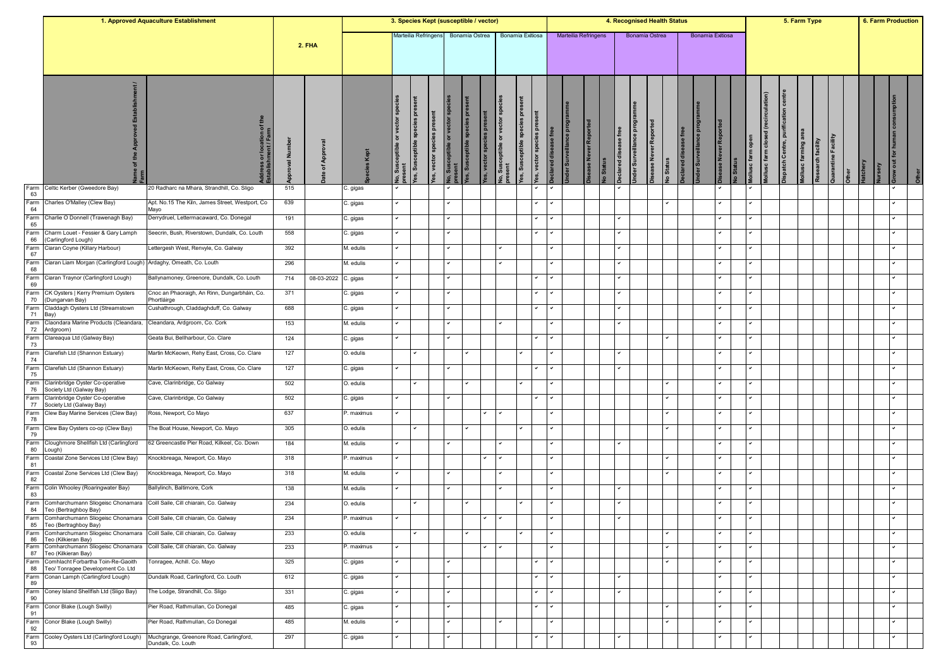|            |                                                                                                           | 1. Approved Aquaculture Establishment                         |              |               |                        | 3. Species Kept (susceptible / vector) |                                     |                                |                                                |                              |                        |              |                               |                               |                             |                    |                       |                                              |                               | 4. Recognised Health Status |                 |                         |                 |             |                                                       |      |                                                | 5. Farm Type                                     |                     |  | 6. Farm Production |  |
|------------|-----------------------------------------------------------------------------------------------------------|---------------------------------------------------------------|--------------|---------------|------------------------|----------------------------------------|-------------------------------------|--------------------------------|------------------------------------------------|------------------------------|------------------------|--------------|-------------------------------|-------------------------------|-----------------------------|--------------------|-----------------------|----------------------------------------------|-------------------------------|-----------------------------|-----------------|-------------------------|-----------------|-------------|-------------------------------------------------------|------|------------------------------------------------|--------------------------------------------------|---------------------|--|--------------------|--|
|            |                                                                                                           |                                                               |              | <b>2. FHA</b> |                        |                                        | Marteilia Refringen:                |                                |                                                | Bonamia Ostrea               |                        |              | Bonamia Exitiosa              |                               | <b>Marteilia Refringens</b> |                    |                       |                                              | Bonamia Ostrea                |                             |                 | <b>Bonamia Exitiosa</b> |                 |             |                                                       |      |                                                |                                                  |                     |  |                    |  |
|            |                                                                                                           | ress or location of th<br>blishment / Farm                    | Ē<br>pproval | App<br>৳      | 효<br>Le                | ិ                                      | species pre<br>eeptible<br>res, Sus | <b>B</b><br>es, vector species | <b>vo, Susceptible or vector sp</b><br>present | fes, Susceptible species pre | es, vector species pro | or vect      | 효<br>sceptible spr<br>as, Sus | ă<br>8<br>vector speci<br>es, | g<br><b>Ider Surve</b>      | ase Never Reported | ase free<br>lo Status | <b>Jnder Surveillance pro</b><br>eclared dis | <b>Disease Never Reported</b> | lo Status                   | eclared disease |                         | Repor<br>se Nev | <b>Stat</b> | (recirculat<br>ollusc farm closed<br>ollusc farm open | ion) | centre<br><b>Dispatch Centre, purification</b> | <b>Iollusc farming area</b><br>Research facility | Quarantine Facility |  | $\overline{a}$     |  |
| Farm<br>63 | Celtic Kerber (Gweedore Bay)                                                                              | 20 Radharc na Mhara, Strandhill, Co. Sligo                    | 515          |               | C. gigas               |                                        |                                     |                                |                                                |                              |                        |              |                               |                               |                             |                    |                       |                                              |                               |                             |                 |                         |                 |             |                                                       |      |                                                |                                                  |                     |  |                    |  |
| Farm<br>64 | Charles O'Malley (Clew Bay)                                                                               | Apt. No.15 The Kiln, James Street, Westport, Co<br>Mayo       | 639          |               | C. gigas               |                                        |                                     |                                | $\checkmark$                                   |                              |                        |              |                               |                               |                             |                    |                       |                                              |                               | ✓                           |                 |                         |                 |             | ◡                                                     |      |                                                |                                                  |                     |  |                    |  |
| Farm<br>65 | Charlie O Donnell (Trawenagh Bay)                                                                         | Derrydruel, Lettermacaward, Co. Donegal                       | 191          |               | C. gigas               |                                        |                                     |                                |                                                |                              |                        |              |                               |                               |                             |                    |                       |                                              |                               |                             |                 |                         |                 |             |                                                       |      |                                                |                                                  |                     |  |                    |  |
| Farm<br>66 | Charm Louet - Fessier & Gary Lamph<br>(Carlingford Lough)                                                 | Seecrin, Bush, Riverstown, Dundalk, Co. Louth                 | 558          |               | C. gigas               |                                        |                                     |                                |                                                |                              |                        |              |                               |                               |                             |                    |                       |                                              |                               |                             |                 |                         |                 |             |                                                       |      |                                                |                                                  |                     |  |                    |  |
| Farm<br>67 | Ciaran Coyne (Killary Harbour)                                                                            | ettergesh West, Renvyle, Co. Galway.                          | 392          |               | M. edulis              |                                        |                                     |                                |                                                |                              |                        |              |                               |                               |                             |                    |                       |                                              |                               |                             |                 |                         |                 |             |                                                       |      |                                                |                                                  |                     |  |                    |  |
| Farm<br>68 | Ciaran Liam Morgan (Carlingford Lough) Ardaghy, Omeath, Co. Louth                                         |                                                               | 296          |               | M. edulis              |                                        |                                     |                                |                                                |                              |                        |              |                               |                               |                             |                    |                       |                                              |                               |                             |                 |                         |                 |             |                                                       |      |                                                |                                                  |                     |  |                    |  |
| Farm<br>69 | Ciaran Traynor (Carlingford Lough)                                                                        | Ballynamoney, Greenore, Dundalk, Co. Louth                    | 714          | 08-03-2022    | C. gigas               |                                        |                                     |                                |                                                |                              |                        |              |                               |                               |                             |                    |                       | ◡                                            |                               |                             |                 |                         |                 |             | ✓                                                     |      |                                                |                                                  |                     |  |                    |  |
| Farm<br>70 | CK Oysters   Kerry Premium Oysters<br>(Dungarvan Bay)                                                     | Cnoc an Phaoraigh, An Rinn, Dungarbháin, Co.<br>Phortláirge   | 371          |               | C. gigas               |                                        |                                     |                                |                                                |                              |                        |              |                               |                               |                             |                    | ◡                     |                                              |                               |                             |                 |                         |                 |             | ◡                                                     |      |                                                |                                                  |                     |  |                    |  |
| Farm<br>71 | Claddagh Oysters Ltd (Streamstown<br>Bay)                                                                 | Cushathrough, Claddaghduff, Co. Galway                        | 688          |               | C. gigas               |                                        |                                     |                                |                                                |                              |                        |              |                               | $\checkmark$                  |                             |                    |                       | ◡                                            |                               |                             |                 |                         |                 |             | ✓                                                     |      |                                                |                                                  |                     |  |                    |  |
| Farm<br>72 | Claondara Marine Products (Cleandara,<br>Ardgroom)                                                        | Cleandara, Ardgroom, Co. Cork                                 | 153          |               | M. edulis              |                                        |                                     |                                |                                                |                              |                        |              |                               |                               |                             |                    |                       |                                              |                               |                             |                 |                         |                 |             | ◡                                                     |      |                                                |                                                  |                     |  |                    |  |
| Farm<br>73 | Clareaqua Ltd (Galway Bay)                                                                                | Geata Bui, Bellharbour, Co. Clare                             | 124          |               | C. gigas               |                                        |                                     |                                | $\checkmark$                                   |                              |                        |              |                               |                               |                             |                    |                       |                                              |                               | ✓                           |                 |                         |                 |             | ✓                                                     |      |                                                |                                                  |                     |  |                    |  |
| Farm<br>74 | Clarefish Ltd (Shannon Estuary)                                                                           | Martin McKeown, Rehy East, Cross, Co. Clare                   | 127          |               | O. edulis              |                                        |                                     |                                |                                                |                              |                        |              |                               |                               |                             |                    |                       |                                              |                               |                             |                 |                         |                 |             |                                                       |      |                                                |                                                  |                     |  |                    |  |
| Farm<br>75 | Clarefish Ltd (Shannon Estuary)                                                                           | Martin McKeown, Rehy East, Cross, Co. Clare                   | 127          |               | C. gigas               |                                        |                                     |                                |                                                |                              |                        |              |                               |                               |                             |                    |                       |                                              |                               |                             |                 |                         |                 |             |                                                       |      |                                                |                                                  |                     |  |                    |  |
| Farm<br>76 | Clarinbridge Oyster Co-operative<br>Society Ltd (Galway Bay)                                              | Cave, Clarinbridge, Co Galway                                 | 502          |               | O. edulis              |                                        | v                                   |                                |                                                |                              |                        |              | $\checkmark$                  |                               |                             |                    |                       |                                              |                               | ✓                           |                 |                         |                 |             | ✓                                                     |      |                                                |                                                  |                     |  |                    |  |
| Farm<br>77 | Clarinbridge Oyster Co-operative<br>Society Ltd (Galway Bay)                                              | Cave, Clarinbridge, Co Galway                                 | 502          |               | C. gigas               |                                        |                                     |                                |                                                |                              |                        |              |                               |                               |                             |                    |                       |                                              |                               |                             |                 |                         |                 |             | ✓                                                     |      |                                                |                                                  |                     |  |                    |  |
| Farm<br>78 | Clew Bay Marine Services (Clew Bay)                                                                       | Ross, Newport, Co Mayo                                        | 637          |               | P. maximus             |                                        |                                     |                                |                                                |                              | $\checkmark$           |              |                               |                               |                             |                    |                       |                                              |                               | $\checkmark$                |                 |                         |                 |             | ✓                                                     |      |                                                |                                                  |                     |  |                    |  |
| Farm<br>79 | Clew Bay Oysters co-op (Clew Bay)                                                                         | The Boat House, Newport, Co. Mayo                             | 305          |               | O. edulis              |                                        |                                     |                                |                                                |                              |                        |              |                               |                               |                             |                    |                       |                                              |                               | ◡                           |                 |                         |                 |             | ◡                                                     |      |                                                |                                                  |                     |  |                    |  |
| Farm<br>80 | Cloughmore Shellfish Ltd (Carlingford<br>.ough)                                                           | 62 Greencastle Pier Road, Kilkeel, Co. Down                   | 184          |               | M. edulis              |                                        |                                     |                                |                                                |                              |                        |              |                               |                               |                             |                    |                       | ✓                                            |                               |                             |                 |                         |                 |             | ✓                                                     |      |                                                |                                                  |                     |  |                    |  |
| Farm<br>81 | Coastal Zone Services Ltd (Clew Bay)                                                                      | Knockbreaga, Newport, Co. Mayo                                | 318          |               | <sup>5</sup> . maximus |                                        |                                     |                                |                                                |                              |                        | $\checkmark$ |                               |                               |                             |                    |                       |                                              |                               |                             |                 |                         |                 |             | ◡                                                     |      |                                                |                                                  |                     |  |                    |  |
| Farm<br>82 | Coastal Zone Services Ltd (Clew Bay)                                                                      | Knockbreaga, Newport, Co. Mayo                                | 318          |               | M. edulis              |                                        |                                     |                                | $\checkmark$                                   |                              |                        |              |                               |                               |                             |                    |                       |                                              |                               | ✓                           |                 |                         |                 |             | ✓                                                     |      |                                                |                                                  |                     |  |                    |  |
| Farm<br>83 | Colin Whooley (Roaringwater Bay)                                                                          | Ballylinch, Baltimore, Cork                                   | 138          |               | M. edulis              |                                        |                                     |                                |                                                |                              |                        |              |                               |                               |                             |                    |                       |                                              |                               |                             |                 |                         |                 |             |                                                       |      |                                                |                                                  |                     |  |                    |  |
| Farm<br>84 | Comharchumann Sliogeisc Chonamara Coill Saile, Cill chiarain, Co. Galway<br>Teo (Bertraghboy Bay)         |                                                               | 234          |               | O. edulis              |                                        |                                     |                                |                                                |                              |                        |              |                               |                               |                             |                    |                       |                                              |                               |                             |                 |                         |                 |             |                                                       |      |                                                |                                                  |                     |  |                    |  |
|            | Farm Comharchumann Sliogeisc Chonamara Coill Saile, Cill chiarain, Co. Galway<br>85 Teo (Bertraghboy Bay) |                                                               | 234          |               | P. maximus             |                                        |                                     |                                |                                                |                              | $\sim$                 | $\checkmark$ |                               |                               |                             |                    |                       | $\checkmark$                                 |                               |                             |                 |                         |                 |             | $\checkmark$                                          |      |                                                |                                                  |                     |  |                    |  |
|            | Farm Comharchumann Sliogeisc Chonamara Coill Saile, Cill chiarain, Co. Galway<br>86 Teo (Kilkieran Bay)   |                                                               | 233          |               | O. edulis              |                                        |                                     |                                |                                                |                              |                        |              |                               |                               |                             |                    |                       |                                              |                               |                             |                 |                         |                 |             |                                                       |      |                                                |                                                  |                     |  |                    |  |
| 87         | Farm Comharchumann Sliogeisc Chonamara Coill Saile, Cill chiarain, Co. Galway<br>Teo (Kilkieran Bay)      |                                                               | 233          |               | P. maximus             |                                        |                                     |                                |                                                |                              |                        |              |                               |                               |                             |                    |                       |                                              |                               | v                           |                 |                         |                 |             | ◡                                                     |      |                                                |                                                  |                     |  |                    |  |
| 88         | Farm Comhlacht Forbartha Toin-Re-Gaoith<br>Teo/ Tonragee Development Co. Ltd                              | Tonragee, Achill. Co. Mayo                                    | 325          |               | C. gigas               |                                        |                                     |                                |                                                |                              |                        |              |                               |                               |                             |                    |                       |                                              |                               | ✓                           |                 |                         |                 |             | ◡                                                     |      |                                                |                                                  |                     |  |                    |  |
| 89         | Farm Conan Lamph (Carlingford Lough)                                                                      | Dundalk Road, Carlingford, Co. Louth                          | 612          |               | C. gigas               |                                        |                                     |                                |                                                |                              |                        |              |                               |                               |                             |                    |                       |                                              |                               |                             |                 |                         |                 |             | ◡                                                     |      |                                                |                                                  |                     |  |                    |  |
| Farm<br>90 | Coney Island Shellfish Ltd (Sligo Bay)                                                                    | The Lodge, Strandhill, Co. Sligo                              | 331          |               | C. gigas               |                                        |                                     |                                | $\checkmark$                                   |                              |                        |              |                               | $\checkmark$                  |                             |                    |                       | ◡                                            |                               |                             |                 |                         |                 |             | ✓                                                     |      |                                                |                                                  |                     |  |                    |  |
| Farm<br>91 | Conor Blake (Lough Swilly)                                                                                | Pier Road, Rathmullan, Co Donegal                             | 485          |               | C. gigas               |                                        |                                     |                                |                                                |                              |                        |              |                               | $\checkmark$                  |                             |                    |                       |                                              |                               |                             |                 |                         |                 |             | ◡                                                     |      |                                                |                                                  |                     |  |                    |  |
| Farm<br>92 | Conor Blake (Lough Swilly)                                                                                | Pier Road, Rathmullan, Co Donegal                             | 485          |               | M. edulis              |                                        |                                     |                                | $\checkmark$                                   |                              |                        |              |                               |                               |                             |                    |                       |                                              |                               | ✓                           |                 |                         |                 |             | ✓                                                     |      |                                                |                                                  |                     |  |                    |  |
| Farm<br>93 | Cooley Oysters Ltd (Carlingford Lough)                                                                    | Muchgrange, Greenore Road, Carlingford,<br>Dundalk, Co. Louth | 297          |               | C. gigas               |                                        |                                     |                                |                                                |                              |                        |              |                               |                               |                             |                    |                       |                                              |                               |                             |                 |                         |                 |             |                                                       |      |                                                |                                                  |                     |  |                    |  |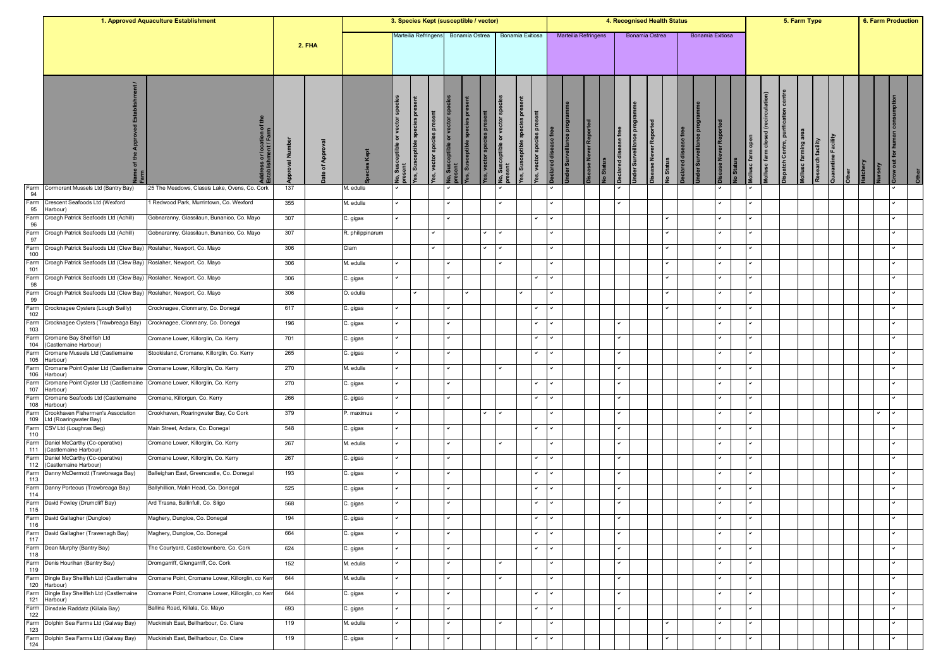|             |                                                                    | 1. Approved Aquaculture Establishment             |            |               |                  | 3. Species Kept (susceptible / vector) |                                       |                         |                                        |                                   |                 |                                         |                                                             |               |                       |                    |          |                      |                        | 4. Recognised Health Status                       |                     |                  |                |                             |                                       |                                     |                     | 5. Farm Type      |                     |         |                      | <b>6. Farm Production</b> |  |
|-------------|--------------------------------------------------------------------|---------------------------------------------------|------------|---------------|------------------|----------------------------------------|---------------------------------------|-------------------------|----------------------------------------|-----------------------------------|-----------------|-----------------------------------------|-------------------------------------------------------------|---------------|-----------------------|--------------------|----------|----------------------|------------------------|---------------------------------------------------|---------------------|------------------|----------------|-----------------------------|---------------------------------------|-------------------------------------|---------------------|-------------------|---------------------|---------|----------------------|---------------------------|--|
|             |                                                                    |                                                   |            | <b>2. FHA</b> |                  |                                        | Marteilia Refringens                  |                         |                                        | Bonamia Ostrea                    |                 |                                         | Bonamia Exitiosa                                            |               | Marteilia Refringens  |                    |          |                      |                        | Bonamia Ostrea                                    |                     | Bonamia Exitiosa |                |                             |                                       |                                     |                     |                   |                     |         |                      |                           |  |
|             |                                                                    | ress or location of<br>blishment / Farm           | å<br>roval | App<br>৳      |                  | vector spe<br>$\overline{5}$           | ā<br>species pres<br>res, Susceptible | les, vector species pre | lo, Susceptible or vector sp<br>resent | sceptible species pro<br>fes, Sus | es, vector spec | lo, Susceptible or vector sp<br>rresent | <b>P</b><br>8ei<br>sceptible<br>es, vector spec<br>fes, Sus | 壱<br><b>g</b> | 효<br>der Surveillance | ase Never Reported | o Status | aclared disease free | nder Surveillance prog | <b>Disease Never Reported</b><br><b>Jo Status</b> | eclared disease fro | der Surve        | se Never Repor | ollusc farm open<br>lo Stat | (recirculation)<br>ollusc farm closed | ispatch Centre, purification centre | Mollusc farming are | Research facility | Quarantine Facility | atchery | $\overline{5}$<br>ξP |                           |  |
| Farm<br>94  | Cormorant Mussels Ltd (Bantry Bay)                                 | 25 The Meadows, Classis Lake, Ovens, Co. Cork     | 137        |               | M. edulis        |                                        |                                       |                         |                                        |                                   |                 |                                         |                                                             |               |                       |                    |          |                      |                        |                                                   |                     |                  |                |                             |                                       |                                     |                     |                   |                     |         |                      |                           |  |
| Farm<br>95  | Crescent Seafoods Ltd (Wexford<br>Harbour)                         | 1 Redwood Park, Murrintown, Co. Wexford           | 355        |               | M. edulis        |                                        |                                       |                         |                                        |                                   |                 |                                         |                                                             |               |                       |                    |          | ◡                    |                        |                                                   |                     |                  |                |                             | ╯                                     |                                     |                     |                   |                     |         |                      |                           |  |
| Farm<br>96  | Croagh Patrick Seafoods Ltd (Achill)                               | Gobnaranny, Glassilaun, Bunanioo, Co. Mayo        | 307        |               | C. gigas         |                                        |                                       |                         |                                        |                                   |                 |                                         |                                                             |               |                       |                    |          |                      |                        |                                                   |                     |                  |                |                             |                                       |                                     |                     |                   |                     |         |                      |                           |  |
| Farm<br>97  | Croagh Patrick Seafoods Ltd (Achill)                               | Gobnaranny, Glassilaun, Bunanioo, Co. Mayo        | 307        |               | R. philippinarum |                                        |                                       | ✓                       |                                        |                                   |                 |                                         |                                                             |               |                       |                    |          |                      |                        | ✓                                                 |                     |                  |                |                             | ✓                                     |                                     |                     |                   |                     |         |                      |                           |  |
| Farm<br>100 | Croagh Patrick Seafoods Ltd (Clew Bay)                             | Roslaher, Newport, Co. Mayo                       | 306        |               | Clam             |                                        |                                       |                         |                                        |                                   | $\checkmark$    |                                         |                                                             |               |                       |                    |          |                      |                        |                                                   |                     |                  |                |                             |                                       |                                     |                     |                   |                     |         |                      |                           |  |
| Farm<br>101 | Croagh Patrick Seafoods Ltd (Clew Bay)                             | Roslaher, Newport, Co. Mayo                       | 306        |               | M. edulis        |                                        |                                       |                         |                                        |                                   |                 |                                         |                                                             |               |                       |                    |          |                      |                        |                                                   |                     |                  |                |                             |                                       |                                     |                     |                   |                     |         |                      |                           |  |
| Farm        | Croagh Patrick Seafoods Ltd (Clew Bay) Roslaher, Newport, Co. Mayo |                                                   | 306        |               | C. gigas         |                                        |                                       |                         |                                        |                                   |                 |                                         |                                                             |               |                       |                    |          |                      |                        |                                                   |                     |                  |                |                             |                                       |                                     |                     |                   |                     |         |                      |                           |  |
| 98<br>Farm  | Croagh Patrick Seafoods Ltd (Clew Bay) Roslaher, Newport, Co. Mayo |                                                   | 306        |               | O. edulis        |                                        |                                       |                         |                                        |                                   |                 |                                         |                                                             |               |                       |                    |          |                      |                        | $\checkmark$                                      |                     |                  |                |                             | ◡                                     |                                     |                     |                   |                     |         |                      |                           |  |
| 99<br>Farm  | Crocknagee Oysters (Lough Swilly)                                  | Crocknagee, Clonmany, Co. Donegal                 | 617        |               | C. gigas         |                                        |                                       |                         | $\checkmark$                           |                                   |                 |                                         | $\checkmark$                                                |               |                       |                    |          |                      |                        | $\checkmark$                                      |                     |                  |                |                             | ✓                                     |                                     |                     |                   |                     |         |                      |                           |  |
| 102<br>Farm | Crocknagee Oysters (Trawbreaga Bay)                                | Crocknagee, Clonmany, Co. Donegal                 | 196        |               | C. gigas         |                                        |                                       |                         |                                        |                                   |                 |                                         | $\checkmark$                                                |               |                       |                    |          |                      |                        |                                                   |                     |                  |                |                             | ◡                                     |                                     |                     |                   |                     |         |                      |                           |  |
| 103<br>Farm | Cromane Bay Shellfish Ltd                                          | Cromane Lower, Killorglin, Co. Kerry              | 701        |               | C. gigas         |                                        |                                       |                         | ◡                                      |                                   |                 |                                         | $\checkmark$                                                |               |                       |                    |          | ✓                    |                        |                                                   |                     |                  |                |                             | ◡                                     |                                     |                     |                   |                     |         |                      |                           |  |
| 104         | Castlemaine Harbour)<br>Farm Cromane Mussels Ltd (Castlemaine      | Stookisland, Cromane, Killorglin, Co. Kerry       | 265        |               | C. gigas         |                                        |                                       |                         |                                        |                                   |                 |                                         | $\checkmark$                                                |               |                       |                    |          |                      |                        |                                                   |                     |                  |                |                             |                                       |                                     |                     |                   |                     |         |                      |                           |  |
| Farm        | 105 Harbour)<br>Cromane Point Oyster Ltd (Castlemaine              | Cromane Lower, Killorglin, Co. Kerry              | 270        |               | M. edulis        |                                        |                                       |                         |                                        |                                   |                 |                                         |                                                             |               |                       |                    |          | v                    |                        |                                                   |                     |                  |                |                             | ◡                                     |                                     |                     |                   |                     |         |                      |                           |  |
| 106<br>Farm | Harbour)<br>Cromane Point Oyster Ltd (Castlemaine                  | Cromane Lower, Killorglin, Co. Kerry              | 270        |               | C. gigas         |                                        |                                       |                         |                                        |                                   |                 |                                         | $\checkmark$                                                |               |                       |                    |          |                      |                        |                                                   |                     |                  |                |                             |                                       |                                     |                     |                   |                     |         |                      |                           |  |
| 107<br>Farm | Harbour)<br>Cromane Seafoods Ltd (Castlemaine                      | ≿romane, Killorgun, Co. Kerry                     | 266        |               | ر gigas          |                                        |                                       |                         |                                        |                                   |                 |                                         |                                                             |               |                       |                    |          |                      |                        |                                                   |                     |                  |                |                             |                                       |                                     |                     |                   |                     |         |                      |                           |  |
| 108<br>Farm | (arbour<br>Crookhaven Fishermen's Association                      | Crookhaven, Roaringwater Bay, Co Cork             | 379        |               | P. maximus       |                                        |                                       |                         |                                        |                                   | $\checkmark$    |                                         |                                                             |               |                       |                    |          |                      |                        |                                                   |                     |                  |                |                             |                                       |                                     |                     |                   |                     |         |                      |                           |  |
| 109         | Ltd (Roaringwater Bay)                                             |                                                   |            |               |                  |                                        |                                       |                         | $\checkmark$                           |                                   |                 |                                         |                                                             |               |                       |                    |          | v                    |                        |                                                   |                     |                  |                |                             | ◡                                     |                                     |                     |                   |                     |         |                      |                           |  |
| 110         | Farm CSV Ltd (Loughras Beg)                                        | Main Street, Ardara, Co. Donegal                  | 548        |               | C. gigas         |                                        |                                       |                         |                                        |                                   |                 |                                         |                                                             |               |                       |                    |          |                      |                        |                                                   |                     |                  |                |                             |                                       |                                     |                     |                   |                     |         |                      |                           |  |
| 111         | Farm Daniel McCarthy (Co-operative)<br>Castlemaine Harbour)        | Cromane Lower, Killorglin, Co. Kerry              | 267        |               | M. edulis        |                                        |                                       |                         | $\checkmark$                           |                                   |                 |                                         |                                                             |               |                       |                    |          | ◡                    |                        |                                                   |                     |                  |                |                             | ✓                                     |                                     |                     |                   |                     |         |                      |                           |  |
| 112         | Farm Daniel McCarthy (Co-operative)<br>(Castlemaine Harbour)       | Cromane Lower, Killorglin, Co. Kerry              | 267        |               | C. gigas         |                                        |                                       |                         | $\checkmark$                           |                                   |                 |                                         |                                                             |               |                       |                    |          | $\checkmark$         |                        |                                                   |                     |                  |                |                             | ◡                                     |                                     |                     |                   |                     |         |                      |                           |  |
| Farm<br>113 | Danny McDermott (Trawbreaga Bay)                                   | Balleighan East, Greencastle, Co. Donegal         | 193        |               | C. gigas         |                                        |                                       |                         | ◡                                      |                                   |                 |                                         | $\checkmark$                                                |               |                       |                    |          | ◡                    |                        |                                                   |                     |                  |                |                             | ◡                                     |                                     |                     |                   |                     |         |                      |                           |  |
| 114         | Farm Danny Porteous (Trawbreaga Bay)                               | Ballyhillion, Malin Head, Co. Donegal             | 525        |               | C. gigas         |                                        |                                       |                         |                                        |                                   |                 |                                         | $\checkmark$                                                |               |                       |                    |          |                      |                        |                                                   |                     |                  |                |                             |                                       |                                     |                     |                   |                     |         |                      |                           |  |
| 115         | Farm David Fowley (Drumcliff Bay)                                  | Ard Trasna, Ballinfull, Co. Sligo                 | 568        |               | ≿. gigas         |                                        |                                       |                         |                                        |                                   |                 |                                         |                                                             |               |                       |                    |          | ✓                    |                        |                                                   |                     |                  |                |                             | ✓                                     |                                     |                     |                   |                     |         |                      |                           |  |
| 116         | Farm David Gallagher (Dungloe)                                     | Maghery, Dungloe, Co. Donegal                     | 194        |               | C. gigas         |                                        |                                       |                         | $\checkmark$                           |                                   |                 |                                         | $\checkmark$                                                |               |                       |                    |          |                      |                        |                                                   |                     |                  |                |                             | ◡                                     |                                     |                     |                   |                     |         |                      |                           |  |
| 117         | Farm David Gallagher (Trawenagh Bay)                               | Maghery, Dungloe, Co. Donegal                     | 664        |               | C. gigas         |                                        |                                       |                         |                                        |                                   |                 |                                         |                                                             |               |                       |                    |          |                      |                        |                                                   |                     |                  |                |                             |                                       |                                     |                     |                   |                     |         |                      |                           |  |
| 118         | Farm Dean Murphy (Bantry Bay)                                      | The Courtyard, Castletownbere, Co. Cork           | 624        |               | C. gigas         |                                        |                                       |                         | $\checkmark$                           |                                   |                 |                                         | $\checkmark$                                                |               |                       |                    |          | ✓                    |                        |                                                   |                     |                  |                |                             | ✓                                     |                                     |                     |                   |                     |         |                      |                           |  |
| 119         | Farm Denis Hourihan (Bantry Bay)                                   | Dromgarriff, Glengarriff, Co. Cork                | 152        |               | M. edulis        |                                        |                                       |                         | $\checkmark$                           |                                   |                 |                                         |                                                             |               |                       |                    |          | ✓                    |                        |                                                   |                     |                  |                |                             | ◡                                     |                                     |                     |                   |                     |         |                      |                           |  |
|             | Farm Dingle Bay Shellfish Ltd (Castlemaine<br>120 Harbour)         | Cromane Point, Cromane Lower, Killorglin, co Kerr | 644        |               | M. edulis        |                                        |                                       |                         |                                        |                                   |                 |                                         |                                                             |               |                       |                    |          | ✓                    |                        |                                                   |                     |                  |                |                             | ✓                                     |                                     |                     |                   |                     |         |                      |                           |  |
| 121         | Farm Dingle Bay Shellfish Ltd (Castlemaine<br>Harbour)             | Cromane Point, Cromane Lower, Killorglin, co Kerr | 644        |               | C. gigas         |                                        |                                       |                         | $\overline{\phantom{0}}$               |                                   |                 |                                         | $\checkmark$                                                |               |                       |                    |          | ◡                    |                        |                                                   |                     |                  |                |                             | ◡                                     |                                     |                     |                   |                     |         |                      |                           |  |
| Farm<br>122 | Dinsdale Raddatz (Killala Bay)                                     | Ballina Road, Killala, Co. Mayo                   | 693        |               | C. gigas         | $\checkmark$                           |                                       |                         | $\checkmark$                           |                                   |                 |                                         | $\checkmark$                                                |               |                       |                    |          | v                    |                        |                                                   |                     |                  |                |                             | ✓                                     |                                     |                     |                   |                     |         |                      |                           |  |
| 123         | Farm Dolphin Sea Farms Ltd (Galway Bay)                            | Muckinish East, Bellharbour, Co. Clare            | 119        |               | M. edulis        |                                        |                                       |                         |                                        |                                   |                 |                                         |                                                             |               |                       |                    |          |                      |                        |                                                   |                     |                  |                |                             | ◡                                     |                                     |                     |                   |                     |         |                      |                           |  |
| 124         | Farm Dolphin Sea Farms Ltd (Galway Bay)                            | Muckinish East, Bellharbour, Co. Clare            | 119        |               | C. gigas         |                                        |                                       |                         |                                        |                                   |                 |                                         |                                                             |               |                       |                    |          |                      |                        |                                                   |                     |                  |                |                             | ✓                                     |                                     |                     |                   |                     |         |                      |                           |  |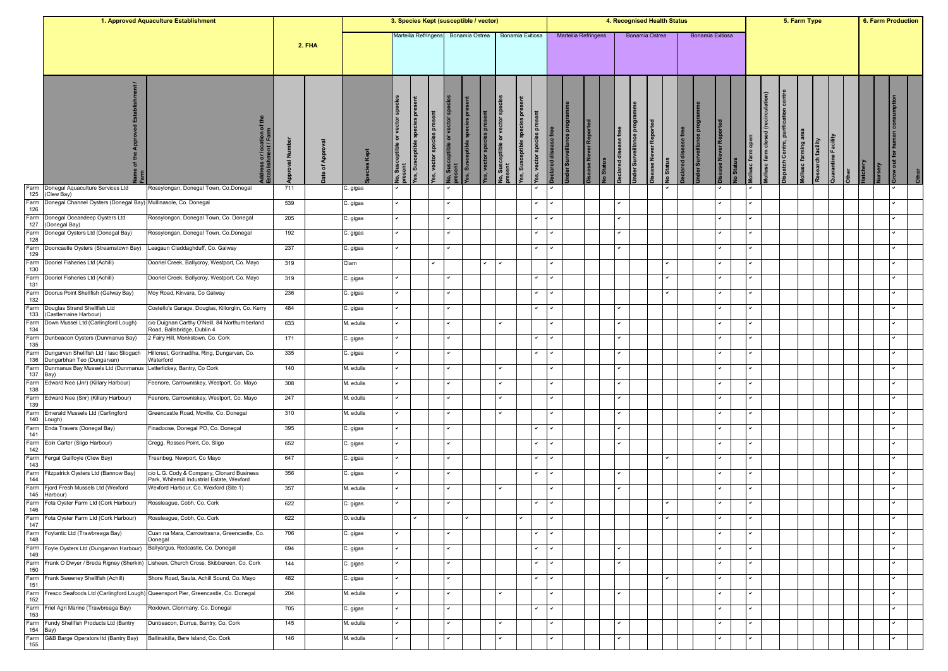|                  |                                                                                                | 1. Approved Aquaculture Establishment                                               |             |               |           | 3. Species Kept (susceptible / vector) |                                         |                                                                                    |                             |                        |                                       |                              |              |           |                                   |                                | 4. Recognised Health Status |                         |                      |                  |                    |                         |                       |                                 |                                       |                              | 5. Farm Type         |                   |                     |               |     | 6. Farm Production |
|------------------|------------------------------------------------------------------------------------------------|-------------------------------------------------------------------------------------|-------------|---------------|-----------|----------------------------------------|-----------------------------------------|------------------------------------------------------------------------------------|-----------------------------|------------------------|---------------------------------------|------------------------------|--------------|-----------|-----------------------------------|--------------------------------|-----------------------------|-------------------------|----------------------|------------------|--------------------|-------------------------|-----------------------|---------------------------------|---------------------------------------|------------------------------|----------------------|-------------------|---------------------|---------------|-----|--------------------|
|                  |                                                                                                |                                                                                     |             | <b>2. FHA</b> |           | Marteilia Refringen:                   |                                         |                                                                                    |                             | Bonamia Ostrea         |                                       | Bonamia Exitiosa             |              |           |                                   | <b>Marteilia Refringens</b>    |                             | Bonamia Ostrea          |                      |                  |                    | <b>Bonamia Exitiosa</b> |                       |                                 |                                       |                              |                      |                   |                     |               |     |                    |
|                  |                                                                                                | ss or location of th<br>ishment / Farm                                              | Ē<br>proval | of Appr       | Kept      | <b>Spe</b><br>vector<br>ំគ             | <b>LE</b><br>species<br>as, Susceptible | sent<br><b>Jo., Susceptible or vector sp</b><br>present<br>les, vector species pre | es, Susceptible species pro | es, vector species pre | or vect<br>No, Susceptible<br>present | l ă<br>es, Susceptible speci | vector spe   | ᄛ<br>bere | $\frac{6}{5}$<br>der Surveillance | ase Never Reported<br>o Status | ease free<br>eclared dis    | Inder Surveillance prog | sease Never Reported | <b>Jo Status</b> | eclared disease fr |                         | ver Repor<br>veN esea | ollusc farm open<br><b>Stat</b> | (recirculation)<br>pllusc farm closed | ispatch Centre, purification | lollusc farming area | Research facility | Quarantine Facility | atchery<br>ΘŊ | lor |                    |
| Farm<br>125      | Donegal Aquaculture Services Ltd<br>(Clew Bay)                                                 | Rossylongan, Donegal Town, Co.Donegal                                               | 711         |               | C. gigas  |                                        |                                         |                                                                                    |                             |                        |                                       |                              |              |           |                                   |                                |                             |                         |                      |                  |                    |                         |                       |                                 |                                       |                              |                      |                   |                     |               |     |                    |
| Farm<br>126      | Donegal Channel Oysters (Donegal Bay) Mullinasole, Co. Donegal                                 |                                                                                     | 539         |               | C. gigas  |                                        |                                         | ✓                                                                                  |                             |                        |                                       |                              |              |           |                                   |                                | ✓                           |                         |                      |                  |                    |                         |                       | ◡                               |                                       |                              |                      |                   |                     |               |     |                    |
| Farm<br>127      | Donegal Oceandeep Oysters Ltd<br>(Donegal Bay)                                                 | Rossylongon, Donegal Town, Co. Donegal                                              | 205         |               | C. gigas  |                                        |                                         |                                                                                    |                             |                        |                                       |                              |              |           |                                   |                                |                             |                         |                      |                  |                    |                         |                       |                                 |                                       |                              |                      |                   |                     |               |     |                    |
| Farm<br>128      | Donegal Oysters Ltd (Donegal Bay)                                                              | Rossylongan, Donegal Town, Co.Donegal                                               | 192         |               | C. gigas  |                                        |                                         |                                                                                    |                             |                        |                                       |                              |              |           |                                   |                                |                             |                         |                      |                  |                    |                         |                       |                                 |                                       |                              |                      |                   |                     |               |     |                    |
| Farm<br>129      | Dooncastle Oysters (Streamstown Bay)                                                           | Leagaun Claddaghduff, Co. Galway                                                    | 237         |               | C. gigas  |                                        |                                         |                                                                                    |                             |                        |                                       |                              |              |           |                                   |                                |                             |                         |                      |                  |                    |                         |                       |                                 |                                       |                              |                      |                   |                     |               |     |                    |
| Farm<br>130      | Dooriel Fisheries Ltd (Achill)                                                                 | Dooriel Creek, Ballycroy, Westport, Co. Mayo                                        | 319         |               | Clam      |                                        |                                         | ◡                                                                                  |                             | $\tilde{ }$            |                                       |                              |              |           |                                   |                                |                             |                         |                      | ✓                |                    |                         |                       | v                               |                                       |                              |                      |                   |                     |               |     |                    |
| Farm<br>131      | Dooriel Fisheries Ltd (Achill)                                                                 | Dooriel Creek, Ballycroy, Westport, Co. Mayo                                        | 319         |               | C. gigas  |                                        |                                         | $\checkmark$                                                                       |                             |                        |                                       |                              |              |           |                                   |                                |                             |                         |                      | ✓                |                    |                         |                       | $\checkmark$                    |                                       |                              |                      |                   |                     |               |     |                    |
| Farm<br>132      | Doorus Point Shellfish (Galway Bay)                                                            | Moy Road, Kinvara, Co Galway                                                        | 236         |               | C. gigas  |                                        |                                         | $\overline{\phantom{0}}$                                                           |                             |                        |                                       |                              |              |           |                                   |                                |                             |                         |                      | ◡                |                    |                         |                       | ◡                               |                                       |                              |                      |                   |                     |               |     |                    |
| Farm             | Douglas Strand Shellfish Ltd                                                                   | Costello's Garage, Douglas, Killorglin, Co. Kerry                                   | 484         |               | C. gigas  |                                        |                                         | $\checkmark$                                                                       |                             |                        |                                       |                              |              |           |                                   |                                |                             |                         |                      |                  |                    |                         |                       | ◡                               |                                       |                              |                      |                   |                     |               |     |                    |
| 133<br>Farm      | (Castlemaine Harbour)<br>Down Mussel Ltd (Carlingford Lough)                                   | c/o Duignan Carthy O'Neill, 84 Northumberland                                       | 633         |               | M. edulis |                                        |                                         |                                                                                    |                             |                        |                                       |                              |              |           |                                   |                                |                             |                         |                      |                  |                    |                         |                       | ◡                               |                                       |                              |                      |                   |                     |               |     |                    |
| 134<br>Farm      | Dunbeacon Oysters (Dunmanus Bay)                                                               | Road, Ballsbridge, Dublin 4<br>2 Fairy Hill, Monkstown, Co. Cork                    | 171         |               | C. gigas  |                                        |                                         | ✓                                                                                  |                             |                        |                                       |                              |              |           |                                   |                                | ◡                           |                         |                      |                  |                    |                         |                       | ◡                               |                                       |                              |                      |                   |                     |               |     |                    |
| 135<br>Farm      | Dungarvan Shellfish Ltd / lasc Sliogach                                                        | Hillcrest, Gortnadiha, Ring, Dungarvan, Co.                                         | 335         |               | C. gigas  |                                        |                                         |                                                                                    |                             |                        |                                       |                              |              |           |                                   |                                |                             |                         |                      |                  |                    |                         |                       |                                 |                                       |                              |                      |                   |                     |               |     |                    |
| 136<br>Farm      | Dungarbhan Teo (Dungarvan)<br>Dunmanus Bay Mussels Ltd (Dunmanus Letterlickey, Bantry, Co Cork | Waterford                                                                           | 140         |               | M. edulis |                                        |                                         |                                                                                    |                             |                        |                                       |                              |              |           |                                   |                                |                             |                         |                      |                  |                    |                         |                       |                                 |                                       |                              |                      |                   |                     |               |     |                    |
| 137<br>Farm      | Bay)<br>Edward Nee (Jnr) (Killary Harbour)                                                     | Feenore, Carrowniskey, Westport, Co. Mayo                                           | 308         |               | M. edulis |                                        |                                         | ✓                                                                                  |                             |                        |                                       |                              |              |           |                                   |                                | v                           |                         |                      |                  |                    |                         |                       | ✓                               |                                       |                              |                      |                   |                     |               |     |                    |
| 138<br>Farm      | Edward Nee (Snr) (Killary Harbour)                                                             | Feenore, Carrowniskey, Westport, Co. Mayo                                           | 247         |               | M. edulis |                                        |                                         | ٠                                                                                  |                             |                        |                                       |                              |              |           |                                   |                                | $\checkmark$                |                         |                      |                  |                    |                         |                       | ◡                               |                                       |                              |                      |                   |                     |               |     |                    |
| 139<br>Farm      | Emerald Mussels Ltd (Carlingford                                                               | Greencastle Road, Moville, Co. Donegal                                              | 310         |               | M. edulis |                                        |                                         |                                                                                    |                             |                        |                                       |                              |              |           |                                   |                                | ◡                           |                         |                      |                  |                    |                         |                       | ✓                               |                                       |                              |                      |                   |                     |               |     |                    |
| 140<br>Farm      | Lough)<br>Enda Travers (Donegal Bay)                                                           | Finadoose, Donegal PO, Co. Donegal                                                  | 395         |               | C. gigas  |                                        |                                         | $\checkmark$                                                                       |                             |                        |                                       |                              |              |           |                                   |                                | $\checkmark$                |                         |                      |                  |                    |                         |                       | ◡                               |                                       |                              |                      |                   |                     |               |     |                    |
| 141<br>Farm      | Eoin Carter (Sligo Harbour)                                                                    | Cregg, Rosses Point, Co. Sligo                                                      | 652         |               | C. gigas  |                                        |                                         | ◡                                                                                  |                             |                        |                                       |                              |              |           |                                   |                                |                             |                         |                      |                  |                    |                         |                       | ◡                               |                                       |                              |                      |                   |                     |               |     |                    |
| 142<br>Farm      | Fergal Guilfoyle (Clew Bay)                                                                    | Freanbeg, Newport, Co Mayo                                                          | 647         |               |           |                                        |                                         |                                                                                    |                             |                        |                                       |                              | $\checkmark$ |           |                                   |                                |                             |                         |                      | ✓                |                    |                         |                       | ◡                               |                                       |                              |                      |                   |                     |               |     |                    |
| 143<br>Farm      |                                                                                                | c/o L.G. Cody & Company, Clonard Business                                           | 356         |               | C. gigas  |                                        |                                         | ✓                                                                                  |                             |                        |                                       |                              |              |           |                                   |                                | ✓                           |                         |                      |                  |                    |                         |                       | ◡                               |                                       |                              |                      |                   |                     |               |     |                    |
| 144<br>Farm      | Fitzpatrick Oysters Ltd (Bannow Bay)<br>Fjord Fresh Mussels Ltd (Wexford                       | Park, Whitemill Industrial Estate, Wexford<br>Wexford Harbour, Co. Wexford (Site 1) |             |               | C. gigas  |                                        |                                         |                                                                                    |                             |                        |                                       |                              |              |           |                                   |                                |                             |                         |                      |                  |                    |                         |                       |                                 |                                       |                              |                      |                   |                     |               |     |                    |
| 145              | Harbour)                                                                                       |                                                                                     | 357         |               | M. edulis |                                        |                                         |                                                                                    |                             |                        |                                       |                              |              |           |                                   |                                |                             |                         |                      |                  |                    |                         |                       |                                 |                                       |                              |                      |                   |                     |               |     |                    |
| Farm<br>146      | Fota Oyster Farm Ltd (Cork Harbour)                                                            | Rossleague, Cobh, Co. Cork                                                          | 622         |               | C. gigas  |                                        |                                         |                                                                                    |                             |                        |                                       |                              |              |           |                                   |                                |                             |                         |                      |                  |                    |                         |                       |                                 |                                       |                              |                      |                   |                     |               |     |                    |
| 147              | Farm Fota Oyster Farm Ltd (Cork Harbour)                                                       | Rossleague, Cobh, Co. Cork                                                          | 622         |               | O. edulis |                                        |                                         |                                                                                    | $\checkmark$                |                        |                                       | $\checkmark$                 |              |           |                                   |                                |                             |                         |                      | $\checkmark$     |                    |                         |                       | $\checkmark$                    |                                       |                              |                      |                   |                     |               |     |                    |
| 148              | Farm Foylantic Ltd (Trawbreaga Bay)                                                            | Cuan na Mara, Carrowtrasna, Greencastle, Co.<br>Donegal                             | 706         |               | C. gigas  |                                        |                                         |                                                                                    |                             |                        |                                       |                              |              |           |                                   |                                |                             |                         |                      |                  |                    |                         |                       |                                 |                                       |                              |                      |                   |                     |               |     |                    |
| 149              | Farm Foyle Oysters Ltd (Dungarvan Harbour)                                                     | Ballyargus, Redcastle, Co. Donegal                                                  | 694         |               | C. gigas  |                                        |                                         | $\checkmark$                                                                       |                             |                        |                                       |                              | $\checkmark$ |           |                                   |                                | ◡                           |                         |                      |                  |                    |                         |                       | ◡                               |                                       |                              |                      |                   |                     |               |     |                    |
| Farm<br>150      |                                                                                                | Frank O Dwyer / Breda Rigney (Sherkin) Lisheen, Church Cross, Skibbereen, Co. Cork  | 144         |               | C. gigas  |                                        |                                         | $\checkmark$                                                                       |                             |                        |                                       |                              |              |           |                                   |                                | v                           |                         |                      |                  |                    |                         |                       | ◡                               |                                       |                              |                      |                   |                     |               |     |                    |
| Farm<br>151      | Frank Sweeney Shellfish (Achill)                                                               | Shore Road, Saula, Achill Sound, Co. Mayo                                           | 482         |               | C. gigas  |                                        |                                         | ◡                                                                                  |                             |                        |                                       |                              | $\checkmark$ |           |                                   |                                |                             |                         |                      | ∽                |                    |                         |                       | ◡                               |                                       |                              |                      |                   |                     |               |     |                    |
| Farm<br>152      |                                                                                                | Fresco Seafoods Ltd (Carlingford Lough) Queensport Pier, Greencastle, Co. Donegal   | 204         |               | M. edulis |                                        |                                         |                                                                                    |                             |                        | $\checkmark$                          |                              |              |           |                                   |                                |                             |                         |                      |                  |                    |                         |                       | v                               |                                       |                              |                      |                   |                     |               |     |                    |
| Farm<br>153      | Friel Agri Marine (Trawbreaga Bay)                                                             | Roxtown, Clonmany, Co. Donegal                                                      | 705         |               | C. gigas  |                                        |                                         | $\checkmark$                                                                       |                             |                        |                                       |                              | $\checkmark$ |           |                                   |                                |                             |                         |                      |                  |                    |                         |                       | ◡                               |                                       |                              |                      |                   |                     |               |     |                    |
| Farm<br>154 Bay) | Fundy Shellfish Products Ltd (Bantry                                                           | Dunbeacon, Durrus, Bantry, Co. Cork                                                 | 145         |               | M. edulis |                                        |                                         |                                                                                    |                             |                        |                                       |                              |              |           |                                   |                                |                             |                         |                      |                  |                    |                         |                       |                                 |                                       |                              |                      |                   |                     |               |     |                    |
| Farm<br>155      | G&B Barge Operators Itd (Bantry Bay)                                                           | Ballinakilla, Bere Island, Co. Cork                                                 | 146         |               | M. edulis |                                        |                                         |                                                                                    |                             |                        |                                       |                              |              |           |                                   |                                |                             |                         |                      |                  |                    |                         |                       |                                 |                                       |                              |                      |                   |                     |               |     |                    |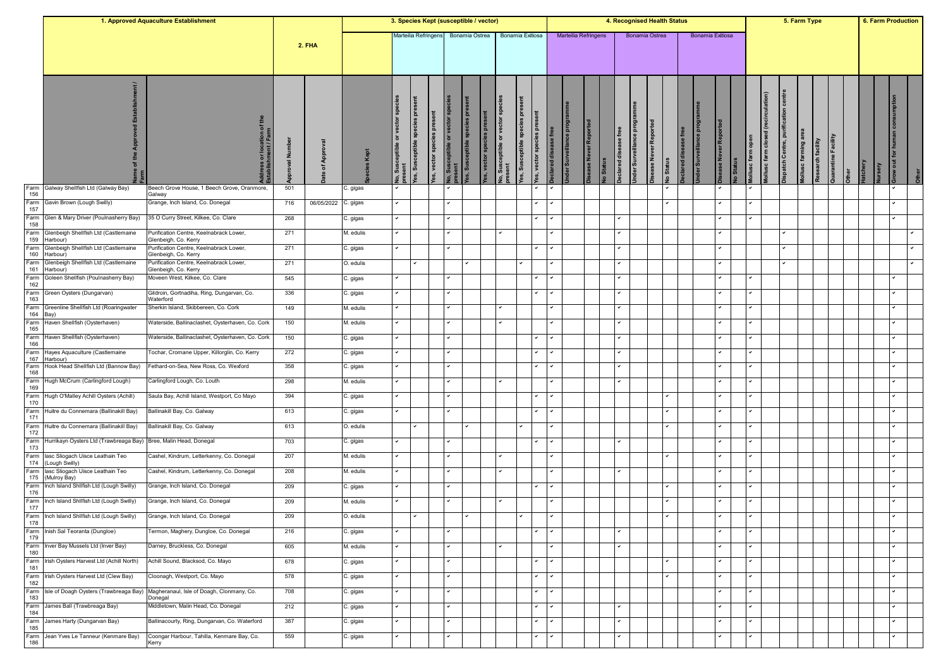|             |                                                         | 1. Approved Aquaculture Establishment                           |           |              |           | 3. Species Kept (susceptible / vector) |                                       |                            |                                                                              |                        |                                                     |                               |                          |                         |                                |                                 |                                | 4. Recognised Health Status             |                 |                  |                        |                        |                                        |                                      | 5. Farm Type         |                   |                     |         | 6. Farm Production |                      |  |
|-------------|---------------------------------------------------------|-----------------------------------------------------------------|-----------|--------------|-----------|----------------------------------------|---------------------------------------|----------------------------|------------------------------------------------------------------------------|------------------------|-----------------------------------------------------|-------------------------------|--------------------------|-------------------------|--------------------------------|---------------------------------|--------------------------------|-----------------------------------------|-----------------|------------------|------------------------|------------------------|----------------------------------------|--------------------------------------|----------------------|-------------------|---------------------|---------|--------------------|----------------------|--|
|             |                                                         |                                                                 |           | 2. FHA       |           | Marteilia Refringens                   |                                       |                            |                                                                              | Bonamia Ostrea         |                                                     | Bonamia Exitiosa              |                          |                         | Marteilia Refringens           |                                 |                                | Bonamia Ostrea                          |                 | Bonamia Exitiosa |                        |                        |                                        |                                      |                      |                   |                     |         |                    |                      |  |
|             |                                                         | ress or location of the<br>blishment / Farm                     | roval Nun | of Appr<br>ூ | Kept      | ৯                                      | species pre<br>ceptible<br>Sus<br>es, | es, vector species present | es, Susceptible species pro<br><b>Jo, Susceptible or vector s</b><br>rresent | es, vector species pre | or vector<br>eptible<br><b>Jo, Susce</b><br>Jresent | l ă<br>es, Susceptible specie | es<br>vector spec<br>red | pro<br>der Surveillance | ase Never Reported<br>o Status | ease free<br><b>aclared</b> dis | <b>Jnder Surveillance prog</b> | ease Never Reported<br><b>Jo Status</b> | eclared disease |                  | <b>ISE Never Repor</b> | lollusc farm open<br>芴 | (recirculation)<br>lollusc farm closed | <b>Jispatch Centre, purification</b> | Mollusc farming area | Research facility | Quarantine Facility | atchery | ٤Ē                 | $\overline{\bullet}$ |  |
| Farm<br>156 | Galway Shellfish Ltd (Galway Bay)                       | Beech Grove House, 1 Beech Grove, Oranmore,<br>Galway           | 501       |              | C. gigas  |                                        |                                       |                            |                                                                              |                        |                                                     |                               |                          |                         |                                |                                 |                                |                                         |                 |                  |                        |                        |                                        |                                      |                      |                   |                     |         |                    |                      |  |
| Farm<br>157 | Gavin Brown (Lough Swilly)                              | Grange, Inch Island, Co. Donegal                                | 716       | 06/05/2022   | C. gigas  |                                        |                                       |                            |                                                                              |                        |                                                     |                               |                          |                         |                                |                                 |                                | ◡                                       |                 |                  |                        |                        | ◡                                      |                                      |                      |                   |                     |         |                    |                      |  |
| Farm<br>158 | Glen & Mary Driver (Poulnasherry Bay)                   | 35 O Curry Street, Kilkee, Co. Clare                            | 268       |              | C. gigas  |                                        |                                       |                            |                                                                              |                        |                                                     |                               |                          |                         |                                | $\overline{\phantom{a}}$        |                                |                                         |                 |                  |                        |                        |                                        |                                      |                      |                   |                     |         |                    |                      |  |
| Farm<br>159 | Glenbeigh Shellfish Ltd (Castlemaine<br>Harbour)        | Purification Centre, Keelnabrack Lower,<br>Glenbeigh, Co. Kerry | 271       |              | M. edulis |                                        |                                       |                            |                                                                              |                        |                                                     |                               |                          |                         |                                |                                 |                                |                                         |                 |                  |                        |                        |                                        |                                      |                      |                   |                     |         |                    |                      |  |
| Farm<br>160 | Glenbeigh Shellfish Ltd (Castlemaine<br>Harbour)        | Purification Centre, Keelnabrack Lower,<br>Glenbeigh, Co. Kerry | 271       |              | C. gigas  |                                        |                                       |                            |                                                                              |                        |                                                     |                               |                          |                         |                                |                                 |                                |                                         |                 |                  |                        |                        |                                        |                                      |                      |                   |                     |         |                    |                      |  |
| Farm<br>161 | Glenbeigh Shellfish Ltd (Castlemaine<br>Harbour)        | Purification Centre, Keelnabrack Lower,<br>Glenbeigh, Co. Kerry | 271       |              | O. edulis |                                        |                                       |                            |                                                                              |                        |                                                     |                               |                          |                         |                                |                                 |                                |                                         |                 |                  |                        |                        |                                        |                                      |                      |                   |                     |         |                    |                      |  |
| Farm<br>162 | Goleen Shellfish (Poulnasherry Bay)                     | Moveen West, Kilkee, Co. Clare                                  | 545       |              | C. gigas  |                                        |                                       |                            |                                                                              |                        |                                                     |                               |                          |                         |                                |                                 |                                |                                         |                 |                  |                        |                        |                                        |                                      |                      |                   |                     |         |                    |                      |  |
| Farm<br>163 | Green Oysters (Dungarvan)                               | Gildroin, Gortnadiha, Ring, Dungarvan, Co.<br>Waterford         | 336       |              | C. gigas  |                                        |                                       |                            |                                                                              |                        |                                                     |                               |                          |                         |                                |                                 |                                |                                         |                 |                  |                        |                        |                                        |                                      |                      |                   |                     |         |                    |                      |  |
| Farm<br>164 | Greenline Shellfish Ltd (Roaringwater<br>Bay)           | Sherkin Island, Skibbereen, Co. Cork                            | 149       |              | M. edulis |                                        |                                       | ◡                          |                                                                              |                        |                                                     |                               |                          |                         |                                | $\checkmark$                    |                                |                                         |                 |                  |                        |                        | ◡                                      |                                      |                      |                   |                     |         |                    |                      |  |
| Farm<br>165 | Haven Shellfish (Oysterhaven)                           | Waterside, Ballinaclashet, Oysterhaven, Co. Cork                | 150       |              | M. edulis |                                        |                                       |                            |                                                                              |                        |                                                     |                               |                          |                         |                                |                                 |                                |                                         |                 |                  |                        |                        | ◡                                      |                                      |                      |                   |                     |         |                    |                      |  |
| Farm<br>166 | Haven Shellfish (Oysterhaven)                           | Waterside, Ballinaclashet, Oysterhaven, Co. Cork                | 150       |              | C. gigas  |                                        |                                       | ✓                          |                                                                              |                        |                                                     |                               |                          |                         |                                | ◡                               |                                |                                         |                 |                  |                        |                        | ◡                                      |                                      |                      |                   |                     |         |                    |                      |  |
| Farm<br>167 | Hayes Aquaculture (Castlemaine<br>Harbour)              | Tochar, Cromane Upper, Killorglin, Co. Kerry                    | 272       |              | C. gigas  |                                        |                                       |                            |                                                                              |                        |                                                     |                               |                          |                         |                                |                                 |                                |                                         |                 |                  |                        |                        |                                        |                                      |                      |                   |                     |         |                    |                      |  |
| Farm<br>168 | Hook Head Shellfish Ltd (Bannow Bay)                    | Fethard-on-Sea, New Ross, Co. Wexford                           | 358       |              | C. gigas  |                                        |                                       |                            |                                                                              |                        |                                                     |                               |                          |                         |                                |                                 |                                |                                         |                 |                  |                        |                        |                                        |                                      |                      |                   |                     |         |                    |                      |  |
| Farm<br>169 | Hugh McCrum (Carlingford Lough)                         | Carlingford Lough, Co. Louth                                    | 298       |              | M. edulis |                                        |                                       |                            |                                                                              |                        |                                                     |                               |                          |                         |                                |                                 |                                |                                         |                 |                  |                        |                        |                                        |                                      |                      |                   |                     |         |                    |                      |  |
| Farm        | Hugh O'Malley Achill Oysters (Achill)                   | Saula Bay, Achill Island, Westport, Co Mayo                     | 394       |              | C. gigas  |                                        |                                       | v                          |                                                                              |                        |                                                     |                               |                          |                         |                                |                                 |                                | ۰                                       |                 |                  |                        |                        | ◡                                      |                                      |                      |                   |                     |         |                    |                      |  |
| 170<br>Farm | Huitre du Connemara (Ballinakill Bay)                   | Ballinakill Bay, Co. Galway                                     | 613       |              | C. gigas  |                                        |                                       |                            |                                                                              |                        |                                                     |                               |                          |                         |                                |                                 |                                | ✓                                       |                 |                  |                        |                        | ◡                                      |                                      |                      |                   |                     |         |                    |                      |  |
| 171<br>Farm | Huitre du Connemara (Ballinakill Bay)                   | Ballinakill Bay, Co. Galway                                     | 613       |              | O. edulis |                                        |                                       |                            |                                                                              |                        |                                                     | ◡                             |                          |                         |                                |                                 |                                |                                         |                 |                  |                        |                        | ✓                                      |                                      |                      |                   |                     |         |                    |                      |  |
| 172<br>Farm | Hurrikayn Oysters Ltd (Trawbreaga Bay)                  | Bree, Malin Head, Donegal                                       | 703       |              | C. gigas  |                                        |                                       |                            |                                                                              |                        |                                                     |                               |                          |                         |                                | v                               |                                |                                         |                 |                  |                        |                        | ◡                                      |                                      |                      |                   |                     |         |                    |                      |  |
| 173<br>Farm | lasc Sliogach Uisce Leathain Teo                        | Cashel, Kindrum, Letterkenny, Co. Donegal                       | 207       |              | M. edulis |                                        |                                       | ◡                          |                                                                              |                        |                                                     |                               |                          |                         |                                |                                 |                                | ✓                                       |                 |                  |                        |                        | ◡                                      |                                      |                      |                   |                     |         |                    |                      |  |
| 174<br>Farm | (Lough Swilly)<br>lasc Sliogach Uisce Leathain Teo      | Cashel, Kindrum, Letterkenny, Co. Donegal                       | 208       |              | M. edulis |                                        |                                       |                            |                                                                              |                        |                                                     |                               |                          |                         |                                |                                 |                                |                                         |                 |                  |                        |                        | ◡                                      |                                      |                      |                   |                     |         |                    |                      |  |
| 175<br>Farm | (Mulroy Bay)<br>Inch Island Shilfish Ltd (Lough Swilly) | Grange, Inch Island, Co. Donegal                                | 209       |              | C. gigas  |                                        |                                       | ✓                          |                                                                              |                        |                                                     |                               |                          |                         |                                |                                 |                                | ✓                                       |                 |                  |                        |                        | ✓                                      |                                      |                      |                   |                     |         |                    |                      |  |
| 176<br>Farm | Inch Island Shilfish Ltd (Lough Swilly)                 | Grange, Inch Island, Co. Donegal                                | 209       |              | M. edulis |                                        |                                       |                            |                                                                              |                        |                                                     |                               |                          |                         |                                |                                 |                                |                                         |                 |                  |                        |                        |                                        |                                      |                      |                   |                     |         |                    |                      |  |
| 177<br>Farm | Inch Island Shilfish Ltd (Lough Swilly)                 | Grange, Inch Island, Co. Donegal                                | 209       |              | O. edulis |                                        |                                       |                            |                                                                              |                        |                                                     |                               |                          |                         |                                |                                 |                                |                                         |                 |                  |                        |                        |                                        |                                      |                      |                   |                     |         |                    |                      |  |
| 178         | Farm Inish Sal Teoranta (Dungloe)                       | Termon, Maghery, Dungloe, Co. Donegal                           | 216       |              | C. gigas  |                                        |                                       |                            |                                                                              |                        |                                                     |                               |                          |                         |                                |                                 |                                |                                         |                 |                  |                        |                        | ◡                                      |                                      |                      |                   |                     |         |                    |                      |  |
| 179         | Farm Inver Bay Mussels Ltd (Inver Bay)                  | Darney, Bruckless, Co. Donegal                                  | 605       |              | M. edulis |                                        |                                       |                            |                                                                              |                        |                                                     |                               |                          |                         |                                |                                 |                                |                                         |                 |                  |                        |                        | ◡                                      |                                      |                      |                   |                     |         |                    |                      |  |
| 180<br>Farm | Irish Oysters Harvest Ltd (Achill North)                | Achill Sound, Blacksod, Co. Mayo                                | 678       |              | C. gigas  |                                        |                                       | $\checkmark$               |                                                                              |                        |                                                     |                               | $\checkmark$             |                         |                                |                                 |                                |                                         | ✓               |                  |                        |                        | ◡                                      |                                      |                      |                   |                     |         |                    |                      |  |
| 181<br>Farm | Irish Oysters Harvest Ltd (Clew Bay)                    | Cloonagh, Westport, Co. Mayo                                    | 578       |              | C. gigas  |                                        |                                       | $\checkmark$               |                                                                              |                        |                                                     |                               |                          |                         |                                |                                 |                                | ◡                                       |                 |                  |                        |                        | ◡                                      |                                      |                      |                   |                     |         |                    |                      |  |
| 182<br>Farm | Isle of Doagh Oysters (Trawbreaga Bay)                  | Magheranaul, Isle of Doagh, Clonmany, Co.                       | 708       |              | C. gigas  |                                        |                                       | $\checkmark$               |                                                                              |                        |                                                     |                               | $\checkmark$             |                         |                                |                                 |                                |                                         |                 |                  |                        |                        | ◡                                      |                                      |                      |                   |                     |         |                    |                      |  |
| 183<br>Farm | James Ball (Trawbreaga Bay)                             | Donegal<br>Middletown, Malin Head, Co. Donegal                  | 212       |              | C. gigas  |                                        |                                       |                            |                                                                              |                        |                                                     |                               | $\checkmark$             |                         |                                |                                 |                                |                                         |                 |                  |                        |                        | ◡                                      |                                      |                      |                   |                     |         |                    |                      |  |
| 184<br>Farm | James Harty (Dungarvan Bay)                             | Ballinacourty, Ring, Dungarvan, Co. Waterford                   | 387       |              | C. gigas  |                                        |                                       | ◡                          |                                                                              |                        |                                                     |                               | $\checkmark$             |                         |                                | ◡                               |                                |                                         |                 |                  |                        |                        | ✓                                      |                                      |                      |                   |                     |         |                    |                      |  |
| 185<br>Farm | Jean Yves Le Tanneur (Kenmare Bay)                      | Coongar Harbour, Tahilla, Kenmare Bay, Co.                      | 559       |              |           |                                        |                                       |                            |                                                                              |                        |                                                     |                               |                          |                         |                                |                                 |                                |                                         |                 |                  |                        |                        |                                        |                                      |                      |                   |                     |         |                    |                      |  |
| 186         |                                                         | Kerry                                                           |           |              | C. gigas  |                                        |                                       |                            |                                                                              |                        |                                                     |                               |                          |                         |                                |                                 |                                |                                         |                 |                  |                        |                        |                                        |                                      |                      |                   |                     |         |                    |                      |  |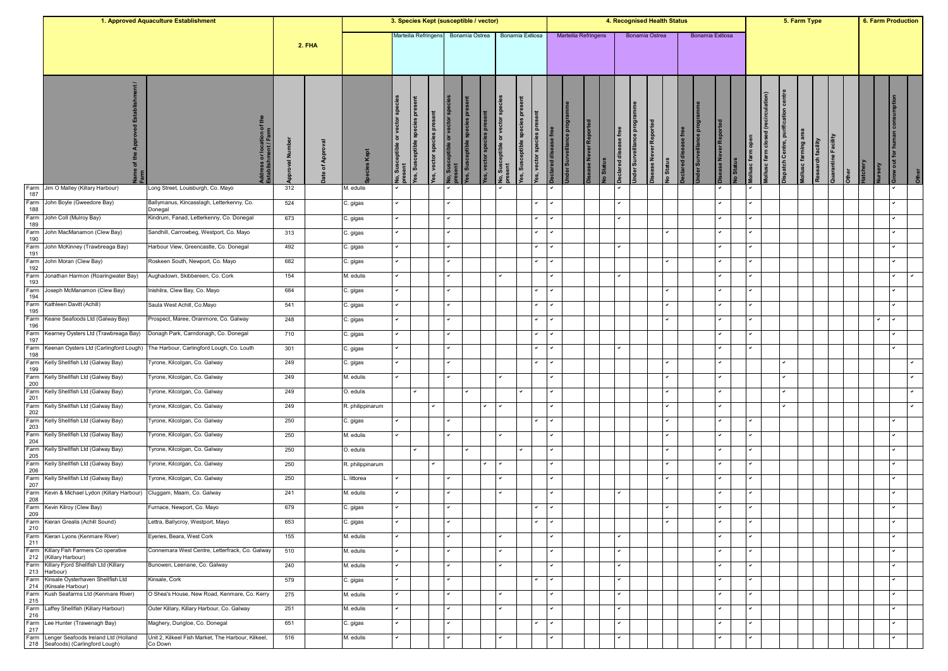|             |                                                                    | 1. Approved Aquaculture Establishment                |           |               |                  | 3. Species Kept (susceptible / vector) |                                                               |                                         |                             |                        |                                             |                                                                   |                      |                      |                   |           |                                                       | 4. Recognised Health Status |           |                    |                  |                      |                               |                                       |                                         | 5. Farm Type        |                   |                              |          |       | 6. Farm Production                            |
|-------------|--------------------------------------------------------------------|------------------------------------------------------|-----------|---------------|------------------|----------------------------------------|---------------------------------------------------------------|-----------------------------------------|-----------------------------|------------------------|---------------------------------------------|-------------------------------------------------------------------|----------------------|----------------------|-------------------|-----------|-------------------------------------------------------|-----------------------------|-----------|--------------------|------------------|----------------------|-------------------------------|---------------------------------------|-----------------------------------------|---------------------|-------------------|------------------------------|----------|-------|-----------------------------------------------|
|             |                                                                    |                                                      |           | <b>2. FHA</b> |                  | Marteilia Refringens                   |                                                               |                                         | Bonamia Ostrea              |                        |                                             | Bonamia Exitiosa                                                  |                      | Marteilia Refringens |                   |           |                                                       | Bonamia Ostrea              |           |                    | Bonamia Exitiosa |                      |                               |                                       |                                         |                     |                   |                              |          |       |                                               |
|             |                                                                    | dress or location of the<br>ablishment / Farm        | roval Num | of Appr       |                  | ৯                                      | species pres<br>es, vector species present<br>es, Susceptible | No, Susceptible or vector sp<br>present | es, Susceptible species pre | es, vector species pre | <b>Jo.</b> Susceptible or vector<br>present | <b>pres</b><br>/es, Susceptible species<br>es, vector species pre | eclared disease free | nder Surveillar      | sase Never Report | lo Status | nder Surveillance prog<br><b>aclared</b> disease free | sease Never Reported        | lo Status | ase<br>clared dis- |                  | sease Never Reported | lollusc farm open<br>lo Statu | (recirculation)<br>ollusc farm closed | centre<br>ation<br>spatch Centre, purif | Iollusc farming are | Research facility | Quarantine Facility<br>Other | latchery | rsery | <b>Brow out for human consumption</b><br>Othe |
| Farm<br>187 | Jim O Malley (Killary Harbour)                                     | Long Street, Louisburgh, Co. Mayo                    | 312       |               | M. edulis        |                                        |                                                               |                                         |                             |                        |                                             |                                                                   |                      |                      |                   |           |                                                       |                             |           |                    |                  |                      |                               |                                       |                                         |                     |                   |                              |          |       |                                               |
| 188         | Farm John Boyle (Gweedore Bay)                                     | Ballymanus, Kincasslagh, Letterkenny, Co.<br>Donegal | 524       |               | C. gigas         |                                        |                                                               | $\checkmark$                            |                             |                        |                                             | ◡                                                                 | $\checkmark$         |                      |                   |           |                                                       |                             |           |                    |                  | $\checkmark$         |                               |                                       |                                         |                     |                   |                              |          |       |                                               |
| Farm<br>189 | John Coll (Mulroy Bay)                                             | Kindrum, Fanad, Letterkenny, Co. Donegal             | 673       |               | C. gigas         |                                        |                                                               |                                         |                             |                        |                                             |                                                                   |                      |                      |                   |           |                                                       |                             |           |                    |                  |                      |                               |                                       |                                         |                     |                   |                              |          |       |                                               |
| Farm<br>190 | John MacManamon (Clew Bay)                                         | Sandhill, Carrowbeg, Westport, Co. Mayo              | 313       |               | C. gigas         |                                        |                                                               |                                         |                             |                        |                                             |                                                                   |                      |                      |                   |           |                                                       |                             |           |                    |                  |                      |                               |                                       |                                         |                     |                   |                              |          |       |                                               |
| Farm<br>191 | John McKinney (Trawbreaga Bay)                                     | Harbour View, Greencastle, Co. Donegal               | 492       |               | C. gigas         |                                        |                                                               | ◡                                       |                             |                        |                                             | ◡                                                                 |                      |                      |                   |           | ◡                                                     |                             |           |                    |                  |                      |                               |                                       |                                         |                     |                   |                              |          |       |                                               |
| Farm<br>192 | John Moran (Clew Bay)                                              | Roskeen South, Newport, Co. Mayo                     | 682       |               | C. gigas         |                                        |                                                               |                                         |                             |                        |                                             |                                                                   | $\checkmark$         |                      |                   |           |                                                       |                             |           |                    |                  |                      |                               |                                       |                                         |                     |                   |                              |          |       |                                               |
| Farm        | Jonathan Harmon (Roaringwater Bay)                                 | Aughadown, Skibbereen, Co. Cork                      | 154       |               | M. edulis        |                                        |                                                               |                                         |                             |                        |                                             |                                                                   |                      |                      |                   |           |                                                       |                             |           |                    |                  |                      |                               |                                       |                                         |                     |                   |                              |          |       | $\checkmark$                                  |
| 193<br>Farm | Joseph McManamon (Clew Bay)                                        | nishilra, Clew Bay, Co. Mayo                         | 684       |               | C. gigas         |                                        |                                                               | $\checkmark$                            |                             |                        |                                             | v                                                                 |                      |                      |                   |           |                                                       |                             | ✓         |                    |                  |                      |                               |                                       |                                         |                     |                   |                              |          |       | $\checkmark$                                  |
| 194<br>Farm | Kathleen Davitt (Achill)                                           | Saula West Achill, Co.Mayo                           | 541       |               | C. gigas         |                                        |                                                               | $\checkmark$                            |                             |                        |                                             |                                                                   |                      |                      |                   |           |                                                       |                             |           |                    |                  |                      |                               |                                       |                                         |                     |                   |                              |          |       |                                               |
| 195<br>Farm | Keane Seafoods Ltd (Galway Bay)                                    | Prospect, Maree, Oranmore, Co. Galway                | 248       |               | C. gigas         |                                        |                                                               | ٠                                       |                             |                        |                                             |                                                                   |                      |                      |                   |           |                                                       |                             |           |                    |                  |                      |                               |                                       |                                         |                     |                   |                              |          |       |                                               |
| 196<br>Farm | Kearney Oysters Ltd (Trawbreaga Bay)                               | Donagh Park, Carndonagh, Co. Donegal                 | 710       |               | C. gigas         |                                        |                                                               |                                         |                             |                        |                                             |                                                                   |                      |                      |                   |           |                                                       |                             |           |                    |                  |                      |                               |                                       |                                         |                     |                   |                              |          |       |                                               |
| 197<br>Farm | Keenan Oysters Ltd (Carlingford Lough)                             | The Harbour, Carlingford Lough, Co. Louth            | 301       |               | C. gigas         |                                        |                                                               | ◡                                       |                             |                        |                                             | ◡                                                                 |                      |                      |                   |           | ◡                                                     |                             |           |                    |                  |                      |                               |                                       |                                         |                     |                   |                              |          |       |                                               |
| 198<br>Farm | Kelly Shellfish Ltd (Galway Bay)                                   | Fyrone, Kilcolgan, Co. Galway                        | 249       |               | C. gigas         |                                        |                                                               |                                         |                             |                        |                                             |                                                                   | $\checkmark$         |                      |                   |           |                                                       |                             |           |                    |                  |                      |                               |                                       |                                         |                     |                   |                              |          |       |                                               |
| 199         | Farm Kelly Shellfish Ltd (Galway Bay)                              | Fyrone, Kilcolgan, Co. Galway                        | 249       |               | M. edulis        |                                        |                                                               | ٠                                       |                             |                        |                                             |                                                                   | $\checkmark$         |                      |                   |           |                                                       |                             |           |                    |                  |                      |                               |                                       |                                         |                     |                   |                              |          |       |                                               |
| 200<br>Farm | Kelly Shellfish Ltd (Galway Bay)                                   | Tyrone, Kilcolgan, Co. Galway                        | 249       |               | O. edulis        |                                        |                                                               |                                         | $\checkmark$                |                        |                                             | ◡                                                                 |                      |                      |                   |           |                                                       |                             | ✓         |                    |                  |                      |                               |                                       |                                         |                     |                   |                              |          |       |                                               |
| 201<br>Farm | Kelly Shellfish Ltd (Galway Bay)                                   | Tyrone, Kilcolgan, Co. Galway                        | 249       |               | R. philippinarum |                                        |                                                               | ✓                                       |                             | $\checkmark$           |                                             |                                                                   |                      |                      |                   |           |                                                       |                             |           |                    |                  |                      |                               |                                       |                                         |                     |                   |                              |          |       |                                               |
| 202<br>Farm | Kelly Shellfish Ltd (Galway Bay)                                   | Tyrone, Kilcolgan, Co. Galway                        | 250       |               | C. gigas         |                                        |                                                               |                                         |                             |                        |                                             |                                                                   |                      |                      |                   |           |                                                       |                             |           |                    |                  |                      |                               |                                       |                                         |                     |                   |                              |          |       |                                               |
| 203<br>Farm | Kelly Shellfish Ltd (Galway Bay)                                   | Tyrone, Kilcolgan, Co. Galway                        | 250       |               | M. edulis        |                                        |                                                               | $\checkmark$                            |                             |                        |                                             |                                                                   |                      |                      |                   |           |                                                       |                             |           |                    |                  |                      |                               |                                       |                                         |                     |                   |                              |          |       |                                               |
| 204<br>Farm | Kelly Shellfish Ltd (Galway Bay)                                   | Fyrone, Kilcolgan, Co. Galway                        | 250       |               | O. edulis        |                                        |                                                               |                                         |                             |                        |                                             | $\checkmark$                                                      |                      |                      |                   |           |                                                       |                             |           |                    |                  |                      |                               |                                       |                                         |                     |                   |                              |          |       |                                               |
| 205<br>Farm | Kelly Shellfish Ltd (Galway Bay)                                   | Fyrone, Kilcolgan, Co. Galway                        | 250       |               | R. philippinarum |                                        |                                                               | ◡                                       |                             |                        |                                             |                                                                   | ✓                    |                      |                   |           |                                                       |                             |           |                    |                  |                      |                               |                                       |                                         |                     |                   |                              |          |       |                                               |
| 206         | Farm Kelly Shellfish Ltd (Galway Bay)                              | Fyrone, Kilcolgan, Co. Galway                        | 250       |               | littorea         |                                        |                                                               | $\checkmark$                            |                             |                        |                                             |                                                                   | $\checkmark$         |                      |                   |           |                                                       |                             |           |                    |                  |                      |                               |                                       |                                         |                     |                   |                              |          |       |                                               |
| 207<br>Farm | Kevin & Michael Lydon (Killary Harbour)                            | Cluggam, Maam, Co. Galway                            | 241       |               | M. edulis        |                                        |                                                               | ✓                                       |                             |                        |                                             |                                                                   |                      |                      |                   |           | ✓                                                     |                             |           |                    |                  |                      |                               |                                       |                                         |                     |                   |                              |          |       |                                               |
| 208<br>Farm | Kevin Kilroy (Clew Bay)                                            | Furnace, Newport, Co. Mayo                           | 679       |               | C. gigas         |                                        |                                                               |                                         |                             |                        |                                             |                                                                   |                      |                      |                   |           |                                                       |                             |           |                    |                  |                      |                               |                                       |                                         |                     |                   |                              |          |       |                                               |
| 209         | Farm Kieran Grealis (Achill Sound)                                 | Lettra, Ballycroy, Westport, Mayo                    | 653       |               | C. gigas         |                                        |                                                               |                                         |                             |                        |                                             |                                                                   |                      |                      |                   |           |                                                       |                             |           |                    |                  |                      |                               |                                       |                                         |                     |                   |                              |          |       |                                               |
| 210         | Farm Kieran Lyons (Kenmare River)                                  | Eyeries, Beara, West Cork                            | 155       |               | M. edulis        |                                        |                                                               |                                         |                             |                        |                                             |                                                                   |                      |                      |                   |           |                                                       |                             |           |                    |                  |                      |                               |                                       |                                         |                     |                   |                              |          |       |                                               |
| 211         | Farm Killary Fish Farmers Co operative                             | Connemara West Centre, Letterfrack, Co. Galway       | 510       |               | M. edulis        |                                        |                                                               | ◡                                       |                             |                        |                                             |                                                                   |                      |                      |                   |           | ✓                                                     |                             |           |                    |                  |                      | $\checkmark$                  |                                       |                                         |                     |                   |                              |          |       | $\checkmark$                                  |
|             | 212 (Killary Harbour)<br>Farm Killary Fjord Shellfish Ltd (Killary | Bunowen, Leenane, Co. Galway                         | 240       |               | M. edulis        |                                        |                                                               |                                         |                             |                        |                                             |                                                                   | v                    |                      |                   |           | $\checkmark$                                          |                             |           |                    |                  |                      |                               |                                       |                                         |                     |                   |                              |          |       |                                               |
|             | 213 Harbour)<br>Farm Kinsale Oysterhaven Shellfish Ltd             | Kinsale, Cork                                        | 579       |               | C. gigas         |                                        |                                                               | $\checkmark$                            |                             |                        |                                             |                                                                   |                      |                      |                   |           | $\checkmark$                                          |                             |           |                    |                  | $\checkmark$         | $\checkmark$                  |                                       |                                         |                     |                   |                              |          |       | $\overline{ }$                                |
| Farm        | 214 (Kinsale Harbour)<br>Kush Seafarms Ltd (Kenmare River)         | O Shea's House, New Road, Kenmare, Co. Kerry         | 275       |               | M. edulis        |                                        |                                                               |                                         |                             |                        |                                             |                                                                   |                      |                      |                   |           | ✓                                                     |                             |           |                    |                  |                      |                               |                                       |                                         |                     |                   |                              |          |       |                                               |
| 215         | Farm Laffey Shellfish (Killary Harbour)                            | Outer Killary, Killary Harbour, Co. Galway           | 251       |               | M. edulis        |                                        |                                                               | $\checkmark$                            |                             |                        |                                             |                                                                   | $\checkmark$         |                      |                   |           | $\checkmark$                                          |                             |           |                    |                  |                      | $\checkmark$                  |                                       |                                         |                     |                   |                              |          |       | $\checkmark$                                  |
| 216         | Farm Lee Hunter (Trawenagh Bay)                                    | Maghery, Dungloe, Co. Donegal                        | 651       |               | C. gigas         |                                        |                                                               | ◡                                       |                             |                        |                                             |                                                                   | $\checkmark$         |                      |                   |           | ✓                                                     |                             |           |                    |                  |                      |                               |                                       |                                         |                     |                   |                              |          |       | $\checkmark$                                  |
| 217         | Farm Lenger Seafoods Ireland Ltd (Holland                          | Unit 2, Kilkeel Fish Market, The Harbour, Kilkeel,   | 516       |               | M. edulis        |                                        |                                                               |                                         |                             |                        |                                             |                                                                   |                      |                      |                   |           |                                                       |                             |           |                    |                  |                      |                               |                                       |                                         |                     |                   |                              |          |       |                                               |
|             | 218 Seafoods) (Carlingford Lough)                                  | Co Down                                              |           |               |                  |                                        |                                                               |                                         |                             |                        |                                             |                                                                   |                      |                      |                   |           |                                                       |                             |           |                    |                  |                      |                               |                                       |                                         |                     |                   |                              |          |       |                                               |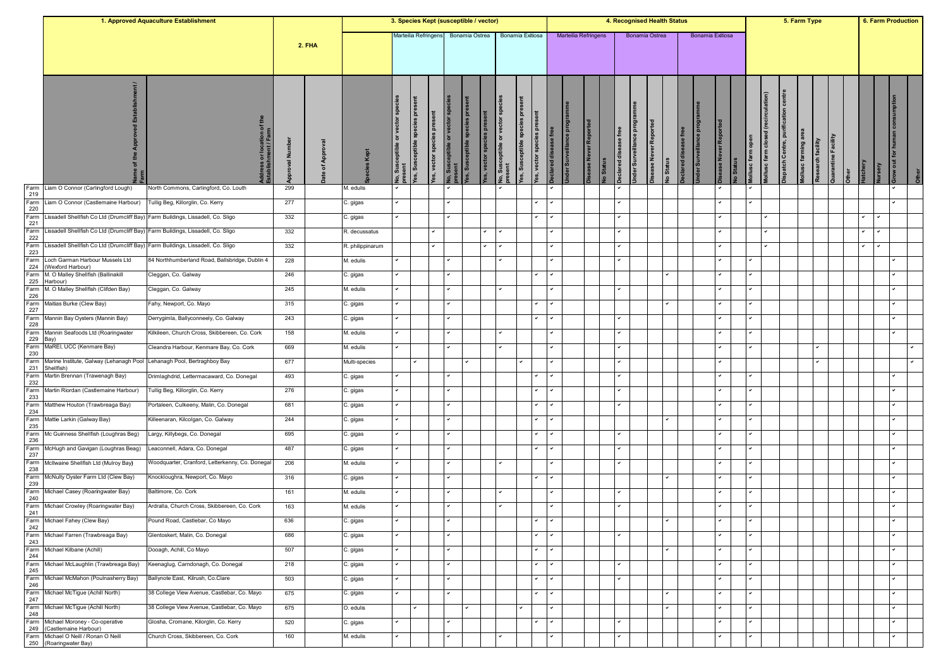|                                                            |                                                                                 | 1. Approved Aquaculture Establishment           |           |               |                  | 3. Species Kept (susceptible / vector) |                                      |                                   |                                   |                                          |              |                                                      |                      |                           |                             |                 |          |                       |                         | 4. Recognised Health Status                   |          |                  |              |                                 |                                       |                                       |                   | 5. Farm Type |                            |          | <b>6. Farm Production</b> |  |
|------------------------------------------------------------|---------------------------------------------------------------------------------|-------------------------------------------------|-----------|---------------|------------------|----------------------------------------|--------------------------------------|-----------------------------------|-----------------------------------|------------------------------------------|--------------|------------------------------------------------------|----------------------|---------------------------|-----------------------------|-----------------|----------|-----------------------|-------------------------|-----------------------------------------------|----------|------------------|--------------|---------------------------------|---------------------------------------|---------------------------------------|-------------------|--------------|----------------------------|----------|---------------------------|--|
|                                                            |                                                                                 |                                                 |           | <b>2. FHA</b> |                  |                                        | Marteilia Refringens                 |                                   |                                   | Bonamia Ostrea                           |              |                                                      | Bonamia Exitiosa     |                           | <b>Marteilia Refringens</b> |                 |          |                       |                         | Bonamia Ostrea                                |          | Bonamia Exitiosa |              |                                 |                                       |                                       |                   |              |                            |          |                           |  |
|                                                            |                                                                                 | dress or location of<br>tablishment / Farm      | Ē<br>oval | ৽             |                  | vector sp<br>৯                         | 高<br>species pres<br>es, Susceptible | <b>Pres</b><br>es, vector species | sceptible or vector sp<br>lo, Sus | <b>bre</b><br>ceptible species<br>es, Su | es, vect     | or vector sp<br>eptible<br><b>Jo, Sus</b><br>present | vector sp<br>es, Sus |                           | ᄘ<br>er Surve               | se Never Report | o Status | ase free<br>clared di | Inder Surveillance prog | ase Never Reporte<br><b>Status</b><br>$\circ$ | clared d |                  | <b>SR Ne</b> | <b>B</b><br>ollusc <sub>1</sub> | (recirculation)<br>ollusc farm closed | ation centre<br>ispatch Centre, purit | ollusc farming ar | Research fac | <b>Quarantine Facility</b> | latchery | row out for human cons    |  |
| Farm<br>219                                                | Liam O Connor (Carlingford Lough)                                               | North Commons, Carlingford, Co. Louth           | 299       |               | M. edulis        |                                        |                                      |                                   |                                   |                                          |              |                                                      |                      |                           |                             |                 |          |                       |                         |                                               |          |                  |              |                                 |                                       |                                       |                   |              |                            |          |                           |  |
| Farm<br>220                                                | Liam O Connor (Castlemaine Harbour)                                             | 「ullig Beg, Killorglin, Co. Kerry               | 277       |               | C. gigas         |                                        |                                      |                                   | $\checkmark$                      |                                          |              |                                                      | ٠                    |                           |                             |                 |          | ◡                     |                         |                                               |          |                  |              |                                 |                                       |                                       |                   |              |                            |          |                           |  |
| Farm<br>221                                                | issadell Shellfish Co Ltd (Drumcliff Bay).                                      | Farm Buildings, Lissadell, Co. Sligo            | 332       |               | C. gigas         |                                        |                                      |                                   |                                   |                                          |              |                                                      | $\checkmark$         |                           |                             |                 |          |                       |                         |                                               |          |                  |              |                                 |                                       |                                       |                   |              |                            |          |                           |  |
| Farm<br>222                                                | issadell Shellfish Co Ltd (Drumcliff Bay).                                      | Farm Buildings, Lissadell, Co. Sligo            | 332       |               | R. decussatus    |                                        |                                      |                                   |                                   |                                          | $\checkmark$ |                                                      |                      |                           |                             |                 |          |                       |                         |                                               |          |                  |              |                                 |                                       |                                       |                   |              |                            |          |                           |  |
| Farm<br>223                                                | Lissadell Shellfish Co Ltd (Drumcliff Bay) Farm Buildings, Lissadell, Co. Sligo |                                                 | 332       |               | R. philippinarum |                                        |                                      | ✓                                 |                                   |                                          | $\checkmark$ |                                                      |                      |                           |                             |                 |          |                       |                         |                                               |          |                  |              |                                 |                                       |                                       |                   |              |                            |          |                           |  |
| Farm<br>224                                                | Loch Garman Harbour Mussels Ltd<br>(Wexford Harbour)                            | 84 Northhumberland Road, Ballsbridge, Dublin 4  | 228       |               | M. edulis        |                                        |                                      |                                   |                                   |                                          |              |                                                      |                      |                           |                             |                 |          |                       |                         |                                               |          |                  |              |                                 |                                       |                                       |                   |              |                            |          |                           |  |
|                                                            | Farm M. O Malley Shellfish (Ballinakill<br>225 Harbour)                         | Cleggan, Co. Galway                             | 246       |               | C. gigas         |                                        |                                      |                                   |                                   |                                          |              |                                                      | $\checkmark$         |                           |                             |                 |          |                       |                         | ✓                                             |          |                  |              |                                 |                                       |                                       |                   |              |                            |          |                           |  |
| Farm<br>226                                                | M. O Malley Shellfish (Clifden Bay)                                             | Cleggan, Co. Galway                             | 245       |               | M. edulis        |                                        |                                      |                                   |                                   |                                          |              |                                                      |                      |                           |                             |                 |          | $\checkmark$          |                         |                                               |          |                  |              |                                 |                                       |                                       |                   |              |                            |          |                           |  |
| Farm<br>227                                                | Maitias Burke (Clew Bay)                                                        | Fahy, Newport, Co. Mayo                         | 315       |               | C. gigas         |                                        |                                      |                                   | v                                 |                                          |              |                                                      | $\checkmark$         |                           |                             |                 |          |                       |                         | ✓                                             |          |                  |              |                                 |                                       |                                       |                   |              |                            |          |                           |  |
| Farm<br>228                                                | Mannin Bay Oysters (Mannin Bay)                                                 | Derrygimla, Ballyconneely, Co. Galway           | 243       |               | C. gigas         |                                        |                                      |                                   | v                                 |                                          |              |                                                      | $\checkmark$         |                           |                             |                 |          | ◡                     |                         |                                               |          |                  |              |                                 |                                       |                                       |                   |              |                            |          | $\checkmark$              |  |
| Farm                                                       | Mannin Seafoods Ltd (Roaringwater                                               | (ilkileen, Church Cross, Skibbereen, Co. Cork   | 158       |               | M. edulis        |                                        |                                      |                                   |                                   |                                          |              |                                                      |                      |                           |                             |                 |          |                       |                         |                                               |          |                  |              |                                 |                                       |                                       |                   |              |                            |          |                           |  |
| 229<br>Farm<br>230                                         | Bay)<br>MaREI, UCC (Kenmare Bay)                                                | Cleandra Harbour, Kenmare Bay, Co. Cork         | 669       |               | M. edulis        |                                        |                                      |                                   |                                   |                                          |              |                                                      |                      |                           |                             |                 |          |                       |                         |                                               |          |                  |              |                                 |                                       |                                       |                   |              |                            |          |                           |  |
| Farm                                                       | Marine Institute, Galway (Lehanagh Pool Lehanagh Pool, Bertraghboy Bay          |                                                 | 677       |               | Multi-species    |                                        |                                      |                                   |                                   |                                          |              |                                                      |                      |                           |                             |                 |          |                       |                         |                                               |          |                  |              |                                 |                                       |                                       |                   | ✓            |                            |          |                           |  |
| 231<br>Farm<br>232                                         | Shellfish)<br>Martin Brennan (Trawenagh Bay)                                    | Drimlaghdrid, Lettermacaward, Co. Donegal       | 493       |               | C. gigas         |                                        |                                      |                                   |                                   |                                          |              |                                                      | $\checkmark$         |                           |                             |                 |          |                       |                         |                                               |          |                  |              |                                 |                                       |                                       |                   |              |                            |          |                           |  |
| Farm                                                       | Martin Riordan (Castlemaine Harbour)                                            | Fullig Beg, Killorglin, Co. Kerry               | 276       |               | C. gigas         |                                        |                                      |                                   | $\checkmark$                      |                                          |              |                                                      | $\checkmark$         |                           |                             |                 |          | $\checkmark$          |                         |                                               |          |                  |              |                                 |                                       |                                       |                   |              |                            |          |                           |  |
| 233<br>$\begin{array}{c}\n\text{Farm} \\ 234\n\end{array}$ | Matthew Houton (Trawbreaga Bay)                                                 | Portaleen, Culkeeny, Malin, Co. Donegal         | 681       |               | C. gigas         |                                        |                                      |                                   |                                   |                                          |              |                                                      |                      |                           |                             |                 |          |                       |                         |                                               |          |                  |              |                                 |                                       |                                       |                   |              |                            |          |                           |  |
| Farm                                                       | Mattie Larkin (Galway Bay)                                                      | Killeenaran, Kilcolgan, Co. Galway              | 244       |               | C. gigas         |                                        |                                      |                                   |                                   |                                          |              |                                                      | $\checkmark$         |                           |                             |                 |          |                       |                         | ◡                                             |          |                  |              |                                 |                                       |                                       |                   |              |                            |          |                           |  |
| 235<br>Farm                                                | Mc Guinness Shellfish (Loughras Beg)                                            | Largy, Killybegs, Co. Donegal                   | 695       |               | C. gigas         |                                        |                                      |                                   |                                   |                                          |              |                                                      |                      |                           |                             |                 |          |                       |                         |                                               |          |                  |              |                                 |                                       |                                       |                   |              |                            |          |                           |  |
| 236<br>Farm                                                | McHugh and Gavigan (Loughras Beag)                                              | Leaconnell, Adara, Co. Donegal                  | 487       |               | C. gigas         |                                        |                                      |                                   | $\checkmark$                      |                                          |              |                                                      |                      |                           |                             |                 |          |                       |                         |                                               |          |                  |              |                                 |                                       |                                       |                   |              |                            |          | $\overline{ }$            |  |
| 237<br>Farm                                                | McIlwaine Shellfish Ltd (Mulroy Bay)                                            | Woodquarter, Cranford, Letterkenny, Co. Donegal | 206       |               | M. edulis        |                                        |                                      |                                   |                                   |                                          |              |                                                      |                      |                           |                             |                 |          |                       |                         |                                               |          |                  |              |                                 |                                       |                                       |                   |              |                            |          | $\checkmark$              |  |
| 238                                                        | McNulty Oyster Farm Ltd (Clew Bay)                                              | Knockloughra, Newport, Co. Mayo                 | 316       |               | C. gigas         |                                        |                                      |                                   |                                   |                                          |              |                                                      | $\checkmark$         |                           |                             |                 |          |                       |                         | ✓                                             |          |                  |              |                                 |                                       |                                       |                   |              |                            |          |                           |  |
| $Farm$<br>$239$<br>Farm                                    | Michael Casey (Roaringwater Bay)                                                | Baltimore, Co. Cork                             | 161       |               | M. edulis        |                                        |                                      |                                   |                                   |                                          |              |                                                      |                      |                           |                             |                 |          | v                     |                         |                                               |          |                  |              |                                 |                                       |                                       |                   |              |                            |          |                           |  |
| 240<br>Farm                                                | Michael Crowley (Roaringwater Bay)                                              | Ardralla, Church Cross, Skibbereen, Co. Cork    | 163       |               | M. edulis        |                                        |                                      |                                   |                                   |                                          |              |                                                      |                      |                           |                             |                 |          |                       |                         |                                               |          |                  |              |                                 |                                       |                                       |                   |              |                            |          |                           |  |
| 241                                                        | Farm Michael Fahey (Clew Bay)                                                   | Pound Road, Castlebar, Co Mayo                  | 636       |               |                  | $\checkmark$                           |                                      |                                   | $\checkmark$                      |                                          |              |                                                      | $\checkmark$         | $\mathsf{I}$ $\mathsf{I}$ |                             |                 |          |                       |                         | $\checkmark$                                  |          |                  | $\checkmark$ | $\checkmark$                    |                                       |                                       |                   |              |                            |          | $\checkmark$              |  |
| 242<br>Farm                                                | Michael Farren (Trawbreaga Bay)                                                 | Glentoskert, Malin, Co. Donegal                 | 686       |               | C. gigas         |                                        |                                      |                                   |                                   |                                          |              |                                                      |                      |                           |                             |                 |          |                       |                         |                                               |          |                  |              |                                 |                                       |                                       |                   |              |                            |          |                           |  |
| 243                                                        | Farm Michael Kilbane (Achill)                                                   |                                                 |           |               | C. gigas         |                                        |                                      |                                   |                                   |                                          |              |                                                      |                      |                           |                             |                 |          |                       |                         |                                               |          |                  |              |                                 |                                       |                                       |                   |              |                            |          | $\overline{ }$            |  |
| 244                                                        |                                                                                 | Dooagh, Achill, Co Mayo                         | 507       |               | C. gigas         |                                        |                                      |                                   |                                   |                                          |              |                                                      |                      |                           |                             |                 |          |                       |                         |                                               |          |                  |              |                                 |                                       |                                       |                   |              |                            |          |                           |  |
| Farm<br>245                                                | Michael McLaughlin (Trawbreaga Bay)                                             | Keenaglug, Carndonagh, Co. Donegal              | 218       |               | C. gigas         |                                        |                                      |                                   |                                   |                                          |              |                                                      | ٠                    |                           |                             |                 |          |                       |                         |                                               |          |                  |              |                                 |                                       |                                       |                   |              |                            |          | $\checkmark$              |  |
| Farm<br>246                                                | Michael McMahon (Poulnasherry Bay)                                              | Ballynote East, Kilrush, Co.Clare               | 503       |               | C. gigas         |                                        |                                      |                                   | $\checkmark$                      |                                          |              |                                                      | $\checkmark$         |                           |                             |                 |          | ◡                     |                         |                                               |          |                  | $\checkmark$ |                                 |                                       |                                       |                   |              |                            |          | $\checkmark$              |  |
| Farm<br>247                                                | Michael McTigue (Achill North)                                                  | 38 College View Avenue, Castlebar, Co. Mayo     | 675       |               | C. gigas         |                                        |                                      |                                   |                                   |                                          |              |                                                      | $\checkmark$         |                           |                             |                 |          |                       |                         | ◡                                             |          |                  |              |                                 |                                       |                                       |                   |              |                            |          | $\overline{ }$            |  |
| Farm<br>248                                                | Michael McTigue (Achill North)                                                  | 38 College View Avenue, Castlebar, Co. Mayo     | 675       |               | O. edulis        |                                        |                                      |                                   |                                   |                                          |              |                                                      |                      |                           |                             |                 |          |                       |                         |                                               |          |                  |              |                                 |                                       |                                       |                   |              |                            |          |                           |  |
| Farm<br>249                                                | Michael Moroney - Co-operative<br>(Castlemaine Harbour)                         | Glosha, Cromane, Kilorglin, Co. Kerry           | 520       |               | C. gigas         |                                        |                                      |                                   |                                   |                                          |              |                                                      | $\checkmark$         |                           |                             |                 |          | $\checkmark$          |                         |                                               |          |                  |              |                                 |                                       |                                       |                   |              |                            |          |                           |  |
| Farm                                                       | Michael O Neill / Ronan O Neill<br>250 (Roaringwater Bay)                       | Church Cross, Skibbereen, Co. Cork              | 160       |               | M. edulis        |                                        |                                      |                                   |                                   |                                          |              |                                                      |                      |                           |                             |                 |          |                       |                         |                                               |          |                  |              |                                 |                                       |                                       |                   |              |                            |          |                           |  |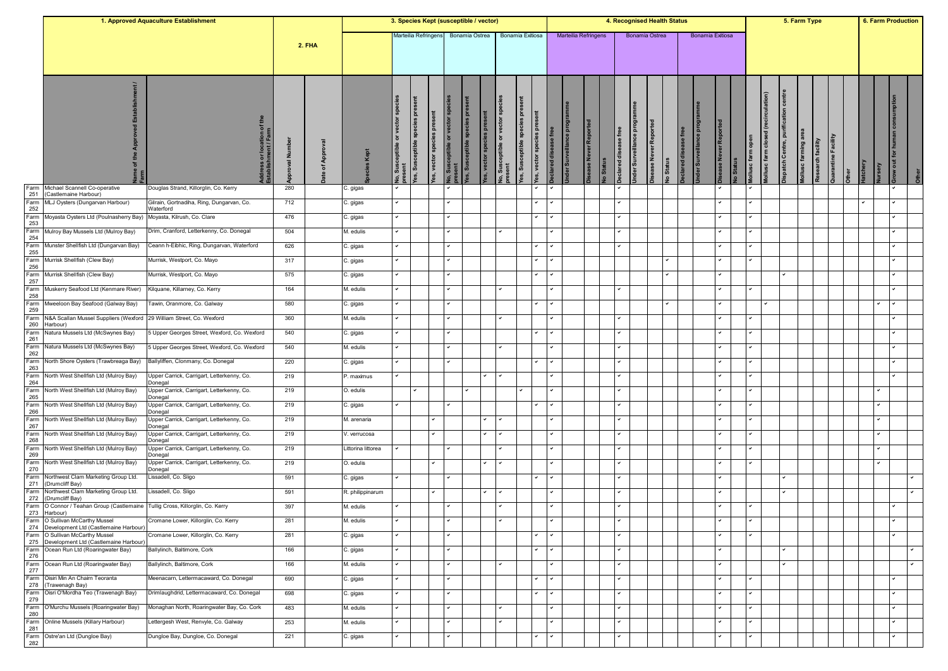| Marteilia Refringens<br><b>Bonamia Exitiosa</b><br>Marteilia Refringens<br>Bonamia Exitiosa<br>Bonamia Ostrea<br>Bonamia Ostrea<br><b>2. FHA</b><br>ient<br>sceptible species pres<br>vector sp<br>ceptible species pro<br>or vector sp<br>ă<br>효<br>ase free<br>$\overline{5}$                                                                                                                                                                                 | ollusc farm closed (recirculation)<br>spatch Centre, purit<br>lollusc farming are<br>open<br>Quarantine Facili<br>Research facility<br>atchery |              |
|-----------------------------------------------------------------------------------------------------------------------------------------------------------------------------------------------------------------------------------------------------------------------------------------------------------------------------------------------------------------------------------------------------------------------------------------------------------------|------------------------------------------------------------------------------------------------------------------------------------------------|--------------|
|                                                                                                                                                                                                                                                                                                                                                                                                                                                                 |                                                                                                                                                |              |
| lo, Susceptible or vector sp<br>resent<br>es, vector species present<br>ress or location of th<br>blishment / Farm<br>ase Never Reported<br>nder Surveillance pro<br>se Never Report<br>eclared disease<br>s, vector speci<br>vector spec<br>der Surveil<br>$rac{5}{2}$<br>ollusc farm<br>eclared dis-<br>Le<br>se Ne<br><b>Status</b><br>roval<br>o Status<br><b>Jo, Susco</b><br>present<br>res, Sus<br>$\frac{1}{3}$ . Sus<br>as, Sus<br>৳<br>эŚ,<br>$\circ$ |                                                                                                                                                |              |
| Farm<br>280<br>Douglas Strand, Killorglin, Co. Kerry<br>Michael Scannell Co-operative<br>C. gigas<br>251<br>(Castlemaine Harbour)                                                                                                                                                                                                                                                                                                                               |                                                                                                                                                |              |
| Farm<br>MLJ Oysters (Dungarvan Harbour)<br>Gilrain, Gortnadiha, Ring, Dungarvan, Co.<br>712<br>C. gigas<br>252<br>Waterford                                                                                                                                                                                                                                                                                                                                     |                                                                                                                                                |              |
| Farm<br>Moyasta, Kilrush, Co. Clare<br>Moyasta Oysters Ltd (Poulnasherry Bay)<br>476<br>C. gigas<br>$\checkmark$<br>◡<br>253                                                                                                                                                                                                                                                                                                                                    |                                                                                                                                                |              |
| Farm<br>254<br>Drim, Cranford, Letterkenny, Co. Donegal<br>504<br>M. edulis<br>Mulroy Bay Mussels Ltd (Mulroy Bay)                                                                                                                                                                                                                                                                                                                                              |                                                                                                                                                |              |
| Farm<br>626<br>Munster Shellfish Ltd (Dungarvan Bay)<br>Ceann h-Eibhic, Ring, Dungarvan, Waterford<br>C. gigas                                                                                                                                                                                                                                                                                                                                                  |                                                                                                                                                |              |
| 255<br>Farm<br>317<br>Murrisk Shellfish (Clew Bay)<br>Murrisk, Westport, Co. Mayo<br>C. gigas<br>✓                                                                                                                                                                                                                                                                                                                                                              |                                                                                                                                                |              |
| 256<br>Farm<br>Murrisk Shellfish (Clew Bay)<br>Murrisk, Westport, Co. Mayo<br>575<br>C. gigas<br>v<br>$\checkmark$<br>✓                                                                                                                                                                                                                                                                                                                                         |                                                                                                                                                |              |
| 257<br>Farm<br>Muskerry Seafood Ltd (Kenmare River)<br>Kilquane, Killarney, Co. Kerry<br>164<br>M. edulis                                                                                                                                                                                                                                                                                                                                                       |                                                                                                                                                |              |
| 258<br>Farm<br>Mweeloon Bay Seafood (Galway Bay)<br>580<br>Tawin, Oranmore, Co. Galway<br>$\checkmark$<br>$\checkmark$<br>✓<br>C. gigas                                                                                                                                                                                                                                                                                                                         |                                                                                                                                                | $\checkmark$ |
| 259<br>Farm<br>N&A Scallan Mussel Suppliers (Wexford 29 William Street, Co. Wexford<br>360<br>M. edulis<br>✓<br>◡                                                                                                                                                                                                                                                                                                                                               |                                                                                                                                                |              |
| 260<br>Harbour)<br>Natura Mussels Ltd (McSwynes Bay)<br>5 Upper Georges Street, Wexford, Co. Wexford<br>540<br>C. gigas                                                                                                                                                                                                                                                                                                                                         |                                                                                                                                                |              |
| Farm<br>261<br>Farm<br>540<br>M. edulis<br>Natura Mussels Ltd (McSwynes Bay)<br>5 Upper Georges Street, Wexford, Co. Wexford                                                                                                                                                                                                                                                                                                                                    |                                                                                                                                                |              |
| 262<br>Farm<br>220<br>Ballyliffen, Clonmany, Co. Donegal<br>North Shore Oysters (Trawbreaga Bay)<br>C. gigas                                                                                                                                                                                                                                                                                                                                                    |                                                                                                                                                |              |
| 263<br>Farm<br>North West Shellfish Ltd (Mulroy Bay)<br>Upper Carrick, Carrigart, Letterkenny, Co.<br>219<br>P. maximus<br>$\checkmark$<br>✓                                                                                                                                                                                                                                                                                                                    |                                                                                                                                                |              |
| 264<br>Donegal<br>Farm<br>North West Shellfish Ltd (Mulroy Bay)<br>Jpper Carrick, Carrigart, Letterkenny, Co.<br>219<br>O. edulis                                                                                                                                                                                                                                                                                                                               |                                                                                                                                                |              |
| 265<br>Donega<br>Farm<br>North West Shellfish Ltd (Mulroy Bay)<br>219<br>v                                                                                                                                                                                                                                                                                                                                                                                      |                                                                                                                                                |              |
| Jpper Carrick, Carrigart, Letterkenny, Co.<br>C. gigas<br>266<br>Donegal                                                                                                                                                                                                                                                                                                                                                                                        |                                                                                                                                                |              |
| Farm<br>219<br>North West Shellfish Ltd (Mulroy Bay)<br>Jpper Carrick, Carrigart, Letterkenny, Co.<br>M. arenaria<br>✓<br>$\checkmark$<br>◡<br>267<br>Donegal                                                                                                                                                                                                                                                                                                   |                                                                                                                                                |              |
| Farm<br>268<br>North West Shellfish Ltd (Mulroy Bay)<br>Upper Carrick, Carrigart, Letterkenny, Co.<br>219<br>V. verrucosa<br>Donegal                                                                                                                                                                                                                                                                                                                            |                                                                                                                                                |              |
| Farm<br>219<br>Upper Carrick, Carrigart, Letterkenny, Co.<br>North West Shellfish Ltd (Mulroy Bay)<br>Littorina littorea<br>269<br>Donegal                                                                                                                                                                                                                                                                                                                      |                                                                                                                                                |              |
| Farm<br>North West Shellfish Ltd (Mulroy Bay)<br>Jpper Carrick, Carrigart, Letterkenny, Co.<br>219<br>O. edulis<br>270<br>Donegal                                                                                                                                                                                                                                                                                                                               |                                                                                                                                                |              |
| Farm<br>Northwest Clam Marketing Group Ltd.<br>Lissadell, Co. Sligo<br>591<br>C. gigas<br>$\checkmark$<br>$\checkmark$<br>v<br>271<br>(Drumcliff Bay)                                                                                                                                                                                                                                                                                                           |                                                                                                                                                |              |
| Northwest Clam Marketing Group Ltd.<br>Farm<br>Lissadell, Co. Sligo<br>591<br>$\checkmark$<br>R. philippinarum<br>272<br>(Drumcliff Bay)                                                                                                                                                                                                                                                                                                                        |                                                                                                                                                |              |
| Farm   O Connor / Teahan Group (Castlemaine   Tullig Cross, Killorglin, Co. Kerry<br>397<br>M. edulis<br>273 Harbour)                                                                                                                                                                                                                                                                                                                                           |                                                                                                                                                |              |
| Farm   O Sullivan McCarthy Mussel<br>$\ddot{\phantom{0}}$<br>Cromane Lower, Killorglin, Co. Kerry<br>M. edulis<br>$\checkmark$<br>$\overline{\phantom{a}}$<br>$\overline{\phantom{a}}$<br>$\checkmark$<br>281<br>$\checkmark$<br>274 Development Ltd (Castlemaine Harbour)                                                                                                                                                                                      |                                                                                                                                                | $\checkmark$ |
| Farm O Sullivan McCarthy Mussel<br>Cromane Lower, Killorglin, Co. Kerry<br>281<br>C. gigas<br>275 Development Ltd (Castlemaine Harbour)                                                                                                                                                                                                                                                                                                                         |                                                                                                                                                |              |
| Farm Ocean Run Ltd (Roaringwater Bay)<br>Ballylinch, Baltimore, Cork<br>166<br>C. gigas<br>276                                                                                                                                                                                                                                                                                                                                                                  |                                                                                                                                                |              |
| Farm Ocean Run Ltd (Roaringwater Bay)<br>Ballylinch, Baltimore, Cork<br>166<br>M. edulis<br>277                                                                                                                                                                                                                                                                                                                                                                 |                                                                                                                                                |              |
| Farm Oisiri Min An Chairn Teoranta<br>690<br>Meenacarn, Lettermacaward, Co. Donegal<br>C. gigas<br>٠<br>◡<br>◡<br>278 (Trawenagh Bay)                                                                                                                                                                                                                                                                                                                           |                                                                                                                                                |              |
| Farm Oisri O'Mordha Teo (Trawenagh Bay)<br>Drimlaughdrid, Lettermacaward, Co. Donegal<br>698<br>$\checkmark$<br>C. gigas<br>$\checkmark$<br>✓<br>v<br>279                                                                                                                                                                                                                                                                                                       |                                                                                                                                                | $\checkmark$ |
| Farm O'Murchu Mussels (Roaringwater Bay)<br>Monaghan North, Roaringwater Bay, Co. Cork<br>483<br>M. edulis<br>$\checkmark$<br>v<br>◡<br>280                                                                                                                                                                                                                                                                                                                     |                                                                                                                                                |              |
| Farm<br>Online Mussels (Killary Harbour)<br>Lettergesh West, Renvyle, Co. Galway<br>253<br>M. edulis<br>v<br>v<br>◡<br>281                                                                                                                                                                                                                                                                                                                                      |                                                                                                                                                |              |
| Farm<br>Ostre'an Ltd (Dungloe Bay)<br>Dungloe Bay, Dungloe, Co. Donegal<br>221<br>C. gigas<br>282                                                                                                                                                                                                                                                                                                                                                               |                                                                                                                                                |              |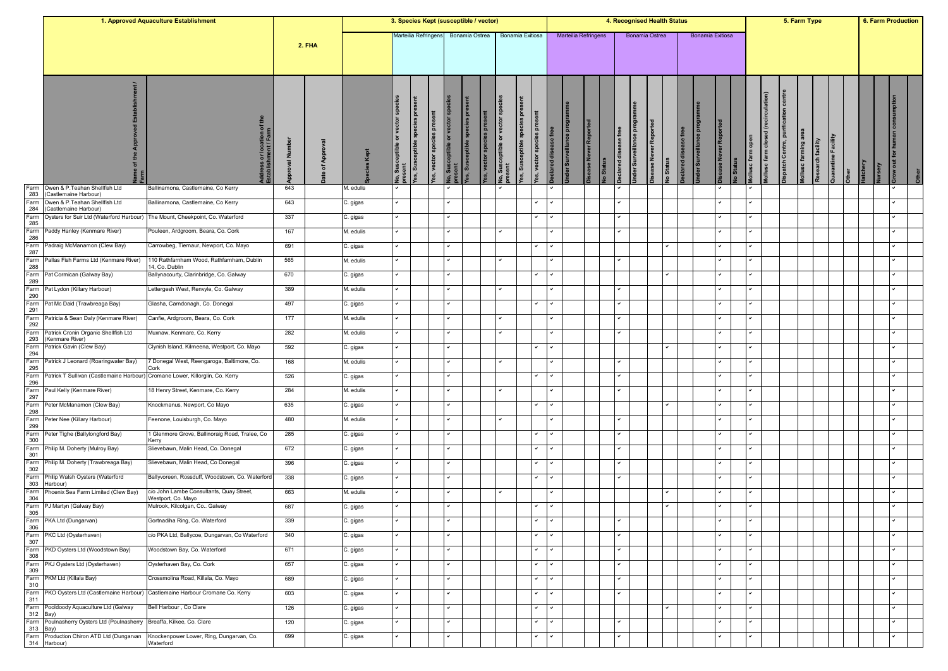|                  |                                                                               | 1. Approved Aquaculture Establishment                                            |            |               |           | 3. Species Kept (susceptible / vector) |                                      |                                                             |                           |                                            |                 |                                                |                                |        |                      |                  |          |                               |                        | 4. Recognised Health Status    |                 |                  |              |                      |                                       |                       | 5. Farm Type        |                   |                     |                 | 6. Farm Production       |       |
|------------------|-------------------------------------------------------------------------------|----------------------------------------------------------------------------------|------------|---------------|-----------|----------------------------------------|--------------------------------------|-------------------------------------------------------------|---------------------------|--------------------------------------------|-----------------|------------------------------------------------|--------------------------------|--------|----------------------|------------------|----------|-------------------------------|------------------------|--------------------------------|-----------------|------------------|--------------|----------------------|---------------------------------------|-----------------------|---------------------|-------------------|---------------------|-----------------|--------------------------|-------|
|                  |                                                                               |                                                                                  |            | <b>2. FHA</b> |           |                                        | Marteilia Refringens                 |                                                             |                           | Bonamia Ostrea                             |                 |                                                | Bonamia Exitiosa               |        | Marteilia Refringens |                  |          |                               |                        | Bonamia Ostrea                 |                 | Bonamia Exitiosa |              |                      |                                       |                       |                     |                   |                     |                 |                          |       |
|                  |                                                                               | Idress or location of<br>tablishment / Farm                                      | Ē<br>levo. | ৢ             |           | vector spe<br>ŏ                        | ã<br>species pres<br>es, Susceptible | sceptible or vector sp<br><b>pres</b><br>es, vector species | <b>Jo, Sus</b><br>Present | <b>bre</b><br>ceptible species<br>les, Sus | es, vector spec | or vector sp<br>eptible<br>No, Susr<br>present | ă<br>es, vector spo<br>es, Sus |        | ᄘ<br>der Surveilla   | ase Never Report | o Status | <b>ise</b> free<br>sclared di | Inder Surveillance pro | ase Never Reporte<br>lo Status | eclared disease |                  |              | open<br>Mollusc farm | (recirculation)<br>ollusc farm closed | ispatch Centre, purif | lollusc farming are | Research facility | Quarantine Facility | <b>latchery</b> |                          | Other |
| Farm<br>283      | Owen & P. Teahan Shellfish Ltd<br>(Castlemaine Harbour)                       | Ballinamona, Castlemaine, Co Kerry                                               | 643        |               | M. edulis |                                        |                                      |                                                             |                           |                                            |                 |                                                |                                |        |                      |                  |          |                               |                        |                                |                 |                  |              |                      |                                       |                       |                     |                   |                     |                 |                          |       |
| Farm<br>284      | Owen & P.Teahan Shellfish Ltd<br>(Castlemaine Harbour)                        | Ballinamona, Castlemaine, Co Kerry                                               | 643        |               | C. gigas  |                                        |                                      |                                                             | v                         |                                            |                 |                                                | ٠                              |        |                      |                  |          | v                             |                        |                                |                 |                  |              | ◡                    |                                       |                       |                     |                   |                     |                 |                          |       |
| Farm<br>285      | Oysters for Suir Ltd (Waterford Harbour)                                      | The Mount, Cheekpoint, Co. Waterford                                             | 337        |               | C. gigas  |                                        |                                      |                                                             | $\checkmark$              |                                            |                 |                                                | $\checkmark$                   |        |                      |                  |          | v                             |                        |                                |                 |                  |              |                      |                                       |                       |                     |                   |                     |                 |                          |       |
| Farm<br>286      | Paddy Hanley (Kenmare River)                                                  | Pouleen, Ardgroom, Beara, Co. Cork                                               | 167        |               | M. edulis |                                        |                                      |                                                             |                           |                                            |                 |                                                |                                |        |                      |                  |          |                               |                        |                                |                 |                  |              |                      |                                       |                       |                     |                   |                     |                 |                          |       |
| Farm<br>287      | Padraig McManamon (Clew Bay)                                                  | Carrowbeg, Tiernaur, Newport, Co. Mayo                                           | 691        |               | C. gigas  |                                        |                                      |                                                             |                           |                                            |                 |                                                |                                |        |                      |                  |          |                               |                        |                                |                 |                  |              |                      |                                       |                       |                     |                   |                     |                 |                          |       |
| Farm<br>288      | Pallas Fish Farms Ltd (Kenmare River)                                         | 110 Rathfarnham Wood, Rathfarnham, Dublin<br>14, Co. Dublin                      | 565        |               | M. edulis |                                        |                                      |                                                             |                           |                                            |                 |                                                |                                |        |                      |                  |          | ◡                             |                        |                                |                 |                  |              | ◡                    |                                       |                       |                     |                   |                     |                 |                          |       |
| Farm<br>289      | Pat Cormican (Galway Bay)                                                     | Ballynacourty, Clarinbridge, Co. Galway                                          | 670        |               | C. gigas  |                                        |                                      |                                                             |                           |                                            |                 |                                                | $\checkmark$                   |        |                      |                  |          |                               |                        | ۰                              |                 |                  |              |                      |                                       |                       |                     |                   |                     |                 |                          |       |
| Farm             | Pat Lydon (Killary Harbour)                                                   | Lettergesh West, Renvyle, Co. Galway                                             | 389        |               | M. edulis |                                        |                                      |                                                             |                           |                                            |                 |                                                |                                |        |                      |                  |          | $\checkmark$                  |                        |                                |                 |                  |              | ◡                    |                                       |                       |                     |                   |                     |                 |                          |       |
| 290<br>Farm      | Pat Mc Daid (Trawbreaga Bay)                                                  | Glasha, Carndonagh, Co. Donegal                                                  | 497        |               | C. gigas  |                                        |                                      |                                                             | $\checkmark$              |                                            |                 |                                                | $\checkmark$                   |        |                      |                  |          | v                             |                        |                                |                 |                  |              | v                    |                                       |                       |                     |                   |                     |                 |                          |       |
| 291<br>Farm      | Patricia & Sean Daly (Kenmare River)                                          | Canfie, Ardgroom, Beara, Co. Cork                                                | 177        |               | M. edulis |                                        |                                      |                                                             | $\checkmark$              |                                            |                 |                                                |                                |        |                      |                  |          | v                             |                        |                                |                 |                  |              | $\checkmark$         |                                       |                       |                     |                   |                     |                 |                          |       |
| 292<br>Farm      | Patrick Cronin Organic Shellfish Ltd                                          | Muxnaw, Kenmare, Co. Kerry                                                       | 282        |               | M. edulis |                                        |                                      |                                                             |                           |                                            |                 |                                                |                                |        |                      |                  |          |                               |                        |                                |                 |                  |              |                      |                                       |                       |                     |                   |                     |                 |                          |       |
| 293<br>Farm      | (Kenmare River)<br>Patrick Gavin (Clew Bay)                                   | Clynish Island, Kilmeena, Westport, Co. Mayo                                     | 592        |               | C. gigas  |                                        |                                      |                                                             |                           |                                            |                 |                                                |                                |        |                      |                  |          |                               |                        |                                |                 |                  |              |                      |                                       |                       |                     |                   |                     |                 |                          |       |
| 294<br>Farm      | Patrick J Leonard (Roaringwater Bay)                                          | 7 Donegal West, Reengaroga, Baltimore, Co.                                       | 168        |               | M. edulis |                                        |                                      |                                                             |                           |                                            |                 |                                                |                                |        |                      |                  |          |                               |                        |                                |                 |                  |              |                      |                                       |                       |                     |                   |                     |                 |                          |       |
| 295<br>Farm      | Patrick T Sullivan (Castlemaine Harbour) Cromane Lower, Killorglin, Co. Kerry | Cork                                                                             | 526        |               | C. gigas  |                                        |                                      |                                                             |                           |                                            |                 |                                                | $\checkmark$                   |        |                      |                  |          |                               |                        |                                |                 |                  |              |                      |                                       |                       |                     |                   |                     |                 |                          |       |
| 296<br>Farm      | Paul Kelly (Kenmare River)                                                    | 18 Henry Street, Kenmare, Co. Kerry                                              | 284        |               | M. edulis |                                        |                                      |                                                             | $\overline{\phantom{0}}$  |                                            |                 |                                                |                                |        |                      |                  |          | $\checkmark$                  |                        |                                |                 |                  |              | ◡                    |                                       |                       |                     |                   |                     |                 | $\overline{\phantom{0}}$ |       |
| 297<br>Farm      | Peter McManamon (Clew Bay)                                                    | Knockmanus, Newport, Co Mayo                                                     | 635        |               | C. gigas  |                                        |                                      |                                                             |                           |                                            |                 |                                                |                                |        |                      |                  |          |                               |                        |                                |                 |                  |              |                      |                                       |                       |                     |                   |                     |                 |                          |       |
| 298<br>Farm      | Peter Nee (Killary Harbour)                                                   | Feenone, Louisburgh, Co. Mayo                                                    | 480        |               | M. edulis |                                        |                                      |                                                             |                           |                                            |                 |                                                |                                |        |                      |                  |          | v                             |                        |                                |                 |                  |              |                      |                                       |                       |                     |                   |                     |                 |                          |       |
| 299<br>Farm      | Peter Tighe (Ballylongford Bay)                                               | 1 Glenmore Grove, Ballinoraig Road, Tralee, Co                                   | 285        |               | C. gigas  |                                        |                                      |                                                             |                           |                                            |                 |                                                |                                |        |                      |                  |          |                               |                        |                                |                 |                  |              |                      |                                       |                       |                     |                   |                     |                 |                          |       |
| 300<br>Farm      | Philip M. Doherty (Mulroy Bay)                                                | Kerry<br>Slievebawn, Malin Head, Co. Donegal                                     | 672        |               | C. gigas  |                                        |                                      |                                                             | $\checkmark$              |                                            |                 |                                                |                                |        |                      |                  |          |                               |                        |                                |                 |                  |              | ◡                    |                                       |                       |                     |                   |                     |                 |                          |       |
| 301<br>Farm      | Philip M. Doherty (Trawbreaga Bay)                                            | Slievebawn, Malin Head, Co Donegal                                               | 396        |               | C. gigas  |                                        |                                      |                                                             |                           |                                            |                 |                                                | ٠                              |        |                      |                  |          | v                             |                        |                                |                 |                  |              | ◡                    |                                       |                       |                     |                   |                     |                 |                          |       |
| 302<br>Farm      | Philip Walsh Oysters (Waterford                                               | Ballyvoreen, Rossduff, Woodstown, Co. Waterford                                  | 338        |               | C. gigas  |                                        |                                      |                                                             |                           |                                            |                 |                                                | $\checkmark$                   |        |                      |                  |          |                               |                        |                                |                 |                  |              |                      |                                       |                       |                     |                   |                     |                 |                          |       |
| 303<br>Farm      | Harbour)<br>Phoenix Sea Farm Limited (Clew Bay)                               | c/o John Lambe Consultants, Quay Street,                                         | 663        |               | M. edulis |                                        |                                      |                                                             |                           |                                            |                 |                                                |                                |        |                      |                  |          |                               |                        | ◡                              |                 |                  |              | ◡                    |                                       |                       |                     |                   |                     |                 |                          |       |
| 304<br>Farm      | PJ Martyn (Galway Bay)                                                        | Westport, Co. Mayo<br>Mulrook, Kilcolgan, Co Galway                              | 687        |               | ≿. gigas  |                                        |                                      |                                                             |                           |                                            |                 |                                                |                                |        |                      |                  |          |                               |                        |                                |                 |                  |              |                      |                                       |                       |                     |                   |                     |                 |                          |       |
| 305              | Farm PKA Ltd (Dungarvan)                                                      | Gortnadiha Ring, Co. Waterford                                                   | 339        |               | C. gigas  | $\checkmark$                           |                                      |                                                             | $\checkmark$              |                                            |                 |                                                | $\checkmark$                   | $\sim$ |                      |                  |          | $\checkmark$                  |                        |                                |                 |                  | $\checkmark$ | $\checkmark$         |                                       |                       |                     |                   |                     |                 | $\checkmark$             |       |
| 306              | Farm PKC Ltd (Oysterhaven)                                                    | c/o PKA Ltd, Ballycoe, Dungarvan, Co Waterford                                   | 340        |               | C. gigas  |                                        |                                      |                                                             |                           |                                            |                 |                                                | $\checkmark$                   |        |                      |                  |          |                               |                        |                                |                 |                  |              |                      |                                       |                       |                     |                   |                     |                 |                          |       |
| 307              | Farm PKD Oysters Ltd (Woodstown Bay)                                          | Woodstown Bay, Co. Waterford                                                     | 671        |               | C. gigas  |                                        |                                      |                                                             | $\overline{\phantom{0}}$  |                                            |                 |                                                | $\checkmark$                   |        |                      |                  |          | v                             |                        |                                |                 |                  |              | $\checkmark$         |                                       |                       |                     |                   |                     |                 |                          |       |
| 308              | Farm PKJ Oysters Ltd (Oysterhaven)                                            | Oysterhaven Bay, Co. Cork                                                        | 657        |               | C. gigas  |                                        |                                      |                                                             | ◡                         |                                            |                 |                                                | ٠                              |        |                      |                  |          | ✓                             |                        |                                |                 |                  |              | ◡                    |                                       |                       |                     |                   |                     |                 |                          |       |
| 309<br>Farm      | PKM Ltd (Killala Bay)                                                         | Crossmolina Road, Killala, Co. Mayo                                              | 689        |               |           |                                        |                                      |                                                             | $\checkmark$              |                                            |                 |                                                | $\checkmark$                   |        |                      |                  |          | v                             |                        |                                |                 |                  |              | $\checkmark$         |                                       |                       |                     |                   |                     |                 | $\checkmark$             |       |
| 310              |                                                                               | Farm PKO Oysters Ltd (Castlemaine Harbour) Castlemaine Harbour Cromane Co. Kerry | 603        |               | C. gigas  |                                        |                                      |                                                             | $\checkmark$              |                                            |                 |                                                | $\checkmark$                   |        |                      |                  |          | $\checkmark$                  |                        |                                |                 |                  |              | ◡                    |                                       |                       |                     |                   |                     |                 | $\checkmark$             |       |
| 311              |                                                                               | Bell Harbour, Co Clare                                                           |            |               | C. gigas  |                                        |                                      |                                                             |                           |                                            |                 |                                                | $\checkmark$                   |        |                      |                  |          |                               |                        |                                |                 |                  |              |                      |                                       |                       |                     |                   |                     |                 |                          |       |
| 312 Bay)         | Farm Pooldoody Aquaculture Ltd (Galway                                        |                                                                                  | 126        |               | C. gigas  |                                        |                                      |                                                             |                           |                                            |                 |                                                |                                |        |                      |                  |          |                               |                        |                                |                 |                  |              |                      |                                       |                       |                     |                   |                     |                 |                          |       |
| Farm<br>313 Bay) | Poulnasherry Oysters Ltd (Poulnasherry                                        | Breaffa, Kilkee, Co. Clare                                                       | 120        |               | C. gigas  |                                        |                                      |                                                             |                           |                                            |                 |                                                | $\checkmark$                   |        |                      |                  |          | ◡                             |                        |                                |                 |                  |              | ◡                    |                                       |                       |                     |                   |                     |                 | $\checkmark$             |       |
|                  | Farm Production Chiron ATD Ltd (Dungarvan<br>314 Harbour)                     | Knockenpower Lower, Ring, Dungarvan, Co.<br>Waterford                            | 699        |               | C. gigas  |                                        |                                      |                                                             |                           |                                            |                 |                                                | $\checkmark$                   |        |                      |                  |          |                               |                        |                                |                 |                  |              |                      |                                       |                       |                     |                   |                     |                 |                          |       |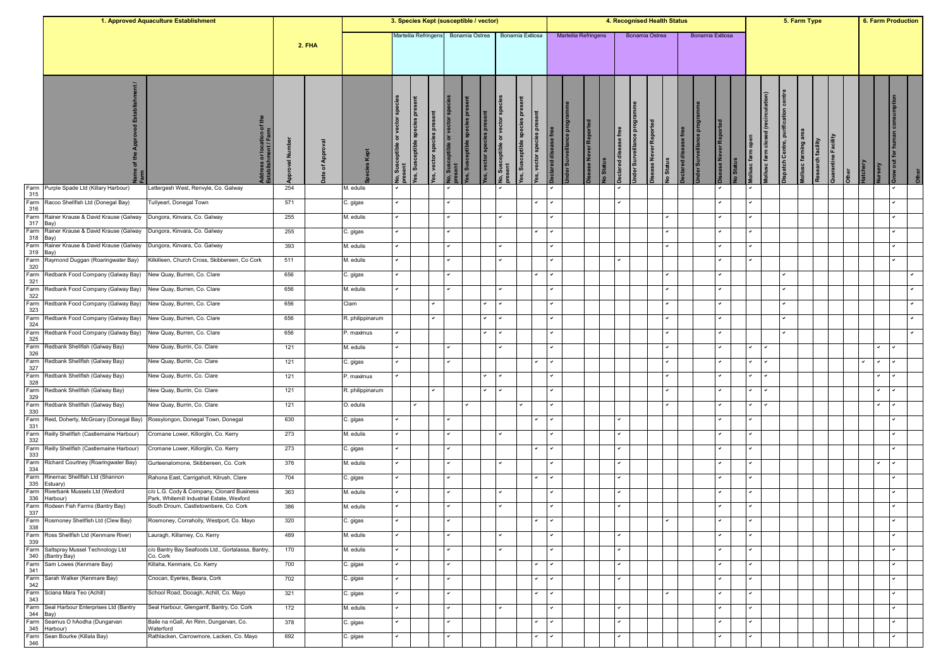|             |                                                          | 1. Approved Aquaculture Establishment                                               |            |          |                       | 3. Species Kept (susceptible / vector) |                                                 |                      |                                         |                                     |                        |                                 |                                             |                          |           |                             |          |                                        |                                              | 4. Recognised Health Status |          |                  |                      |                  |                  | 5. Farm Type                                           |               |                     |              |                 | 6. Farm Production         |  |
|-------------|----------------------------------------------------------|-------------------------------------------------------------------------------------|------------|----------|-----------------------|----------------------------------------|-------------------------------------------------|----------------------|-----------------------------------------|-------------------------------------|------------------------|---------------------------------|---------------------------------------------|--------------------------|-----------|-----------------------------|----------|----------------------------------------|----------------------------------------------|-----------------------------|----------|------------------|----------------------|------------------|------------------|--------------------------------------------------------|---------------|---------------------|--------------|-----------------|----------------------------|--|
|             |                                                          |                                                                                     |            | 2. FHA   |                       | Marteilia Refringens                   |                                                 |                      |                                         | Bonamia Ostrea                      |                        |                                 | Bonamia Exitiosa                            |                          |           | <b>Marteilia Refringens</b> |          |                                        | Bonamia Ostrea                               |                             |          | Bonamia Exitiosa |                      |                  |                  |                                                        |               |                     |              |                 |                            |  |
|             |                                                          | ress or location of<br>blishment / Farm                                             | ž<br>roval | App<br>৳ | ō                     | ŏ                                      | <b>Pre</b><br>species<br>ceptible<br>Sus<br>es, | ere<br>es, vector sp | eptible or vector<br>No, Sus<br>present | <b>b</b><br>les, Susceptible specio | es, vector species pre | or vect<br>No, Suscr<br>present | l g<br>es, Susceptible specie<br>vector spe | eclared disea            | der Surve | ease Never Report           | o Status | free<br>ase <sub>1</sub><br>clared dis | Inder Surveillance pro<br>sease Never Report | <b>Status</b>               | clared d |                  | ease Never Repo      | ĕ<br>lollusc far | ollusc farm clos | centre<br>ispatch Centre, purif<br>lollusc farming are | Research faci | Quarantine Facility | <b>Dther</b> | <b>latchery</b> | row out for human consumpt |  |
| Farm<br>315 | Purple Spade Ltd (Killary Harbour)                       | ettergesh West, Renvyle, Co. Galway.                                                | 254        |          | M. edulis             |                                        |                                                 |                      |                                         |                                     |                        |                                 |                                             |                          |           |                             |          |                                        |                                              |                             |          |                  | $\checkmark$         |                  |                  |                                                        |               |                     |              |                 |                            |  |
| Farm<br>316 | Racoo Shellfish Ltd (Donegal Bay)                        | Fullyearl, Donegal Town                                                             | 571        |          | C. gigas              |                                        |                                                 |                      | $\checkmark$                            |                                     |                        |                                 |                                             |                          |           |                             |          | ✓                                      |                                              |                             |          |                  |                      |                  |                  |                                                        |               |                     |              |                 | $\checkmark$               |  |
| Farm<br>317 | Rainer Krause & David Krause (Galway<br>Bay)             | Dungora, Kinvara, Co. Galway                                                        | 255        |          | M. edulis             |                                        |                                                 |                      | $\checkmark$                            |                                     |                        |                                 |                                             |                          |           |                             |          |                                        |                                              |                             |          |                  | $\checkmark$         |                  |                  |                                                        |               |                     |              |                 | $\checkmark$               |  |
| Farm<br>318 | Rainer Krause & David Krause (Galway<br>Зау              | Dungora, Kinvara, Co. Galway                                                        | 255        |          | C. gigas              |                                        |                                                 |                      |                                         |                                     |                        |                                 |                                             |                          |           |                             |          |                                        |                                              |                             |          |                  | $\checkmark$         |                  |                  |                                                        |               |                     |              |                 |                            |  |
| Farm<br>319 | Rainer Krause & David Krause (Galway<br>3ay)             | Dungora, Kinvara, Co. Galway                                                        | 393        |          | M. edulis             |                                        |                                                 |                      |                                         |                                     |                        |                                 |                                             |                          |           |                             |          |                                        |                                              |                             |          |                  |                      |                  |                  |                                                        |               |                     |              |                 |                            |  |
| Farm<br>320 | Raymond Duggan (Roaringwater Bay)                        | Kilkilleen, Church Cross, Skibbereen, Co Cork                                       | 511        |          | M. edulis             |                                        |                                                 |                      | $\checkmark$                            |                                     |                        |                                 |                                             |                          |           |                             |          | ◡                                      |                                              |                             |          |                  | $\checkmark$         |                  |                  |                                                        |               |                     |              |                 |                            |  |
| Farm<br>321 | Redbank Food Company (Galway Bay)                        | New Quay, Burren, Co. Clare                                                         | 656        |          | C. gigas              |                                        |                                                 |                      |                                         |                                     |                        |                                 |                                             |                          |           |                             |          |                                        |                                              |                             |          |                  | $\checkmark$         |                  |                  |                                                        |               |                     |              |                 |                            |  |
| Farm<br>322 | Redbank Food Company (Galway Bay)                        | New Quay, Burren, Co. Clare                                                         | 656        |          | M. edulis             |                                        |                                                 |                      |                                         |                                     |                        |                                 |                                             |                          |           |                             |          |                                        |                                              |                             |          |                  | $\checkmark$         |                  |                  |                                                        |               |                     |              |                 |                            |  |
| Farm<br>323 | Redbank Food Company (Galway Bay)                        | New Quay, Burren, Co. Clare                                                         | 656        |          | Clam                  |                                        |                                                 | ✓                    |                                         |                                     | $\checkmark$           |                                 |                                             |                          |           |                             |          |                                        |                                              |                             |          |                  | $\checkmark$         |                  |                  |                                                        |               |                     |              |                 |                            |  |
| Farm<br>324 | Redbank Food Company (Galway Bay)                        | New Quay, Burren, Co. Clare                                                         | 656        |          | R. philippinarum      |                                        |                                                 | ∽                    |                                         |                                     | $\checkmark$           |                                 |                                             |                          |           |                             |          |                                        |                                              |                             |          |                  | $\checkmark$         |                  |                  | ◡                                                      |               |                     |              |                 |                            |  |
| Farm        | Redbank Food Company (Galway Bay)                        | New Quay, Burren, Co. Clare                                                         | 656        |          | P. maximus            |                                        |                                                 |                      |                                         |                                     |                        |                                 |                                             |                          |           |                             |          |                                        |                                              |                             |          |                  | $\checkmark$         |                  |                  |                                                        |               |                     |              |                 |                            |  |
| 325<br>Farm | Redbank Shellfish (Galway Bay)                           | New Quay, Burrin, Co. Clare                                                         | 121        |          | M. edulis             |                                        |                                                 |                      |                                         |                                     |                        |                                 |                                             |                          |           |                             |          |                                        |                                              |                             |          |                  |                      |                  |                  |                                                        |               |                     |              |                 | ◡                          |  |
| 326<br>Farm | Redbank Shellfish (Galway Bay)                           | New Quay, Burrin, Co. Clare                                                         | 121        |          | C. gigas              |                                        |                                                 |                      |                                         |                                     |                        |                                 |                                             |                          |           |                             |          |                                        |                                              |                             |          |                  | $\checkmark$         |                  |                  |                                                        |               |                     |              |                 | ◡                          |  |
| 327<br>Farm | Redbank Shellfish (Galway Bay)                           | Vew Quay, Burrin, Co. Clare                                                         | 121        |          | P. maximus            |                                        |                                                 |                      |                                         |                                     |                        |                                 |                                             |                          |           |                             |          |                                        |                                              |                             |          |                  | $\checkmark$         |                  |                  |                                                        |               |                     |              |                 |                            |  |
| 328         | Farm Redbank Shellfish (Galway Bay)                      | New Quay, Burrin, Co. Clare                                                         | 121        |          | R. philippinarum      |                                        |                                                 | ◡                    |                                         |                                     | $\tilde{ }$            | $\checkmark$                    |                                             |                          |           |                             |          |                                        |                                              |                             |          |                  | $\checkmark$         |                  |                  |                                                        |               |                     |              |                 | ◡<br>$\checkmark$          |  |
| 329<br>Farm | Redbank Shellfish (Galway Bay)                           | New Quay, Burrin, Co. Clare                                                         | 121        |          | O. edulis             |                                        |                                                 |                      |                                         |                                     |                        |                                 |                                             |                          |           |                             |          |                                        |                                              |                             |          |                  |                      |                  |                  |                                                        |               |                     |              |                 |                            |  |
| 330<br>Farm | Reid, Doherty, McGroary (Donegal Bay)                    | Rossylongon, Donegal Town, Donegal                                                  | 630        |          | C. gigas              |                                        |                                                 |                      | $\checkmark$                            |                                     |                        |                                 |                                             |                          |           |                             |          | ✓                                      |                                              |                             |          |                  | v                    |                  |                  |                                                        |               |                     |              |                 |                            |  |
| 331<br>Farm | Reilly Shellfish (Castlemaine Harbour)                   | Cromane Lower, Killorglin, Co. Kerry                                                | 273        |          | M. edulis             |                                        |                                                 |                      |                                         |                                     |                        |                                 |                                             |                          |           |                             |          |                                        |                                              |                             |          |                  | $\checkmark$         |                  |                  |                                                        |               |                     |              |                 |                            |  |
| 332         | Farm Reilly Shellfish (Castlemaine Harbour)              | Cromane Lower, Killorglin, Co. Kerry                                                | 273        |          | C. gigas              |                                        |                                                 |                      | $\overline{\phantom{0}}$                |                                     |                        |                                 |                                             |                          |           |                             |          |                                        |                                              |                             |          |                  | $\checkmark$         |                  |                  |                                                        |               |                     |              |                 | $\checkmark$               |  |
| 333<br>Farm | Richard Courtney (Roaringwater Bay)                      | Gurteenalomone, Skibbereen, Co. Cork                                                | 376        |          | M. edulis             |                                        |                                                 |                      | $\checkmark$                            |                                     |                        |                                 |                                             |                          |           |                             |          | ✓                                      |                                              |                             |          |                  |                      |                  |                  |                                                        |               |                     |              |                 | $\checkmark$<br>◡          |  |
| 334<br>Farm | Rinemac Shellfish Ltd (Shannon                           | Rahona East, Carrigaholt, Kilrush, Clare                                            | 704        |          | C. gigas              |                                        |                                                 |                      |                                         |                                     |                        |                                 |                                             |                          |           |                             |          |                                        |                                              |                             |          |                  | $\checkmark$         |                  |                  |                                                        |               |                     |              |                 |                            |  |
| 335         | Estuary)<br>Farm Riverbank Mussels Ltd (Wexford          | c/o L.G. Cody & Company, Clonard Business                                           | 363        |          | M. edulis             |                                        |                                                 |                      | $\overline{\phantom{0}}$                |                                     |                        |                                 |                                             |                          |           |                             |          | ◡                                      |                                              |                             |          |                  | $\checkmark$         |                  |                  |                                                        |               |                     |              |                 |                            |  |
| 336<br>Farm | Harbour)<br>Rodeen Fish Farms (Bantry Bay)               | Park, Whitemill Industrial Estate, Wexford<br>South Droum, Castletownbere, Co. Cork | 386        |          | M. edulis             |                                        |                                                 |                      |                                         |                                     |                        |                                 |                                             |                          |           |                             |          |                                        |                                              |                             |          |                  |                      |                  |                  |                                                        |               |                     |              |                 |                            |  |
| 337         | Farm Rosmoney Shellfish Ltd (Clew Bay)                   | Rosmoney, Corraholly, Westport, Co. Mayo                                            | 320        |          |                       | $\checkmark$                           |                                                 |                      | $\ddot{\phantom{1}}$                    |                                     |                        |                                 | $\checkmark$                                | $\checkmark$             |           |                             |          |                                        |                                              | $\checkmark$                |          |                  | $\ddot{\phantom{0}}$ |                  | $\checkmark$     |                                                        |               |                     |              |                 | $\mathbf{v}$               |  |
| 338         | Farm Ross Shellfish Ltd (Kenmare River)                  | Lauragh, Killarney, Co. Kerry                                                       | 489        |          | C. gigas<br>M. edulis |                                        |                                                 |                      |                                         |                                     |                        |                                 |                                             |                          |           |                             |          |                                        |                                              |                             |          |                  |                      |                  |                  |                                                        |               |                     |              |                 |                            |  |
| 339         |                                                          |                                                                                     |            |          |                       |                                        |                                                 |                      |                                         |                                     |                        |                                 |                                             |                          |           |                             |          |                                        |                                              |                             |          |                  |                      |                  |                  |                                                        |               |                     |              |                 |                            |  |
|             | Farm Saltspray Mussel Technology Ltd<br>340 (Bantry Bay) | c/o Bantry Bay Seafoods Ltd., Gortalassa, Bantry,<br>Co. Cork                       | 170        |          | M. edulis             |                                        |                                                 |                      |                                         |                                     |                        |                                 |                                             |                          |           |                             |          |                                        |                                              |                             |          |                  |                      |                  |                  |                                                        |               |                     |              |                 |                            |  |
| 341         | Farm Sam Lowes (Kenmare Bay)                             | Killaha, Kenmare, Co. Kerry                                                         | 700        |          | C. gigas              |                                        |                                                 |                      | $\checkmark$                            |                                     |                        |                                 | ◡                                           |                          |           |                             |          | ✓                                      |                                              |                             |          |                  | $\checkmark$         |                  |                  |                                                        |               |                     |              |                 | $\checkmark$               |  |
| 342         | Farm Sarah Walker (Kenmare Bay)                          | Cnocan, Eyeries, Beara, Cork                                                        | 702        |          | C. gigas              |                                        |                                                 |                      | $\checkmark$                            |                                     |                        |                                 | $\checkmark$                                |                          |           |                             |          | $\checkmark$                           |                                              |                             |          |                  | $\checkmark$         |                  | $\checkmark$     |                                                        |               |                     |              |                 | $\checkmark$               |  |
| 343         | Farm Sciana Mara Teo (Achill)                            | School Road, Dooagh, Achill, Co. Mayo                                               | 321        |          | C. gigas              |                                        |                                                 |                      | $\checkmark$                            |                                     |                        |                                 |                                             | $\overline{\phantom{0}}$ |           |                             |          |                                        |                                              |                             |          |                  | $\checkmark$         |                  |                  |                                                        |               |                     |              |                 | $\checkmark$               |  |
| 344 Bay)    | Farm Seal Harbour Enterprises Ltd (Bantry                | Seal Harbour, Glengarrif, Bantry, Co. Cork                                          | 172        |          | M. edulis             |                                        |                                                 |                      |                                         |                                     |                        |                                 |                                             |                          |           |                             |          |                                        |                                              |                             |          |                  | $\checkmark$         |                  |                  |                                                        |               |                     |              |                 |                            |  |
|             | Farm Seamus O hAodha (Dungarvan<br>345 Harbour)          | Baile na nGall, An Rinn, Dungarvan, Co.<br>Waterford                                | 378        |          | C. gigas              |                                        |                                                 |                      | $\checkmark$                            |                                     |                        |                                 | $\checkmark$                                |                          |           |                             |          | ◡                                      |                                              |                             |          |                  | $\checkmark$         |                  |                  |                                                        |               |                     |              |                 |                            |  |
| Farm<br>346 | Sean Bourke (Killala Bay)                                | Rathlacken, Carrowmore, Lacken, Co. Mayo                                            | 692        |          | C. gigas              |                                        |                                                 |                      |                                         |                                     |                        |                                 |                                             |                          |           |                             |          |                                        |                                              |                             |          |                  | v                    |                  |                  |                                                        |               |                     |              |                 |                            |  |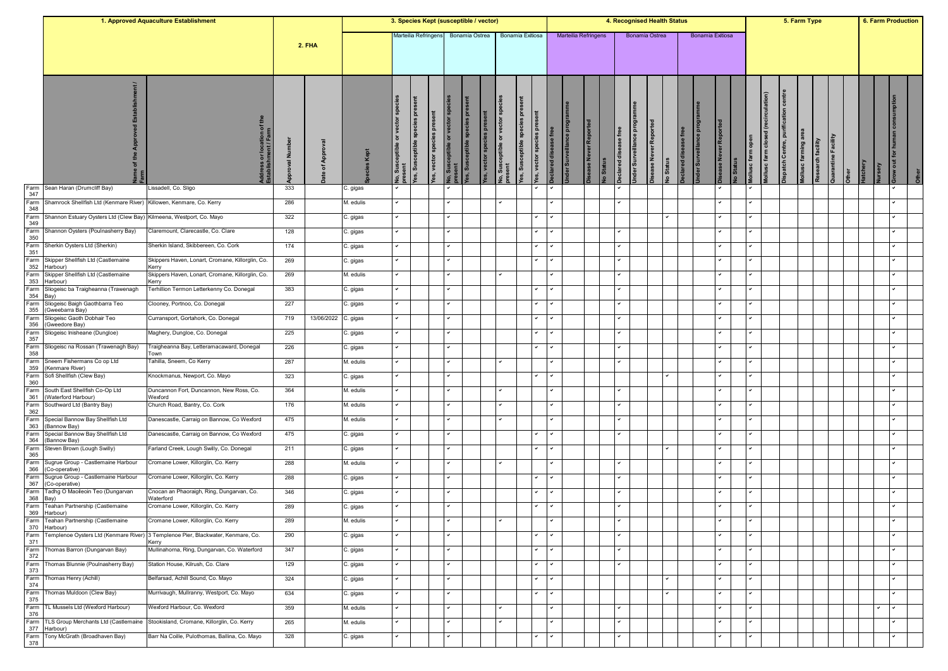|                    |                                                                     | 1. Approved Aquaculture Establishment                                            |           |            |           | 3. Species Kept (susceptible / vector) |                                      |                               |                          |                |                 |                                        |                                                              |              |                             |                    |                  |                                                    |                | 4. Recognised Health Status       |                     |                  |               |                          |                                       |                                                    | 5. Farm Type        |                   |                     |               |              | <b>6. Farm Production</b> |
|--------------------|---------------------------------------------------------------------|----------------------------------------------------------------------------------|-----------|------------|-----------|----------------------------------------|--------------------------------------|-------------------------------|--------------------------|----------------|-----------------|----------------------------------------|--------------------------------------------------------------|--------------|-----------------------------|--------------------|------------------|----------------------------------------------------|----------------|-----------------------------------|---------------------|------------------|---------------|--------------------------|---------------------------------------|----------------------------------------------------|---------------------|-------------------|---------------------|---------------|--------------|---------------------------|
|                    |                                                                     |                                                                                  |           | 2. FHA     |           |                                        | Marteilia Refringens                 |                               |                          | Bonamia Ostrea |                 |                                        | Bonamia Exitiosa                                             |              | <b>Marteilia Refringens</b> |                    |                  |                                                    | Bonamia Ostrea |                                   |                     | Bonamia Exitiosa |               |                          |                                       |                                                    |                     |                   |                     |               |              |                           |
|                    |                                                                     | dress or location of<br>tablishment / Farm                                       | Ž<br>levo | App<br>৽   | Υe        | vector <sub>sp</sub><br>৯              | species pres<br>ceptible<br>fes, Sus | present<br>es, vector species | Susceptible or vector sp | es, Su         | es, vector spec | lo, Susceptible or vector sp<br>resent | ă<br>es, vector species pre<br>speci<br>sceptible<br>es, Sus | ।ਚ           | der Surveillance prog       | ase Never Reported | <b>Jo Status</b> | ise free<br><b>ider Surveillance</b><br>clared dis |                | sease Never Reported<br>Jo Status | eclared disease fre | er Surv          | se Never Repo | ollusc farm open<br>Stat | (recirculation)<br>ollusc farm closed | centre<br>ication<br><b>lispatch Centre, purif</b> | lollusc farming are | Research facility | Quarantine Facility | atchery<br>٤Ē |              |                           |
| Farm<br>347        | Sean Haran (Drumcliff Bay)                                          | Lissadell, Co. Sligo                                                             | 333       |            | C. gigas  |                                        |                                      |                               |                          |                |                 |                                        |                                                              |              |                             |                    |                  |                                                    |                |                                   |                     |                  |               |                          |                                       |                                                    |                     |                   |                     |               |              |                           |
| Farm<br>348        | Shamrock Shellfish Ltd (Kenmare River) Killowen, Kenmare, Co. Kerry |                                                                                  | 286       |            | M. edulis |                                        |                                      |                               | $\checkmark$             |                |                 |                                        |                                                              |              |                             |                    |                  | ✓                                                  |                |                                   |                     |                  |               |                          |                                       |                                                    |                     |                   |                     |               |              |                           |
| Farm<br>349        | Shannon Estuary Oysters Ltd (Clew Bay)                              | Kilmeena, Westport, Co. Mayo                                                     | 322       |            | C. gigas  |                                        |                                      |                               |                          |                |                 |                                        |                                                              |              |                             |                    |                  |                                                    |                |                                   |                     |                  |               |                          |                                       |                                                    |                     |                   |                     |               |              |                           |
| Farm<br>350        | Shannon Oysters (Poulnasherry Bay)                                  | Claremount, Clarecastle, Co. Clare                                               | 128       |            | C. gigas  |                                        |                                      |                               |                          |                |                 |                                        |                                                              |              |                             |                    |                  |                                                    |                |                                   |                     |                  |               |                          |                                       |                                                    |                     |                   |                     |               |              |                           |
| 351                | Farm Sherkin Oysters Ltd (Sherkin)                                  | Sherkin Island, Skibbereen, Co. Cork                                             | 174       |            | C. gigas  |                                        |                                      |                               |                          |                |                 |                                        |                                                              |              |                             |                    |                  |                                                    |                |                                   |                     |                  |               |                          |                                       |                                                    |                     |                   |                     |               |              |                           |
| Farm<br>352        | Skipper Shellfish Ltd (Castlemaine<br>Harbour)                      | Skippers Haven, Lonart, Cromane, Killorglin, Co.<br>Kerry                        | 269       |            | C. gigas  |                                        |                                      |                               |                          |                |                 |                                        |                                                              |              |                             |                    |                  | ✓                                                  |                |                                   |                     |                  |               | ◡                        |                                       |                                                    |                     |                   |                     |               |              |                           |
| Farm<br>353        | Skipper Shellfish Ltd (Castlemaine<br>Harbour)                      | Skippers Haven, Lonart, Cromane, Killorglin, Co.<br>Kerry                        | 269       |            | M. edulis |                                        |                                      |                               |                          |                |                 |                                        |                                                              |              |                             |                    |                  |                                                    |                |                                   |                     |                  |               |                          |                                       |                                                    |                     |                   |                     |               |              |                           |
| Farm<br>354        | Sliogeisc ba Traigheanna (Trawenagh<br>Bay)                         | Terhillion Termon Letterkenny Co. Donegal                                        | 383       |            | C. gigas  |                                        |                                      |                               |                          |                |                 |                                        |                                                              |              |                             |                    |                  |                                                    |                |                                   |                     |                  |               |                          |                                       |                                                    |                     |                   |                     |               |              |                           |
| 355                | Farm Sliogeisc Baigh Gaothbarra Teo<br>(Gweebarra Bay)              | Clooney, Portnoo, Co. Donegal                                                    | 227       |            | C. gigas  |                                        |                                      |                               |                          |                |                 |                                        |                                                              |              |                             |                    |                  | ✓                                                  |                |                                   |                     |                  |               |                          |                                       |                                                    |                     |                   |                     |               |              |                           |
| 356                | Farm Sliogeisc Gaoth Dobhair Teo<br>(Gweedore Bay)                  | Curransport, Gortahork, Co. Donegal                                              | 719       | 13/06/2022 | C. gigas  |                                        |                                      |                               |                          |                |                 |                                        |                                                              |              |                             |                    |                  |                                                    |                |                                   |                     |                  |               |                          |                                       |                                                    |                     |                   |                     |               |              |                           |
| Farm               | Sliogeisc Inisheane (Dungloe)                                       | Maghery, Dungloe, Co. Donegal                                                    | 225       |            | C. gigas  |                                        |                                      |                               |                          |                |                 |                                        |                                                              |              |                             |                    |                  |                                                    |                |                                   |                     |                  |               |                          |                                       |                                                    |                     |                   |                     |               |              |                           |
| 357<br>Farm        | Sliogeisc na Rossan (Trawenagh Bay)                                 | Traigheanna Bay, Letteramacaward, Donegal                                        | 226       |            | C. gigas  |                                        |                                      |                               |                          |                |                 |                                        |                                                              |              |                             |                    |                  |                                                    |                |                                   |                     |                  |               |                          |                                       |                                                    |                     |                   |                     |               |              |                           |
| 358<br>Farm        | Sneem Fishermans Co op Ltd                                          | Гown<br>Tahilla, Sneem, Co Kerry                                                 | 287       |            | M. edulis |                                        |                                      |                               |                          |                |                 |                                        |                                                              |              |                             |                    |                  | ✓                                                  |                |                                   |                     |                  |               | ◡                        |                                       |                                                    |                     |                   |                     |               |              |                           |
| 359<br>Farm<br>360 | (Kenmare River)<br>Sofi Shellfish (Clew Bay)                        | Knockmanus, Newport, Co. Mayo                                                    | 323       |            | C. gigas  |                                        |                                      |                               |                          |                |                 |                                        |                                                              |              |                             |                    |                  |                                                    |                |                                   |                     |                  |               |                          |                                       |                                                    |                     |                   |                     |               |              |                           |
|                    | Farm South East Shellfish Co-Op Ltd                                 | Duncannon Fort, Duncannon, New Ross, Co.                                         | 364       |            | M. edulis |                                        |                                      |                               |                          |                |                 |                                        |                                                              |              |                             |                    |                  |                                                    |                |                                   |                     |                  |               |                          |                                       |                                                    |                     |                   |                     |               |              |                           |
| 361<br>Farm        | (Waterford Harbour)<br>Southward Ltd (Bantry Bay)                   | Wexford<br>Church Road, Bantry, Co. Cork                                         | 176       |            | M. edulis |                                        |                                      |                               |                          |                |                 |                                        |                                                              |              |                             |                    |                  |                                                    |                |                                   |                     |                  |               |                          |                                       |                                                    |                     |                   |                     |               |              |                           |
| 362<br>Farm        | Special Bannow Bay Shellfish Ltd                                    | Danescastle, Carraig on Bannow, Co Wexford                                       | 475       |            | M. edulis |                                        |                                      |                               |                          |                |                 |                                        |                                                              |              |                             |                    |                  |                                                    |                |                                   |                     |                  |               |                          |                                       |                                                    |                     |                   |                     |               |              |                           |
| 363                | (Bannow Bay)<br>Farm Special Bannow Bay Shellfish Ltd               | Danescastle, Carraig on Bannow, Co Wexford                                       | 475       |            | C. gigas  |                                        |                                      |                               |                          |                |                 |                                        |                                                              |              |                             |                    |                  |                                                    |                |                                   |                     |                  |               |                          |                                       |                                                    |                     |                   |                     |               |              |                           |
| 364                | (Bannow Bay)<br>Farm Steven Brown (Lough Swilly)                    | Farland Creek, Lough Swilly, Co. Donegal                                         | 211       |            | C. gigas  |                                        |                                      |                               |                          |                |                 |                                        |                                                              |              |                             |                    |                  |                                                    |                |                                   |                     |                  |               |                          |                                       |                                                    |                     |                   |                     |               |              |                           |
| 365                | Farm Sugrue Group - Castlemaine Harbour                             | Cromane Lower, Killorglin, Co. Kerry                                             | 288       |            | M. edulis |                                        |                                      |                               |                          |                |                 |                                        |                                                              |              |                             |                    |                  | ✓                                                  |                |                                   |                     |                  |               | ◡                        |                                       |                                                    |                     |                   |                     |               |              |                           |
| 366                | (Co-operative)<br>Farm Sugrue Group - Castlemaine Harbour           | Cromane Lower, Killorglin, Co. Kerry                                             | 288       |            | C. gigas  |                                        |                                      |                               |                          |                |                 |                                        |                                                              |              |                             |                    |                  |                                                    |                |                                   |                     |                  |               |                          |                                       |                                                    |                     |                   |                     |               |              |                           |
| 367                | (Co-operative)<br>Farm Tadhg O Maoileoin Teo (Dungarvan             | Cnocan an Phaoraigh, Ring, Dungarvan, Co.                                        | 346       |            | C. gigas  |                                        |                                      |                               |                          |                |                 |                                        |                                                              |              |                             |                    |                  |                                                    |                |                                   |                     |                  |               |                          |                                       |                                                    |                     |                   |                     |               |              |                           |
| 368 Bay)           | Farm Teahan Partnership (Castlemaine                                | Waterford<br>Cromane Lower, Killorglin, Co. Kerry                                | 289       |            | C. gigas  |                                        |                                      |                               |                          |                |                 |                                        |                                                              |              |                             |                    |                  |                                                    |                |                                   |                     |                  |               |                          |                                       |                                                    |                     |                   |                     |               |              |                           |
| 369                | Harbour)<br>Farm Teahan Partnership (Castlemaine                    | Cromane Lower, Killorglin, Co. Kerry                                             | 289       |            | M. edulis | $\checkmark$                           |                                      |                               | $\sim$                   |                |                 | $\checkmark$                           |                                                              | $\checkmark$ |                             |                    |                  | $\checkmark$                                       |                |                                   |                     |                  | $\checkmark$  | $\checkmark$             |                                       |                                                    |                     |                   |                     |               | $\checkmark$ |                           |
| Farm               | 370 Harbour)                                                        | Templenoe Oysters Ltd (Kenmare River) 3 Templenoe Pier, Blackwater, Kenmare, Co. | 290       |            | C. gigas  |                                        |                                      |                               |                          |                |                 |                                        |                                                              |              |                             |                    |                  |                                                    |                |                                   |                     |                  |               |                          |                                       |                                                    |                     |                   |                     |               |              |                           |
| 371                | Farm Thomas Barron (Dungarvan Bay)                                  | Kerry<br>Mullinahorna, Ring, Dungarvan, Co. Waterford                            | 347       |            | C. gigas  |                                        |                                      |                               |                          |                |                 |                                        |                                                              |              |                             |                    |                  | v                                                  |                |                                   |                     |                  |               |                          |                                       |                                                    |                     |                   |                     |               |              |                           |
| 372<br>Farm        | Thomas Blunnie (Poulnasherry Bay)                                   | Station House, Kilrush, Co. Clare                                                | 129       |            | C. gigas  |                                        |                                      |                               |                          |                |                 |                                        |                                                              |              |                             |                    |                  | ✓                                                  |                |                                   |                     |                  |               | ◡                        |                                       |                                                    |                     |                   |                     |               |              |                           |
| 373<br>Farm        | Thomas Henry (Achill)                                               | Belfarsad, Achill Sound, Co. Mayo                                                | 324       |            | C. gigas  |                                        |                                      |                               | $\checkmark$             |                |                 |                                        | $\checkmark$                                                 | ✓            |                             |                    |                  |                                                    |                |                                   |                     |                  | ✓             | ◡                        |                                       |                                                    |                     |                   |                     |               |              |                           |
| 374<br>Farm        | Thomas Muldoon (Clew Bay)                                           | Murrivaugh, Mullranny, Westport, Co. Mayo                                        | 634       |            |           |                                        |                                      |                               |                          |                |                 |                                        |                                                              |              |                             |                    |                  |                                                    |                |                                   |                     |                  |               | ◡                        |                                       |                                                    |                     |                   |                     |               |              |                           |
| 375                |                                                                     |                                                                                  |           |            | C. gigas  |                                        |                                      |                               |                          |                |                 |                                        |                                                              |              |                             |                    |                  |                                                    |                |                                   |                     |                  |               |                          |                                       |                                                    |                     |                   |                     |               |              |                           |
| Farm<br>376        | TL Mussels Ltd (Wexford Harbour)                                    | Wexford Harbour, Co. Wexford                                                     | 359       |            | M. edulis |                                        |                                      |                               |                          |                |                 |                                        |                                                              |              |                             |                    |                  |                                                    |                |                                   |                     |                  |               |                          |                                       |                                                    |                     |                   |                     |               |              |                           |
| Farm               | TLS Group Merchants Ltd (Castlemaine<br>377 Harbour)                | Stookisland, Cromane, Killorglin, Co. Kerry                                      | 265       |            | M. edulis |                                        |                                      |                               |                          |                |                 |                                        |                                                              | ╯            |                             |                    |                  | ◡                                                  |                |                                   |                     |                  | ◡             | ◡                        |                                       |                                                    |                     |                   |                     |               |              |                           |
| Farm<br>378        | Tony McGrath (Broadhaven Bay)                                       | Barr Na Coille, Pulothomas, Ballina, Co. Mayo                                    | 328       |            | C. gigas  |                                        |                                      |                               |                          |                |                 |                                        |                                                              |              |                             |                    |                  |                                                    |                |                                   |                     |                  |               |                          |                                       |                                                    |                     |                   |                     |               |              |                           |